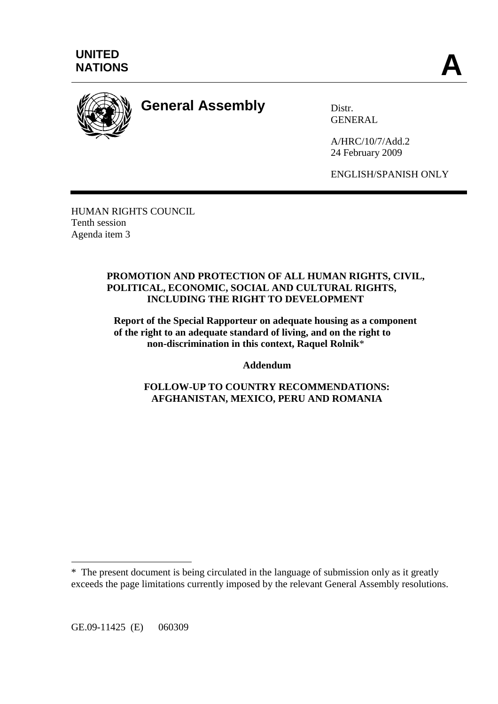



# **General Assembly** Distr.

**GENERAL** 

A/HRC/10/7/Add.2 24 February 2009

ENGLISH/SPANISH ONLY

HUMAN RIGHTS COUNCIL Tenth session Agenda item 3

### **PROMOTION AND PROTECTION OF ALL HUMAN RIGHTS, CIVIL, POLITICAL, ECONOMIC, SOCIAL AND CULTURAL RIGHTS, INCLUDING THE RIGHT TO DEVELOPMENT**

**Report of the Special Rapporteur on adequate housing as a component of the right to an adequate standard of living, and on the right to non-discrimination in this context, Raquel Rolnik**\*

**Addendum** 

**FOLLOW-UP TO COUNTRY RECOMMENDATIONS: AFGHANISTAN, MEXICO, PERU AND ROMANIA** 

 $\overline{a}$ 

<sup>\*</sup> The present document is being circulated in the language of submission only as it greatly exceeds the page limitations currently imposed by the relevant General Assembly resolutions.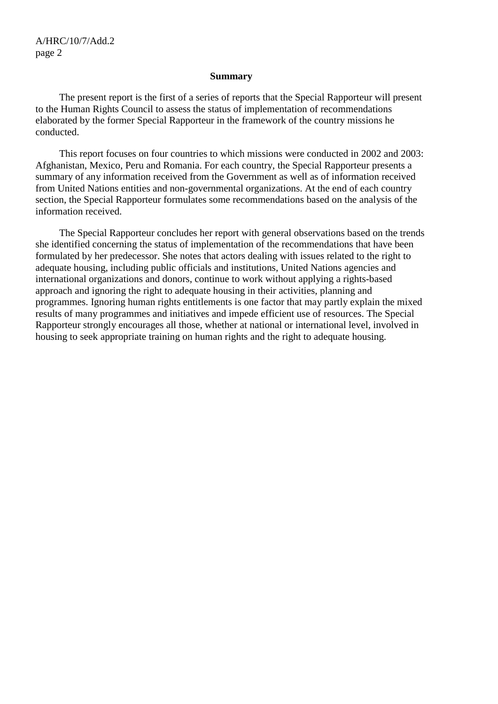#### **Summary**

 The present report is the first of a series of reports that the Special Rapporteur will present to the Human Rights Council to assess the status of implementation of recommendations elaborated by the former Special Rapporteur in the framework of the country missions he conducted.

 This report focuses on four countries to which missions were conducted in 2002 and 2003: Afghanistan, Mexico, Peru and Romania. For each country, the Special Rapporteur presents a summary of any information received from the Government as well as of information received from United Nations entities and non-governmental organizations. At the end of each country section, the Special Rapporteur formulates some recommendations based on the analysis of the information received.

 The Special Rapporteur concludes her report with general observations based on the trends she identified concerning the status of implementation of the recommendations that have been formulated by her predecessor. She notes that actors dealing with issues related to the right to adequate housing, including public officials and institutions, United Nations agencies and international organizations and donors, continue to work without applying a rights-based approach and ignoring the right to adequate housing in their activities, planning and programmes. Ignoring human rights entitlements is one factor that may partly explain the mixed results of many programmes and initiatives and impede efficient use of resources. The Special Rapporteur strongly encourages all those, whether at national or international level, involved in housing to seek appropriate training on human rights and the right to adequate housing.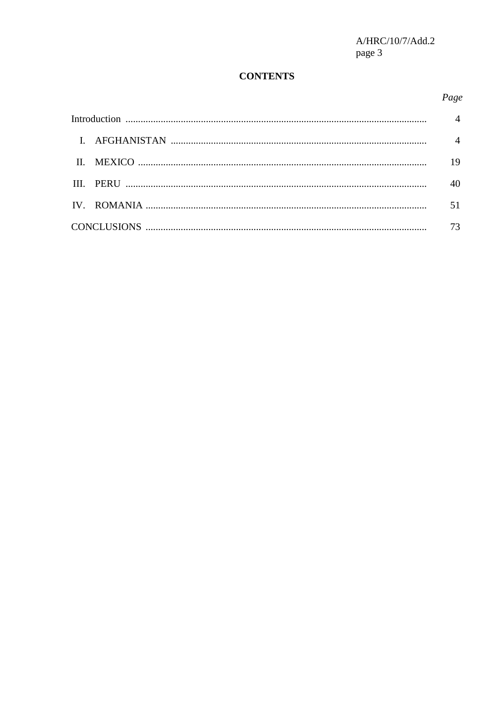# **CONTENTS**

# Page

|  |  | $\overline{4}$ |
|--|--|----------------|
|  |  | 19             |
|  |  | 40             |
|  |  | 51             |
|  |  | 73             |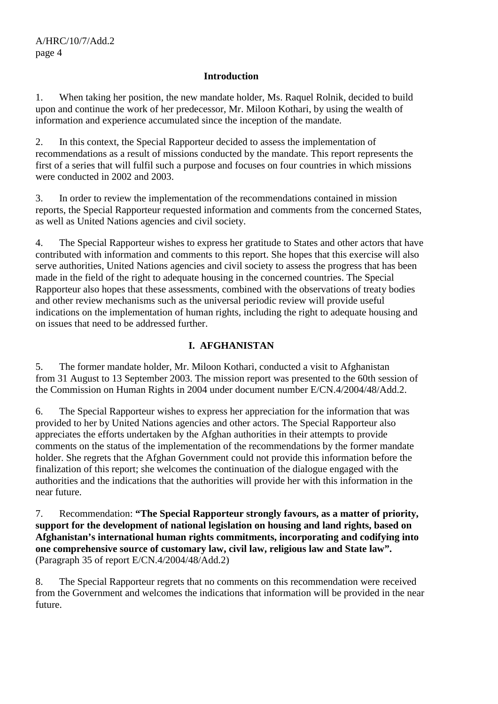#### **Introduction**

1. When taking her position, the new mandate holder, Ms. Raquel Rolnik, decided to build upon and continue the work of her predecessor, Mr. Miloon Kothari, by using the wealth of information and experience accumulated since the inception of the mandate.

2. In this context, the Special Rapporteur decided to assess the implementation of recommendations as a result of missions conducted by the mandate. This report represents the first of a series that will fulfil such a purpose and focuses on four countries in which missions were conducted in 2002 and 2003.

3. In order to review the implementation of the recommendations contained in mission reports, the Special Rapporteur requested information and comments from the concerned States, as well as United Nations agencies and civil society.

4. The Special Rapporteur wishes to express her gratitude to States and other actors that have contributed with information and comments to this report. She hopes that this exercise will also serve authorities, United Nations agencies and civil society to assess the progress that has been made in the field of the right to adequate housing in the concerned countries. The Special Rapporteur also hopes that these assessments, combined with the observations of treaty bodies and other review mechanisms such as the universal periodic review will provide useful indications on the implementation of human rights, including the right to adequate housing and on issues that need to be addressed further.

# **I. AFGHANISTAN**

5. The former mandate holder, Mr. Miloon Kothari, conducted a visit to Afghanistan from 31 August to 13 September 2003. The mission report was presented to the 60th session of the Commission on Human Rights in 2004 under document number E/CN.4/2004/48/Add.2.

6. The Special Rapporteur wishes to express her appreciation for the information that was provided to her by United Nations agencies and other actors. The Special Rapporteur also appreciates the efforts undertaken by the Afghan authorities in their attempts to provide comments on the status of the implementation of the recommendations by the former mandate holder. She regrets that the Afghan Government could not provide this information before the finalization of this report; she welcomes the continuation of the dialogue engaged with the authorities and the indications that the authorities will provide her with this information in the near future.

7. Recommendation: **"The Special Rapporteur strongly favours, as a matter of priority, support for the development of national legislation on housing and land rights, based on Afghanistan's international human rights commitments, incorporating and codifying into one comprehensive source of customary law, civil law, religious law and State law".**  (Paragraph 35 of report E/CN.4/2004/48/Add.2)

8. The Special Rapporteur regrets that no comments on this recommendation were received from the Government and welcomes the indications that information will be provided in the near future.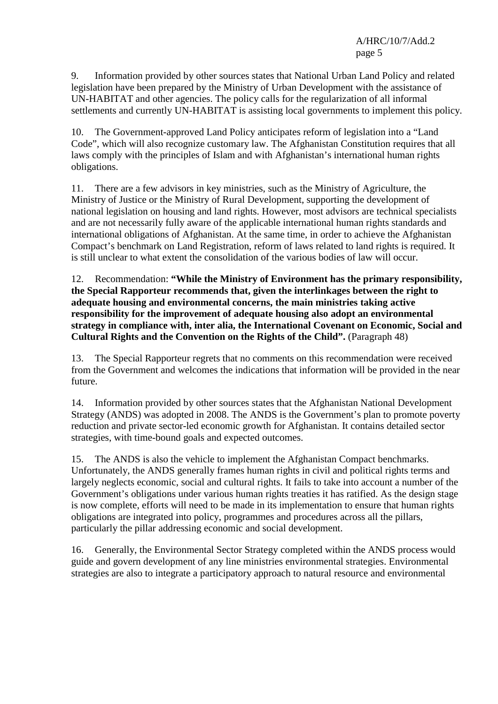9. Information provided by other sources states that National Urban Land Policy and related legislation have been prepared by the Ministry of Urban Development with the assistance of UN-HABITAT and other agencies. The policy calls for the regularization of all informal settlements and currently UN-HABITAT is assisting local governments to implement this policy.

10. The Government-approved Land Policy anticipates reform of legislation into a "Land Code", which will also recognize customary law. The Afghanistan Constitution requires that all laws comply with the principles of Islam and with Afghanistan's international human rights obligations.

11. There are a few advisors in key ministries, such as the Ministry of Agriculture, the Ministry of Justice or the Ministry of Rural Development, supporting the development of national legislation on housing and land rights. However, most advisors are technical specialists and are not necessarily fully aware of the applicable international human rights standards and international obligations of Afghanistan. At the same time, in order to achieve the Afghanistan Compact's benchmark on Land Registration, reform of laws related to land rights is required. It is still unclear to what extent the consolidation of the various bodies of law will occur.

12. Recommendation: **"While the Ministry of Environment has the primary responsibility, the Special Rapporteur recommends that, given the interlinkages between the right to adequate housing and environmental concerns, the main ministries taking active responsibility for the improvement of adequate housing also adopt an environmental strategy in compliance with, inter alia, the International Covenant on Economic, Social and Cultural Rights and the Convention on the Rights of the Child".** (Paragraph 48)

13. The Special Rapporteur regrets that no comments on this recommendation were received from the Government and welcomes the indications that information will be provided in the near future.

14. Information provided by other sources states that the Afghanistan National Development Strategy (ANDS) was adopted in 2008. The ANDS is the Government's plan to promote poverty reduction and private sector-led economic growth for Afghanistan. It contains detailed sector strategies, with time-bound goals and expected outcomes.

15. The ANDS is also the vehicle to implement the Afghanistan Compact benchmarks. Unfortunately, the ANDS generally frames human rights in civil and political rights terms and largely neglects economic, social and cultural rights. It fails to take into account a number of the Government's obligations under various human rights treaties it has ratified. As the design stage is now complete, efforts will need to be made in its implementation to ensure that human rights obligations are integrated into policy, programmes and procedures across all the pillars, particularly the pillar addressing economic and social development.

16. Generally, the Environmental Sector Strategy completed within the ANDS process would guide and govern development of any line ministries environmental strategies. Environmental strategies are also to integrate a participatory approach to natural resource and environmental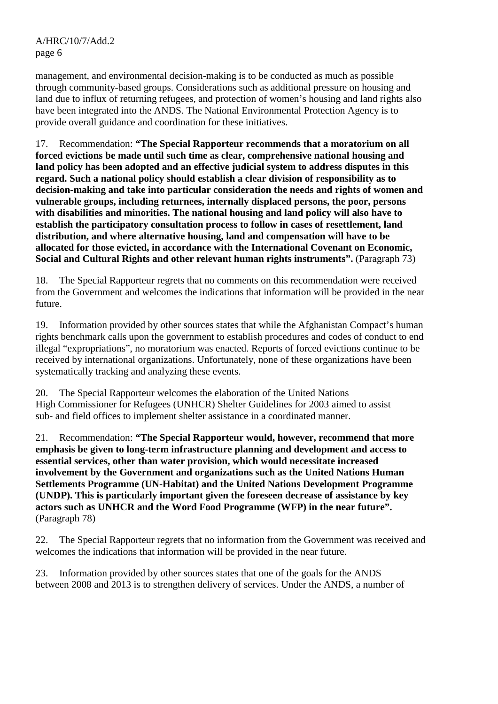management, and environmental decision-making is to be conducted as much as possible through community-based groups. Considerations such as additional pressure on housing and land due to influx of returning refugees, and protection of women's housing and land rights also have been integrated into the ANDS. The National Environmental Protection Agency is to provide overall guidance and coordination for these initiatives.

17. Recommendation: **"The Special Rapporteur recommends that a moratorium on all forced evictions be made until such time as clear, comprehensive national housing and land policy has been adopted and an effective judicial system to address disputes in this regard. Such a national policy should establish a clear division of responsibility as to decision-making and take into particular consideration the needs and rights of women and vulnerable groups, including returnees, internally displaced persons, the poor, persons with disabilities and minorities. The national housing and land policy will also have to establish the participatory consultation process to follow in cases of resettlement, land distribution, and where alternative housing, land and compensation will have to be allocated for those evicted, in accordance with the International Covenant on Economic, Social and Cultural Rights and other relevant human rights instruments".** *(Paragraph 73)* 

18. The Special Rapporteur regrets that no comments on this recommendation were received from the Government and welcomes the indications that information will be provided in the near future.

19. Information provided by other sources states that while the Afghanistan Compact's human rights benchmark calls upon the government to establish procedures and codes of conduct to end illegal "expropriations", no moratorium was enacted. Reports of forced evictions continue to be received by international organizations. Unfortunately, none of these organizations have been systematically tracking and analyzing these events.

20. The Special Rapporteur welcomes the elaboration of the United Nations High Commissioner for Refugees (UNHCR) Shelter Guidelines for 2003 aimed to assist sub- and field offices to implement shelter assistance in a coordinated manner.

21. Recommendation: **"The Special Rapporteur would, however, recommend that more emphasis be given to long-term infrastructure planning and development and access to essential services, other than water provision, which would necessitate increased involvement by the Government and organizations such as the United Nations Human Settlements Programme (UN-Habitat) and the United Nations Development Programme (UNDP). This is particularly important given the foreseen decrease of assistance by key actors such as UNHCR and the Word Food Programme (WFP) in the near future".**  (Paragraph 78)

22. The Special Rapporteur regrets that no information from the Government was received and welcomes the indications that information will be provided in the near future.

23. Information provided by other sources states that one of the goals for the ANDS between 2008 and 2013 is to strengthen delivery of services. Under the ANDS, a number of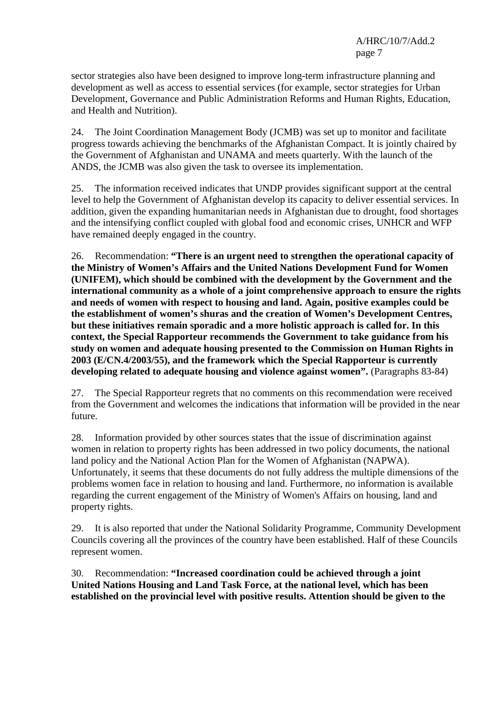sector strategies also have been designed to improve long-term infrastructure planning and development as well as access to essential services (for example, sector strategies for Urban Development, Governance and Public Administration Reforms and Human Rights, Education, and Health and Nutrition).

24. The Joint Coordination Management Body (JCMB) was set up to monitor and facilitate progress towards achieving the benchmarks of the Afghanistan Compact. It is jointly chaired by the Government of Afghanistan and UNAMA and meets quarterly. With the launch of the ANDS, the JCMB was also given the task to oversee its implementation.

25. The information received indicates that UNDP provides significant support at the central level to help the Government of Afghanistan develop its capacity to deliver essential services. In addition, given the expanding humanitarian needs in Afghanistan due to drought, food shortages and the intensifying conflict coupled with global food and economic crises, UNHCR and WFP have remained deeply engaged in the country.

26. Recommendation: **"There is an urgent need to strengthen the operational capacity of the Ministry of Women's Affairs and the United Nations Development Fund for Women (UNIFEM), which should be combined with the development by the Government and the international community as a whole of a joint comprehensive approach to ensure the rights and needs of women with respect to housing and land. Again, positive examples could be the establishment of women's shuras and the creation of Women's Development Centres, but these initiatives remain sporadic and a more holistic approach is called for. In this context, the Special Rapporteur recommends the Government to take guidance from his study on women and adequate housing presented to the Commission on Human Rights in 2003 (E/CN.4/2003/55), and the framework which the Special Rapporteur is currently developing related to adequate housing and violence against women".** (Paragraphs 83-84)

27. The Special Rapporteur regrets that no comments on this recommendation were received from the Government and welcomes the indications that information will be provided in the near future.

28. Information provided by other sources states that the issue of discrimination against women in relation to property rights has been addressed in two policy documents, the national land policy and the National Action Plan for the Women of Afghanistan (NAPWA). Unfortunately, it seems that these documents do not fully address the multiple dimensions of the problems women face in relation to housing and land. Furthermore, no information is available regarding the current engagement of the Ministry of Women's Affairs on housing, land and property rights.

29. It is also reported that under the National Solidarity Programme, Community Development Councils covering all the provinces of the country have been established. Half of these Councils represent women.

30. Recommendation: **"Increased coordination could be achieved through a joint United Nations Housing and Land Task Force, at the national level, which has been established on the provincial level with positive results. Attention should be given to the**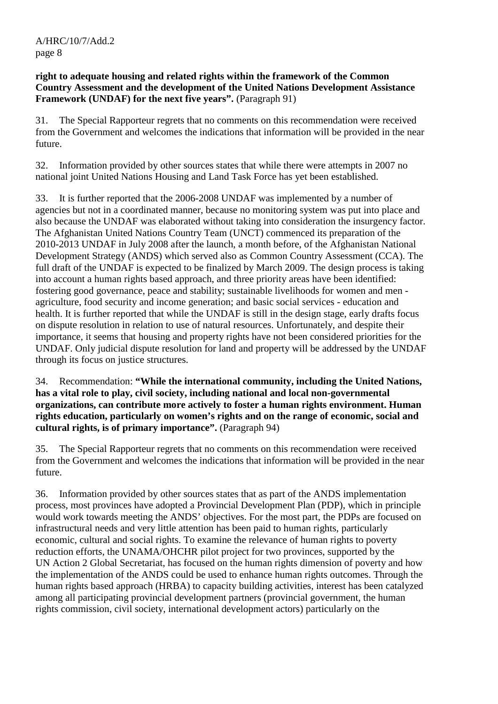### **right to adequate housing and related rights within the framework of the Common Country Assessment and the development of the United Nations Development Assistance Framework (UNDAF) for the next five years".** (Paragraph 91)

31. The Special Rapporteur regrets that no comments on this recommendation were received from the Government and welcomes the indications that information will be provided in the near future.

32. Information provided by other sources states that while there were attempts in 2007 no national joint United Nations Housing and Land Task Force has yet been established.

33. It is further reported that the 2006-2008 UNDAF was implemented by a number of agencies but not in a coordinated manner, because no monitoring system was put into place and also because the UNDAF was elaborated without taking into consideration the insurgency factor. The Afghanistan United Nations Country Team (UNCT) commenced its preparation of the 2010-2013 UNDAF in July 2008 after the launch, a month before, of the Afghanistan National Development Strategy (ANDS) which served also as Common Country Assessment (CCA). The full draft of the UNDAF is expected to be finalized by March 2009. The design process is taking into account a human rights based approach, and three priority areas have been identified: fostering good governance, peace and stability; sustainable livelihoods for women and men agriculture, food security and income generation; and basic social services - education and health. It is further reported that while the UNDAF is still in the design stage, early drafts focus on dispute resolution in relation to use of natural resources. Unfortunately, and despite their importance, it seems that housing and property rights have not been considered priorities for the UNDAF. Only judicial dispute resolution for land and property will be addressed by the UNDAF through its focus on justice structures.

34. Recommendation: **"While the international community, including the United Nations, has a vital role to play, civil society, including national and local non-governmental organizations, can contribute more actively to foster a human rights environment. Human rights education, particularly on women's rights and on the range of economic, social and cultural rights, is of primary importance".** (Paragraph 94)

35. The Special Rapporteur regrets that no comments on this recommendation were received from the Government and welcomes the indications that information will be provided in the near future.

36. Information provided by other sources states that as part of the ANDS implementation process, most provinces have adopted a Provincial Development Plan (PDP), which in principle would work towards meeting the ANDS' objectives. For the most part, the PDPs are focused on infrastructural needs and very little attention has been paid to human rights, particularly economic, cultural and social rights. To examine the relevance of human rights to poverty reduction efforts, the UNAMA/OHCHR pilot project for two provinces, supported by the UN Action 2 Global Secretariat, has focused on the human rights dimension of poverty and how the implementation of the ANDS could be used to enhance human rights outcomes. Through the human rights based approach (HRBA) to capacity building activities, interest has been catalyzed among all participating provincial development partners (provincial government, the human rights commission, civil society, international development actors) particularly on the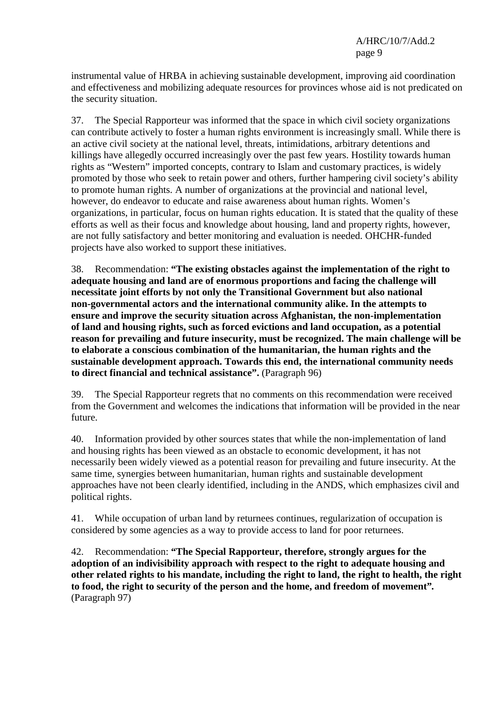instrumental value of HRBA in achieving sustainable development, improving aid coordination and effectiveness and mobilizing adequate resources for provinces whose aid is not predicated on the security situation.

37. The Special Rapporteur was informed that the space in which civil society organizations can contribute actively to foster a human rights environment is increasingly small. While there is an active civil society at the national level, threats, intimidations, arbitrary detentions and killings have allegedly occurred increasingly over the past few years. Hostility towards human rights as "Western" imported concepts, contrary to Islam and customary practices, is widely promoted by those who seek to retain power and others, further hampering civil society's ability to promote human rights. A number of organizations at the provincial and national level, however, do endeavor to educate and raise awareness about human rights. Women's organizations, in particular, focus on human rights education. It is stated that the quality of these efforts as well as their focus and knowledge about housing, land and property rights, however, are not fully satisfactory and better monitoring and evaluation is needed. OHCHR-funded projects have also worked to support these initiatives.

38. Recommendation: **"The existing obstacles against the implementation of the right to adequate housing and land are of enormous proportions and facing the challenge will necessitate joint efforts by not only the Transitional Government but also national non-governmental actors and the international community alike. In the attempts to ensure and improve the security situation across Afghanistan, the non-implementation of land and housing rights, such as forced evictions and land occupation, as a potential reason for prevailing and future insecurity, must be recognized. The main challenge will be to elaborate a conscious combination of the humanitarian, the human rights and the sustainable development approach. Towards this end, the international community needs to direct financial and technical assistance".** (Paragraph 96)

39. The Special Rapporteur regrets that no comments on this recommendation were received from the Government and welcomes the indications that information will be provided in the near future.

40. Information provided by other sources states that while the non-implementation of land and housing rights has been viewed as an obstacle to economic development, it has not necessarily been widely viewed as a potential reason for prevailing and future insecurity. At the same time, synergies between humanitarian, human rights and sustainable development approaches have not been clearly identified, including in the ANDS, which emphasizes civil and political rights.

41. While occupation of urban land by returnees continues, regularization of occupation is considered by some agencies as a way to provide access to land for poor returnees.

42. Recommendation: **"The Special Rapporteur, therefore, strongly argues for the adoption of an indivisibility approach with respect to the right to adequate housing and other related rights to his mandate, including the right to land, the right to health, the right to food, the right to security of the person and the home, and freedom of movement"***.*  (Paragraph 97)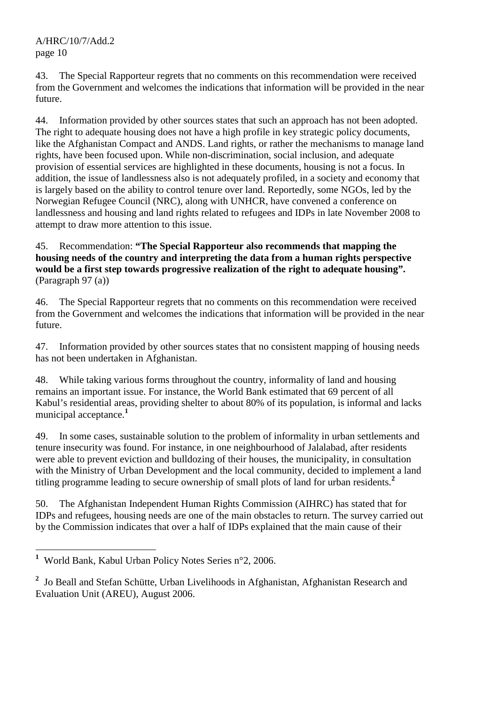43. The Special Rapporteur regrets that no comments on this recommendation were received from the Government and welcomes the indications that information will be provided in the near future.

44. Information provided by other sources states that such an approach has not been adopted. The right to adequate housing does not have a high profile in key strategic policy documents, like the Afghanistan Compact and ANDS. Land rights, or rather the mechanisms to manage land rights, have been focused upon. While non-discrimination, social inclusion, and adequate provision of essential services are highlighted in these documents, housing is not a focus. In addition, the issue of landlessness also is not adequately profiled, in a society and economy that is largely based on the ability to control tenure over land. Reportedly, some NGOs, led by the Norwegian Refugee Council (NRC), along with UNHCR, have convened a conference on landlessness and housing and land rights related to refugees and IDPs in late November 2008 to attempt to draw more attention to this issue.

45. Recommendation: **"The Special Rapporteur also recommends that mapping the housing needs of the country and interpreting the data from a human rights perspective would be a first step towards progressive realization of the right to adequate housing".**  (Paragraph 97 (a))

46. The Special Rapporteur regrets that no comments on this recommendation were received from the Government and welcomes the indications that information will be provided in the near future.

47. Information provided by other sources states that no consistent mapping of housing needs has not been undertaken in Afghanistan.

48. While taking various forms throughout the country, informality of land and housing remains an important issue. For instance, the World Bank estimated that 69 percent of all Kabul's residential areas, providing shelter to about 80% of its population, is informal and lacks municipal acceptance.**<sup>1</sup>**

49. In some cases, sustainable solution to the problem of informality in urban settlements and tenure insecurity was found. For instance, in one neighbourhood of Jalalabad, after residents were able to prevent eviction and bulldozing of their houses, the municipality, in consultation with the Ministry of Urban Development and the local community, decided to implement a land titling programme leading to secure ownership of small plots of land for urban residents.**<sup>2</sup>**

50. The Afghanistan Independent Human Rights Commission (AIHRC) has stated that for IDPs and refugees, housing needs are one of the main obstacles to return. The survey carried out by the Commission indicates that over a half of IDPs explained that the main cause of their

 **1** World Bank, Kabul Urban Policy Notes Series n°2, 2006.

<sup>&</sup>lt;sup>2</sup> Jo Beall and Stefan Schütte, Urban Livelihoods in Afghanistan, Afghanistan Research and Evaluation Unit (AREU), August 2006.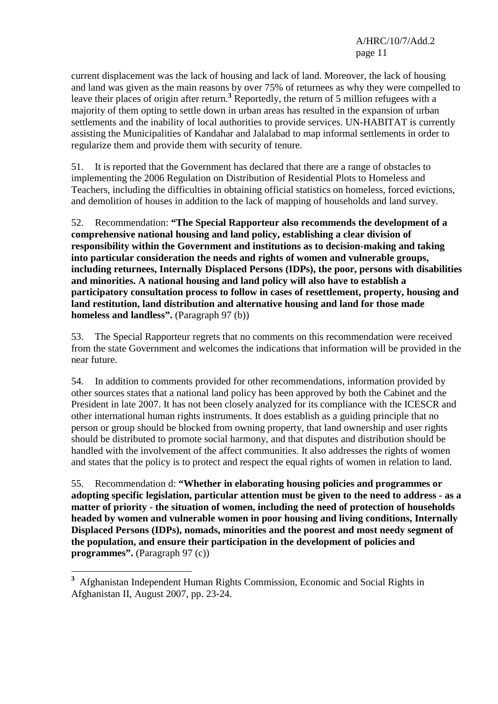current displacement was the lack of housing and lack of land. Moreover, the lack of housing and land was given as the main reasons by over 75% of returnees as why they were compelled to leave their places of origin after return.<sup>3</sup> Reportedly, the return of 5 million refugees with a majority of them opting to settle down in urban areas has resulted in the expansion of urban settlements and the inability of local authorities to provide services. UN-HABITAT is currently assisting the Municipalities of Kandahar and Jalalabad to map informal settlements in order to regularize them and provide them with security of tenure.

51. It is reported that the Government has declared that there are a range of obstacles to implementing the 2006 Regulation on Distribution of Residential Plots to Homeless and Teachers, including the difficulties in obtaining official statistics on homeless, forced evictions, and demolition of houses in addition to the lack of mapping of households and land survey.

52. Recommendation: **"The Special Rapporteur also recommends the development of a comprehensive national housing and land policy, establishing a clear division of responsibility within the Government and institutions as to decision-making and taking into particular consideration the needs and rights of women and vulnerable groups, including returnees, Internally Displaced Persons (IDPs), the poor, persons with disabilities and minorities. A national housing and land policy will also have to establish a participatory consultation process to follow in cases of resettlement, property, housing and land restitution, land distribution and alternative housing and land for those made homeless and landless".** (Paragraph 97 (b))

53. The Special Rapporteur regrets that no comments on this recommendation were received from the state Government and welcomes the indications that information will be provided in the near future.

54. In addition to comments provided for other recommendations, information provided by other sources states that a national land policy has been approved by both the Cabinet and the President in late 2007. It has not been closely analyzed for its compliance with the ICESCR and other international human rights instruments. It does establish as a guiding principle that no person or group should be blocked from owning property, that land ownership and user rights should be distributed to promote social harmony, and that disputes and distribution should be handled with the involvement of the affect communities. It also addresses the rights of women and states that the policy is to protect and respect the equal rights of women in relation to land.

55. Recommendation d: **"Whether in elaborating housing policies and programmes or adopting specific legislation, particular attention must be given to the need to address - as a matter of priority - the situation of women, including the need of protection of households headed by women and vulnerable women in poor housing and living conditions, Internally Displaced Persons (IDPs), nomads, minorities and the poorest and most needy segment of the population, and ensure their participation in the development of policies and programmes".** (Paragraph 97 (c))

 $\overline{a}$ 

**<sup>3</sup>** Afghanistan Independent Human Rights Commission, Economic and Social Rights in Afghanistan II, August 2007, pp. 23-24.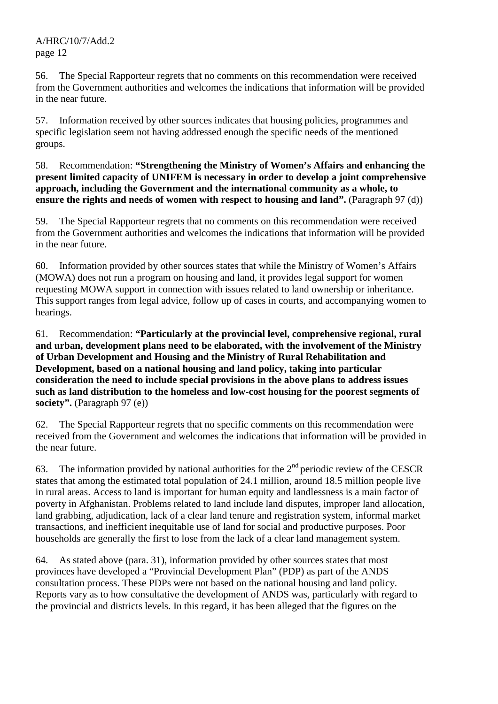56. The Special Rapporteur regrets that no comments on this recommendation were received from the Government authorities and welcomes the indications that information will be provided in the near future.

57. Information received by other sources indicates that housing policies, programmes and specific legislation seem not having addressed enough the specific needs of the mentioned groups.

58. Recommendation: **"Strengthening the Ministry of Women's Affairs and enhancing the present limited capacity of UNIFEM is necessary in order to develop a joint comprehensive approach, including the Government and the international community as a whole, to ensure the rights and needs of women with respect to housing and land".** (Paragraph 97 (d))

59. The Special Rapporteur regrets that no comments on this recommendation were received from the Government authorities and welcomes the indications that information will be provided in the near future.

60. Information provided by other sources states that while the Ministry of Women's Affairs (MOWA) does not run a program on housing and land, it provides legal support for women requesting MOWA support in connection with issues related to land ownership or inheritance. This support ranges from legal advice, follow up of cases in courts, and accompanying women to hearings.

61. Recommendation: **"Particularly at the provincial level, comprehensive regional, rural and urban, development plans need to be elaborated, with the involvement of the Ministry of Urban Development and Housing and the Ministry of Rural Rehabilitation and Development, based on a national housing and land policy, taking into particular consideration the need to include special provisions in the above plans to address issues such as land distribution to the homeless and low-cost housing for the poorest segments of society".** (Paragraph 97 (e))

62. The Special Rapporteur regrets that no specific comments on this recommendation were received from the Government and welcomes the indications that information will be provided in the near future.

63. The information provided by national authorities for the  $2<sup>nd</sup>$  periodic review of the CESCR states that among the estimated total population of 24.1 million, around 18.5 million people live in rural areas. Access to land is important for human equity and landlessness is a main factor of poverty in Afghanistan. Problems related to land include land disputes, improper land allocation, land grabbing, adjudication, lack of a clear land tenure and registration system, informal market transactions, and inefficient inequitable use of land for social and productive purposes. Poor households are generally the first to lose from the lack of a clear land management system.

64. As stated above (para. 31), information provided by other sources states that most provinces have developed a "Provincial Development Plan" (PDP) as part of the ANDS consultation process. These PDPs were not based on the national housing and land policy. Reports vary as to how consultative the development of ANDS was, particularly with regard to the provincial and districts levels. In this regard, it has been alleged that the figures on the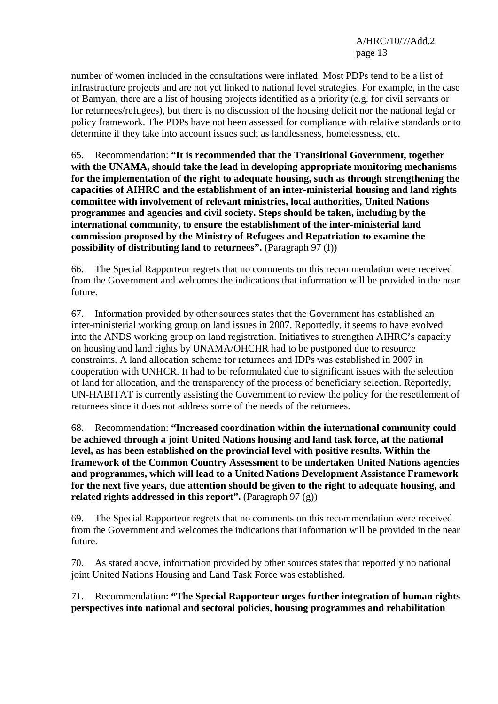number of women included in the consultations were inflated. Most PDPs tend to be a list of infrastructure projects and are not yet linked to national level strategies. For example, in the case of Bamyan, there are a list of housing projects identified as a priority (e.g. for civil servants or for returnees/refugees), but there is no discussion of the housing deficit nor the national legal or policy framework. The PDPs have not been assessed for compliance with relative standards or to determine if they take into account issues such as landlessness, homelessness, etc.

65. Recommendation: **"It is recommended that the Transitional Government, together with the UNAMA, should take the lead in developing appropriate monitoring mechanisms for the implementation of the right to adequate housing, such as through strengthening the capacities of AIHRC and the establishment of an inter-ministerial housing and land rights committee with involvement of relevant ministries, local authorities, United Nations programmes and agencies and civil society. Steps should be taken, including by the international community, to ensure the establishment of the inter-ministerial land commission proposed by the Ministry of Refugees and Repatriation to examine the possibility of distributing land to returnees".** (Paragraph 97 (f))

66. The Special Rapporteur regrets that no comments on this recommendation were received from the Government and welcomes the indications that information will be provided in the near future.

67. Information provided by other sources states that the Government has established an inter-ministerial working group on land issues in 2007. Reportedly, it seems to have evolved into the ANDS working group on land registration. Initiatives to strengthen AIHRC's capacity on housing and land rights by UNAMA/OHCHR had to be postponed due to resource constraints. A land allocation scheme for returnees and IDPs was established in 2007 in cooperation with UNHCR. It had to be reformulated due to significant issues with the selection of land for allocation, and the transparency of the process of beneficiary selection. Reportedly, UN-HABITAT is currently assisting the Government to review the policy for the resettlement of returnees since it does not address some of the needs of the returnees.

68. Recommendation: **"Increased coordination within the international community could be achieved through a joint United Nations housing and land task force, at the national level, as has been established on the provincial level with positive results. Within the framework of the Common Country Assessment to be undertaken United Nations agencies and programmes, which will lead to a United Nations Development Assistance Framework for the next five years, due attention should be given to the right to adequate housing, and**  related rights addressed in this report". (Paragraph 97 (g))

69. The Special Rapporteur regrets that no comments on this recommendation were received from the Government and welcomes the indications that information will be provided in the near future.

70. As stated above, information provided by other sources states that reportedly no national joint United Nations Housing and Land Task Force was established.

71. Recommendation: **"The Special Rapporteur urges further integration of human rights perspectives into national and sectoral policies, housing programmes and rehabilitation**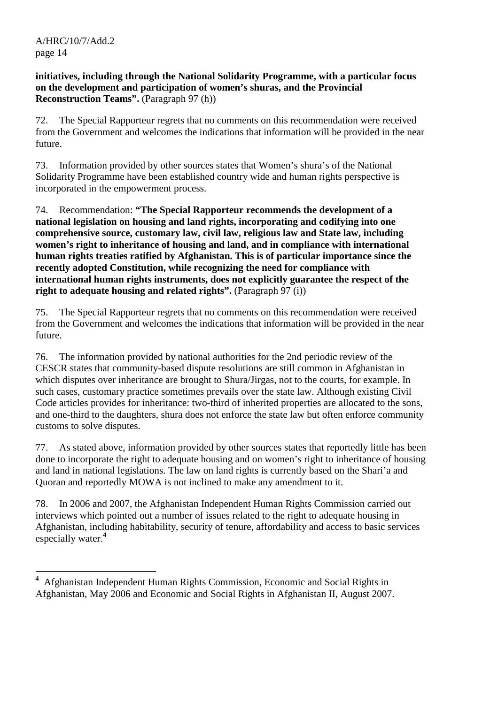### **initiatives, including through the National Solidarity Programme, with a particular focus on the development and participation of women's shuras, and the Provincial Reconstruction Teams".** (Paragraph 97 (h))

72. The Special Rapporteur regrets that no comments on this recommendation were received from the Government and welcomes the indications that information will be provided in the near future.

73. Information provided by other sources states that Women's shura's of the National Solidarity Programme have been established country wide and human rights perspective is incorporated in the empowerment process.

74. Recommendation: **"The Special Rapporteur recommends the development of a national legislation on housing and land rights, incorporating and codifying into one comprehensive source, customary law, civil law, religious law and State law, including women's right to inheritance of housing and land, and in compliance with international human rights treaties ratified by Afghanistan. This is of particular importance since the recently adopted Constitution, while recognizing the need for compliance with international human rights instruments, does not explicitly guarantee the respect of the right to adequate housing and related rights".** (Paragraph 97 (i))

75. The Special Rapporteur regrets that no comments on this recommendation were received from the Government and welcomes the indications that information will be provided in the near future.

76. The information provided by national authorities for the 2nd periodic review of the CESCR states that community-based dispute resolutions are still common in Afghanistan in which disputes over inheritance are brought to Shura/Jirgas, not to the courts, for example. In such cases, customary practice sometimes prevails over the state law. Although existing Civil Code articles provides for inheritance: two-third of inherited properties are allocated to the sons, and one-third to the daughters, shura does not enforce the state law but often enforce community customs to solve disputes.

77. As stated above, information provided by other sources states that reportedly little has been done to incorporate the right to adequate housing and on women's right to inheritance of housing and land in national legislations. The law on land rights is currently based on the Shari'a and Quoran and reportedly MOWA is not inclined to make any amendment to it.

78. In 2006 and 2007, the Afghanistan Independent Human Rights Commission carried out interviews which pointed out a number of issues related to the right to adequate housing in Afghanistan, including habitability, security of tenure, affordability and access to basic services especially water.**<sup>4</sup>**

 $\overline{a}$ **4** Afghanistan Independent Human Rights Commission, Economic and Social Rights in Afghanistan, May 2006 and Economic and Social Rights in Afghanistan II, August 2007.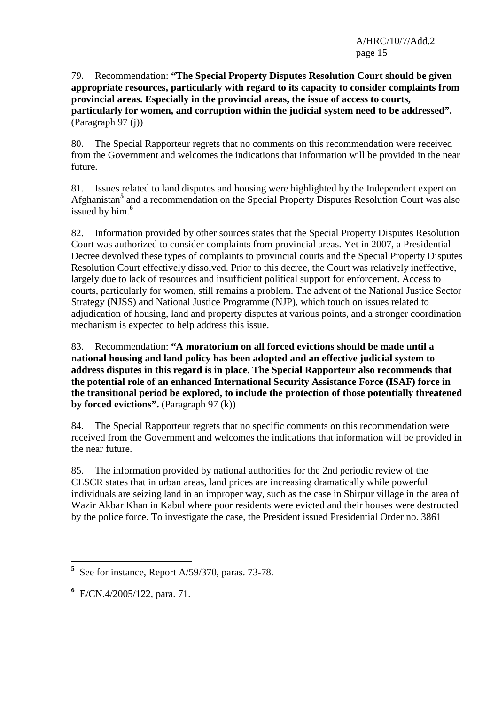79. Recommendation: **"The Special Property Disputes Resolution Court should be given appropriate resources, particularly with regard to its capacity to consider complaints from provincial areas. Especially in the provincial areas, the issue of access to courts, particularly for women, and corruption within the judicial system need to be addressed".**  (Paragraph 97 (j))

80. The Special Rapporteur regrets that no comments on this recommendation were received from the Government and welcomes the indications that information will be provided in the near future.

81. Issues related to land disputes and housing were highlighted by the Independent expert on Afghanistan<sup>5</sup> and a recommendation on the Special Property Disputes Resolution Court was also issued by him.**<sup>6</sup>**

82. Information provided by other sources states that the Special Property Disputes Resolution Court was authorized to consider complaints from provincial areas. Yet in 2007, a Presidential Decree devolved these types of complaints to provincial courts and the Special Property Disputes Resolution Court effectively dissolved. Prior to this decree, the Court was relatively ineffective, largely due to lack of resources and insufficient political support for enforcement. Access to courts, particularly for women, still remains a problem. The advent of the National Justice Sector Strategy (NJSS) and National Justice Programme (NJP), which touch on issues related to adjudication of housing, land and property disputes at various points, and a stronger coordination mechanism is expected to help address this issue.

83. Recommendation: **"A moratorium on all forced evictions should be made until a national housing and land policy has been adopted and an effective judicial system to address disputes in this regard is in place. The Special Rapporteur also recommends that the potential role of an enhanced International Security Assistance Force (ISAF) force in the transitional period be explored, to include the protection of those potentially threatened by forced evictions".** (Paragraph 97 (k))

84. The Special Rapporteur regrets that no specific comments on this recommendation were received from the Government and welcomes the indications that information will be provided in the near future.

85. The information provided by national authorities for the 2nd periodic review of the CESCR states that in urban areas, land prices are increasing dramatically while powerful individuals are seizing land in an improper way, such as the case in Shirpur village in the area of Wazir Akbar Khan in Kabul where poor residents were evicted and their houses were destructed by the police force. To investigate the case, the President issued Presidential Order no. 3861

 $\overline{a}$ **5** See for instance, Report A/59/370, paras. 73-78.

**<sup>6</sup>** E/CN.4/2005/122, para. 71.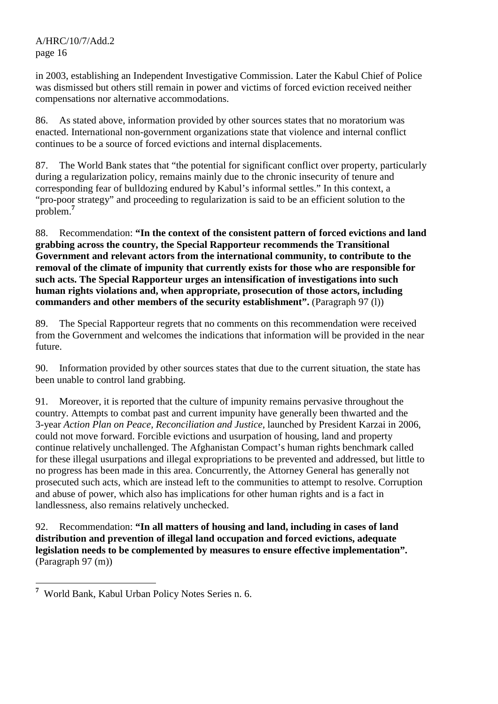in 2003, establishing an Independent Investigative Commission. Later the Kabul Chief of Police was dismissed but others still remain in power and victims of forced eviction received neither compensations nor alternative accommodations.

86. As stated above, information provided by other sources states that no moratorium was enacted. International non-government organizations state that violence and internal conflict continues to be a source of forced evictions and internal displacements.

87. The World Bank states that "the potential for significant conflict over property, particularly during a regularization policy, remains mainly due to the chronic insecurity of tenure and corresponding fear of bulldozing endured by Kabul's informal settles." In this context, a "pro-poor strategy" and proceeding to regularization is said to be an efficient solution to the problem.**<sup>7</sup>**

88. Recommendation: **"In the context of the consistent pattern of forced evictions and land grabbing across the country, the Special Rapporteur recommends the Transitional Government and relevant actors from the international community, to contribute to the removal of the climate of impunity that currently exists for those who are responsible for such acts. The Special Rapporteur urges an intensification of investigations into such human rights violations and, when appropriate, prosecution of those actors, including commanders and other members of the security establishment".** (Paragraph 97 (l))

89. The Special Rapporteur regrets that no comments on this recommendation were received from the Government and welcomes the indications that information will be provided in the near future.

90. Information provided by other sources states that due to the current situation, the state has been unable to control land grabbing.

91. Moreover, it is reported that the culture of impunity remains pervasive throughout the country. Attempts to combat past and current impunity have generally been thwarted and the 3-year *Action Plan on Peace, Reconciliation and Justice*, launched by President Karzai in 2006, could not move forward. Forcible evictions and usurpation of housing, land and property continue relatively unchallenged. The Afghanistan Compact's human rights benchmark called for these illegal usurpations and illegal expropriations to be prevented and addressed, but little to no progress has been made in this area. Concurrently, the Attorney General has generally not prosecuted such acts, which are instead left to the communities to attempt to resolve. Corruption and abuse of power, which also has implications for other human rights and is a fact in landlessness, also remains relatively unchecked.

92. Recommendation: **"In all matters of housing and land, including in cases of land distribution and prevention of illegal land occupation and forced evictions, adequate legislation needs to be complemented by measures to ensure effective implementation".**  (Paragraph 97 (m))

<sup>&</sup>lt;sup>7</sup> World Bank, Kabul Urban Policy Notes Series n. 6.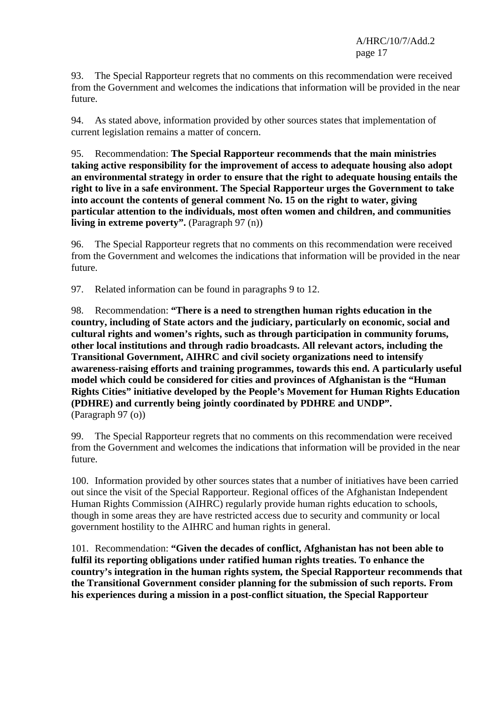93. The Special Rapporteur regrets that no comments on this recommendation were received from the Government and welcomes the indications that information will be provided in the near future.

94. As stated above, information provided by other sources states that implementation of current legislation remains a matter of concern.

95. Recommendation: **The Special Rapporteur recommends that the main ministries taking active responsibility for the improvement of access to adequate housing also adopt an environmental strategy in order to ensure that the right to adequate housing entails the right to live in a safe environment. The Special Rapporteur urges the Government to take into account the contents of general comment No. 15 on the right to water, giving particular attention to the individuals, most often women and children, and communities living in extreme poverty".** (Paragraph 97 (n))

96. The Special Rapporteur regrets that no comments on this recommendation were received from the Government and welcomes the indications that information will be provided in the near future.

97. Related information can be found in paragraphs 9 to 12.

98. Recommendation: **"There is a need to strengthen human rights education in the country, including of State actors and the judiciary, particularly on economic, social and cultural rights and women's rights, such as through participation in community forums, other local institutions and through radio broadcasts. All relevant actors, including the Transitional Government, AIHRC and civil society organizations need to intensify awareness-raising efforts and training programmes, towards this end. A particularly useful model which could be considered for cities and provinces of Afghanistan is the "Human Rights Cities" initiative developed by the People's Movement for Human Rights Education (PDHRE) and currently being jointly coordinated by PDHRE and UNDP".**  (Paragraph 97 (o))

99. The Special Rapporteur regrets that no comments on this recommendation were received from the Government and welcomes the indications that information will be provided in the near future.

100. Information provided by other sources states that a number of initiatives have been carried out since the visit of the Special Rapporteur. Regional offices of the Afghanistan Independent Human Rights Commission (AIHRC) regularly provide human rights education to schools, though in some areas they are have restricted access due to security and community or local government hostility to the AIHRC and human rights in general.

101. Recommendation: **"Given the decades of conflict, Afghanistan has not been able to fulfil its reporting obligations under ratified human rights treaties. To enhance the country's integration in the human rights system, the Special Rapporteur recommends that the Transitional Government consider planning for the submission of such reports. From his experiences during a mission in a post-conflict situation, the Special Rapporteur**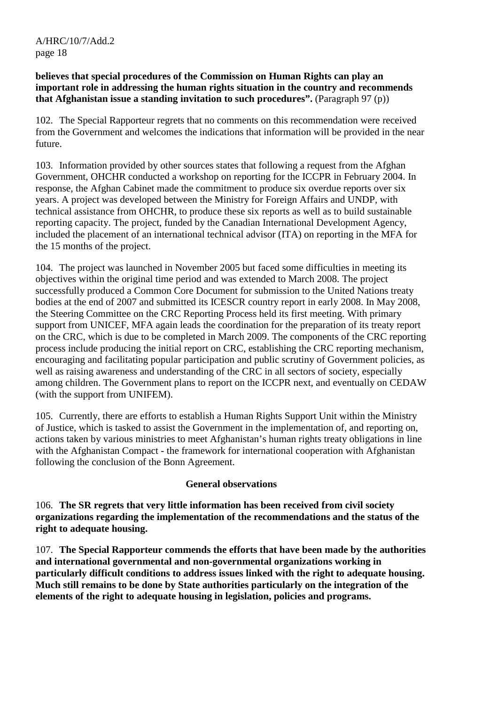#### **believes that special procedures of the Commission on Human Rights can play an important role in addressing the human rights situation in the country and recommends that Afghanistan issue a standing invitation to such procedures".** (Paragraph 97 (p))

102. The Special Rapporteur regrets that no comments on this recommendation were received from the Government and welcomes the indications that information will be provided in the near future.

103. Information provided by other sources states that following a request from the Afghan Government, OHCHR conducted a workshop on reporting for the ICCPR in February 2004. In response, the Afghan Cabinet made the commitment to produce six overdue reports over six years. A project was developed between the Ministry for Foreign Affairs and UNDP, with technical assistance from OHCHR, to produce these six reports as well as to build sustainable reporting capacity. The project, funded by the Canadian International Development Agency, included the placement of an international technical advisor (ITA) on reporting in the MFA for the 15 months of the project.

104. The project was launched in November 2005 but faced some difficulties in meeting its objectives within the original time period and was extended to March 2008. The project successfully produced a Common Core Document for submission to the United Nations treaty bodies at the end of 2007 and submitted its ICESCR country report in early 2008. In May 2008, the Steering Committee on the CRC Reporting Process held its first meeting. With primary support from UNICEF, MFA again leads the coordination for the preparation of its treaty report on the CRC, which is due to be completed in March 2009. The components of the CRC reporting process include producing the initial report on CRC, establishing the CRC reporting mechanism, encouraging and facilitating popular participation and public scrutiny of Government policies, as well as raising awareness and understanding of the CRC in all sectors of society, especially among children. The Government plans to report on the ICCPR next, and eventually on CEDAW (with the support from UNIFEM).

105. Currently, there are efforts to establish a Human Rights Support Unit within the Ministry of Justice, which is tasked to assist the Government in the implementation of, and reporting on, actions taken by various ministries to meet Afghanistan's human rights treaty obligations in line with the Afghanistan Compact - the framework for international cooperation with Afghanistan following the conclusion of the Bonn Agreement.

#### **General observations**

106. **The SR regrets that very little information has been received from civil society organizations regarding the implementation of the recommendations and the status of the right to adequate housing.**

107. **The Special Rapporteur commends the efforts that have been made by the authorities and international governmental and non-governmental organizations working in particularly difficult conditions to address issues linked with the right to adequate housing. Much still remains to be done by State authorities particularly on the integration of the elements of the right to adequate housing in legislation, policies and programs.**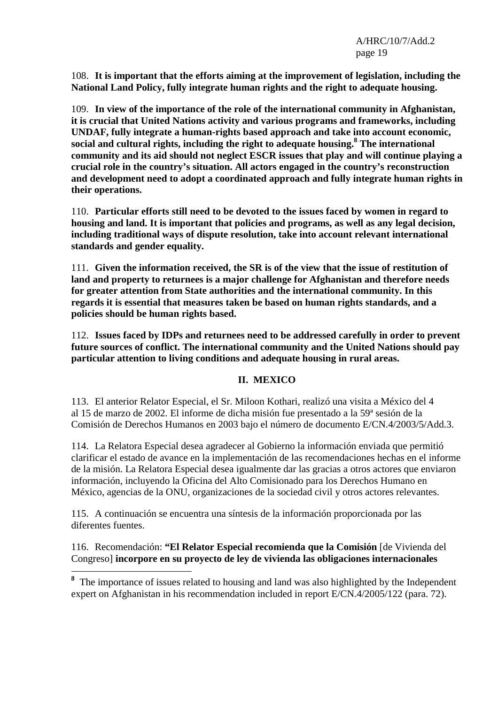108. **It is important that the efforts aiming at the improvement of legislation, including the National Land Policy, fully integrate human rights and the right to adequate housing.**

109. **In view of the importance of the role of the international community in Afghanistan, it is crucial that United Nations activity and various programs and frameworks, including UNDAF, fully integrate a human-rights based approach and take into account economic, social and cultural rights, including the right to adequate housing.8 The international community and its aid should not neglect ESCR issues that play and will continue playing a crucial role in the country's situation. All actors engaged in the country's reconstruction and development need to adopt a coordinated approach and fully integrate human rights in their operations.**

110. **Particular efforts still need to be devoted to the issues faced by women in regard to housing and land. It is important that policies and programs, as well as any legal decision, including traditional ways of dispute resolution, take into account relevant international standards and gender equality.**

111. **Given the information received, the SR is of the view that the issue of restitution of land and property to returnees is a major challenge for Afghanistan and therefore needs for greater attention from State authorities and the international community. In this regards it is essential that measures taken be based on human rights standards, and a policies should be human rights based.**

112. **Issues faced by IDPs and returnees need to be addressed carefully in order to prevent future sources of conflict. The international community and the United Nations should pay particular attention to living conditions and adequate housing in rural areas.**

### **II. MEXICO**

113. El anterior Relator Especial, el Sr. Miloon Kothari, realizó una visita a México del 4 al 15 de marzo de 2002. El informe de dicha misión fue presentado a la 59ª sesión de la Comisión de Derechos Humanos en 2003 bajo el número de documento E/CN.4/2003/5/Add.3.

114. La Relatora Especial desea agradecer al Gobierno la información enviada que permitió clarificar el estado de avance en la implementación de las recomendaciones hechas en el informe de la misión. La Relatora Especial desea igualmente dar las gracias a otros actores que enviaron información, incluyendo la Oficina del Alto Comisionado para los Derechos Humano en México, agencias de la ONU, organizaciones de la sociedad civil y otros actores relevantes.

115. A continuación se encuentra una síntesis de la información proporcionada por las diferentes fuentes.

 $\overline{a}$ 

116. Recomendación: **"El Relator Especial recomienda que la Comisión** [de Vivienda del Congreso] **incorpore en su proyecto de ley de vivienda las obligaciones internacionales** 

<sup>&</sup>lt;sup>8</sup> The importance of issues related to housing and land was also highlighted by the Independent expert on Afghanistan in his recommendation included in report E/CN.4/2005/122 (para. 72).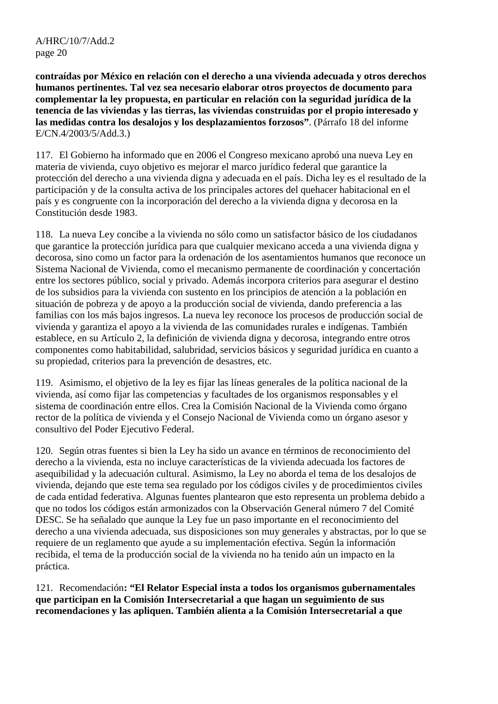**contraídas por México en relación con el derecho a una vivienda adecuada y otros derechos humanos pertinentes. Tal vez sea necesario elaborar otros proyectos de documento para complementar la ley propuesta, en particular en relación con la seguridad jurídica de la tenencia de las viviendas y las tierras, las viviendas construidas por el propio interesado y las medidas contra los desalojos y los desplazamientos forzosos"**. (Párrafo 18 del informe E/CN.4/2003/5/Add.3.)

117. El Gobierno ha informado que en 2006 el Congreso mexicano aprobó una nueva Ley en materia de vivienda, cuyo objetivo es mejorar el marco jurídico federal que garantice la protección del derecho a una vivienda digna y adecuada en el país. Dicha ley es el resultado de la participación y de la consulta activa de los principales actores del quehacer habitacional en el país y es congruente con la incorporación del derecho a la vivienda digna y decorosa en la Constitución desde 1983.

118. La nueva Ley concibe a la vivienda no sólo como un satisfactor básico de los ciudadanos que garantice la protección jurídica para que cualquier mexicano acceda a una vivienda digna y decorosa, sino como un factor para la ordenación de los asentamientos humanos que reconoce un Sistema Nacional de Vivienda, como el mecanismo permanente de coordinación y concertación entre los sectores público, social y privado. Además incorpora criterios para asegurar el destino de los subsidios para la vivienda con sustento en los principios de atención a la población en situación de pobreza y de apoyo a la producción social de vivienda, dando preferencia a las familias con los más bajos ingresos. La nueva ley reconoce los procesos de producción social de vivienda y garantiza el apoyo a la vivienda de las comunidades rurales e indígenas. También establece, en su Artículo 2, la definición de vivienda digna y decorosa, integrando entre otros componentes como habitabilidad, salubridad, servicios básicos y seguridad jurídica en cuanto a su propiedad, criterios para la prevención de desastres, etc.

119. Asimismo, el objetivo de la ley es fijar las líneas generales de la política nacional de la vivienda, así como fijar las competencias y facultades de los organismos responsables y el sistema de coordinación entre ellos. Crea la Comisión Nacional de la Vivienda como órgano rector de la política de vivienda y el Consejo Nacional de Vivienda como un órgano asesor y consultivo del Poder Ejecutivo Federal.

120. Según otras fuentes si bien la Ley ha sido un avance en términos de reconocimiento del derecho a la vivienda, esta no incluye características de la vivienda adecuada los factores de asequibilidad y la adecuación cultural. Asimismo, la Ley no aborda el tema de los desalojos de vivienda, dejando que este tema sea regulado por los códigos civiles y de procedimientos civiles de cada entidad federativa. Algunas fuentes plantearon que esto representa un problema debido a que no todos los códigos están armonizados con la Observación General número 7 del Comité DESC. Se ha señalado que aunque la Ley fue un paso importante en el reconocimiento del derecho a una vivienda adecuada, sus disposiciones son muy generales y abstractas, por lo que se requiere de un reglamento que ayude a su implementación efectiva. Según la información recibida, el tema de la producción social de la vivienda no ha tenido aún un impacto en la práctica.

121. Recomendación**: "El Relator Especial insta a todos los organismos gubernamentales que participan en la Comisión Intersecretarial a que hagan un seguimiento de sus recomendaciones y las apliquen. También alienta a la Comisión Intersecretarial a que**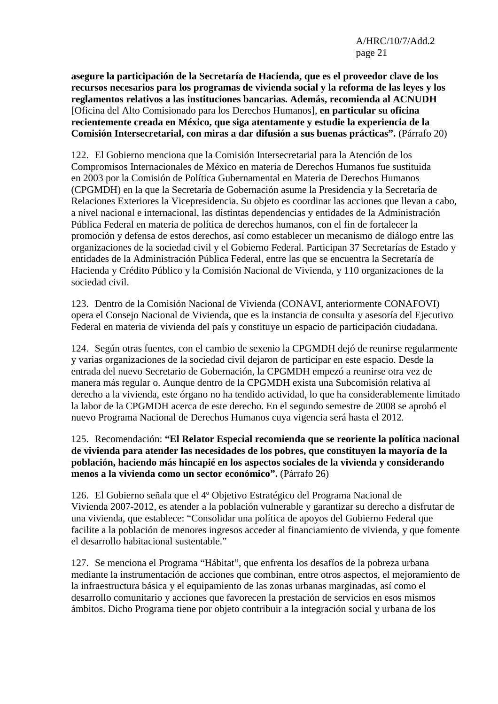**asegure la participación de la Secretaría de Hacienda, que es el proveedor clave de los recursos necesarios para los programas de vivienda social y la reforma de las leyes y los reglamentos relativos a las instituciones bancarias. Además, recomienda al ACNUDH**  [Oficina del Alto Comisionado para los Derechos Humanos], **en particular su oficina recientemente creada en México, que siga atentamente y estudie la experiencia de la Comisión Intersecretarial, con miras a dar difusión a sus buenas prácticas".** (Párrafo 20)

122. El Gobierno menciona que la Comisión Intersecretarial para la Atención de los Compromisos Internacionales de México en materia de Derechos Humanos fue sustituida en 2003 por la Comisión de Política Gubernamental en Materia de Derechos Humanos (CPGMDH) en la que la Secretaría de Gobernación asume la Presidencia y la Secretaría de Relaciones Exteriores la Vicepresidencia. Su objeto es coordinar las acciones que llevan a cabo, a nivel nacional e internacional, las distintas dependencias y entidades de la Administración Pública Federal en materia de política de derechos humanos, con el fin de fortalecer la promoción y defensa de estos derechos, así como establecer un mecanismo de diálogo entre las organizaciones de la sociedad civil y el Gobierno Federal. Participan 37 Secretarías de Estado y entidades de la Administración Pública Federal, entre las que se encuentra la Secretaría de Hacienda y Crédito Público y la Comisión Nacional de Vivienda, y 110 organizaciones de la sociedad civil.

123. Dentro de la Comisión Nacional de Vivienda (CONAVI, anteriormente CONAFOVI) opera el Consejo Nacional de Vivienda, que es la instancia de consulta y asesoría del Ejecutivo Federal en materia de vivienda del país y constituye un espacio de participación ciudadana.

124. Según otras fuentes, con el cambio de sexenio la CPGMDH dejó de reunirse regularmente y varias organizaciones de la sociedad civil dejaron de participar en este espacio*.* Desde la entrada del nuevo Secretario de Gobernación, la CPGMDH empezó a reunirse otra vez de manera más regular o. Aunque dentro de la CPGMDH exista una Subcomisión relativa al derecho a la vivienda, este órgano no ha tendido actividad, lo que ha considerablemente limitado la labor de la CPGMDH acerca de este derecho. En el segundo semestre de 2008 se aprobó el nuevo Programa Nacional de Derechos Humanos cuya vigencia será hasta el 2012*.* 

### 125. Recomendación: **"El Relator Especial recomienda que se reoriente la política nacional de vivienda para atender las necesidades de los pobres, que constituyen la mayoría de la población, haciendo más hincapié en los aspectos sociales de la vivienda y considerando menos a la vivienda como un sector económico".** (Párrafo 26)

126. El Gobierno señala que el 4º Objetivo Estratégico del Programa Nacional de Vivienda 2007-2012, es atender a la población vulnerable y garantizar su derecho a disfrutar de una vivienda, que establece: "Consolidar una política de apoyos del Gobierno Federal que facilite a la población de menores ingresos acceder al financiamiento de vivienda, y que fomente el desarrollo habitacional sustentable."

127. Se menciona el Programa "Hábitat", que enfrenta los desafíos de la pobreza urbana mediante la instrumentación de acciones que combinan, entre otros aspectos, el mejoramiento de la infraestructura básica y el equipamiento de las zonas urbanas marginadas, así como el desarrollo comunitario y acciones que favorecen la prestación de servicios en esos mismos ámbitos. Dicho Programa tiene por objeto contribuir a la integración social y urbana de los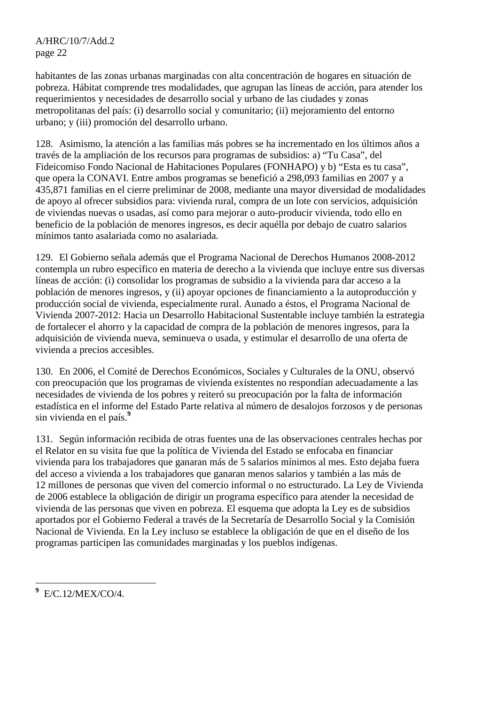habitantes de las zonas urbanas marginadas con alta concentración de hogares en situación de pobreza. Hábitat comprende tres modalidades, que agrupan las líneas de acción, para atender los requerimientos y necesidades de desarrollo social y urbano de las ciudades y zonas metropolitanas del país: (i) desarrollo social y comunitario; (ii) mejoramiento del entorno urbano; y (iii) promoción del desarrollo urbano.

128. Asimismo, la atención a las familias más pobres se ha incrementado en los últimos años a través de la ampliación de los recursos para programas de subsidios: a) "Tu Casa", del Fideicomiso Fondo Nacional de Habitaciones Populares (FONHAPO) y b) "Esta es tu casa", que opera la CONAVI. Entre ambos programas se benefició a 298,093 familias en 2007 y a 435,871 familias en el cierre preliminar de 2008, mediante una mayor diversidad de modalidades de apoyo al ofrecer subsidios para: vivienda rural, compra de un lote con servicios, adquisición de viviendas nuevas o usadas, así como para mejorar o auto-producir vivienda, todo ello en beneficio de la población de menores ingresos, es decir aquélla por debajo de cuatro salarios mínimos tanto asalariada como no asalariada.

129. El Gobierno señala además que el Programa Nacional de Derechos Humanos 2008-2012 contempla un rubro específico en materia de derecho a la vivienda que incluye entre sus diversas líneas de acción: (i) consolidar los programas de subsidio a la vivienda para dar acceso a la población de menores ingresos, y (ii) apoyar opciones de financiamiento a la autoproducción y producción social de vivienda, especialmente rural. Aunado a éstos, el Programa Nacional de Vivienda 2007-2012: Hacia un Desarrollo Habitacional Sustentable incluye también la estrategia de fortalecer el ahorro y la capacidad de compra de la población de menores ingresos, para la adquisición de vivienda nueva, seminueva o usada, y estimular el desarrollo de una oferta de vivienda a precios accesibles.

130. En 2006, el Comité de Derechos Económicos, Sociales y Culturales de la ONU, observó con preocupación que los programas de vivienda existentes no respondían adecuadamente a las necesidades de vivienda de los pobres y reiteró su preocupación por la falta de información estadística en el informe del Estado Parte relativa al número de desalojos forzosos y de personas sin vivienda en el país.**<sup>9</sup>**

131. Según información recibida de otras fuentes una de las observaciones centrales hechas por el Relator en su visita fue que la política de Vivienda del Estado se enfocaba en financiar vivienda para los trabajadores que ganaran más de 5 salarios mínimos al mes. Esto dejaba fuera del acceso a vivienda a los trabajadores que ganaran menos salarios y también a las más de 12 millones de personas que viven del comercio informal o no estructurado. La Ley de Vivienda de 2006 establece la obligación de dirigir un programa específico para atender la necesidad de vivienda de las personas que viven en pobreza. El esquema que adopta la Ley es de subsidios aportados por el Gobierno Federal a través de la Secretaría de Desarrollo Social y la Comisión Nacional de Vivienda. En la Ley incluso se establece la obligación de que en el diseño de los programas participen las comunidades marginadas y los pueblos indígenas.

**9** E/C.12/MEX/CO/4.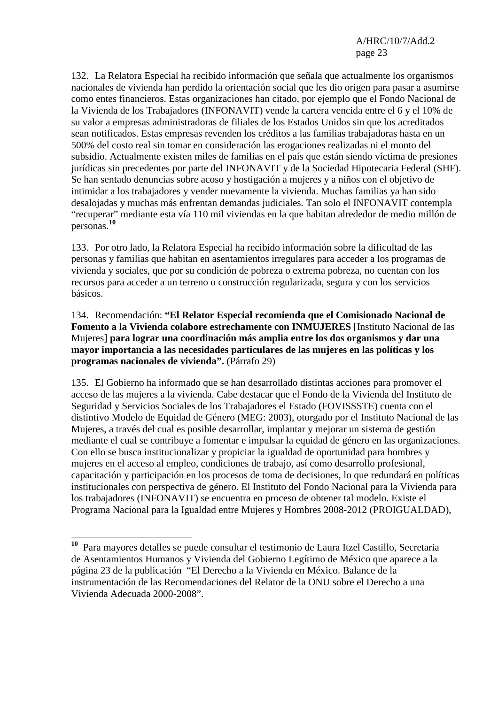132. La Relatora Especial ha recibido información que señala que actualmente los organismos nacionales de vivienda han perdido la orientación social que les dio origen para pasar a asumirse como entes financieros. Estas organizaciones han citado, por ejemplo que el Fondo Nacional de la Vivienda de los Trabajadores (INFONAVIT) vende la cartera vencida entre el 6 y el 10% de su valor a empresas administradoras de filiales de los Estados Unidos sin que los acreditados sean notificados. Estas empresas revenden los créditos a las familias trabajadoras hasta en un 500% del costo real sin tomar en consideración las erogaciones realizadas ni el monto del subsidio. Actualmente existen miles de familias en el país que están siendo víctima de presiones jurídicas sin precedentes por parte del INFONAVIT y de la Sociedad Hipotecaria Federal (SHF). Se han sentado denuncias sobre acoso y hostigación a mujeres y a niños con el objetivo de intimidar a los trabajadores y vender nuevamente la vivienda. Muchas familias ya han sido desalojadas y muchas más enfrentan demandas judiciales. Tan solo el INFONAVIT contempla "recuperar" mediante esta vía 110 mil viviendas en la que habitan alrededor de medio millón de personas.**<sup>10</sup>**

133. Por otro lado, la Relatora Especial ha recibido información sobre la dificultad de las personas y familias que habitan en asentamientos irregulares para acceder a los programas de vivienda y sociales, que por su condición de pobreza o extrema pobreza, no cuentan con los recursos para acceder a un terreno o construcción regularizada, segura y con los servicios básicos.

134. Recomendación: **"El Relator Especial recomienda que el Comisionado Nacional de Fomento a la Vivienda colabore estrechamente con INMUJERES** [Instituto Nacional de las Mujeres] **para lograr una coordinación más amplia entre los dos organismos y dar una mayor importancia a las necesidades particulares de las mujeres en las políticas y los programas nacionales de vivienda".** (Párrafo 29)

135. El Gobierno ha informado que se han desarrollado distintas acciones para promover el acceso de las mujeres a la vivienda. Cabe destacar que el Fondo de la Vivienda del Instituto de Seguridad y Servicios Sociales de los Trabajadores el Estado (FOVISSSTE) cuenta con el distintivo Modelo de Equidad de Género (MEG: 2003), otorgado por el Instituto Nacional de las Mujeres, a través del cual es posible desarrollar, implantar y mejorar un sistema de gestión mediante el cual se contribuye a fomentar e impulsar la equidad de género en las organizaciones. Con ello se busca institucionalizar y propiciar la igualdad de oportunidad para hombres y mujeres en el acceso al empleo, condiciones de trabajo, así como desarrollo profesional, capacitación y participación en los procesos de toma de decisiones, lo que redundará en políticas institucionales con perspectiva de género. El Instituto del Fondo Nacional para la Vivienda para los trabajadores (INFONAVIT) se encuentra en proceso de obtener tal modelo. Existe el Programa Nacional para la Igualdad entre Mujeres y Hombres 2008-2012 (PROIGUALDAD),

 $\overline{a}$ 

**<sup>10</sup>** Para mayores detalles se puede consultar el testimonio de Laura Itzel Castillo, Secretaria de Asentamientos Humanos y Vivienda del Gobierno Legítimo de México que aparece a la página 23 de la publicación "El Derecho a la Vivienda en México. Balance de la instrumentación de las Recomendaciones del Relator de la ONU sobre el Derecho a una Vivienda Adecuada 2000-2008".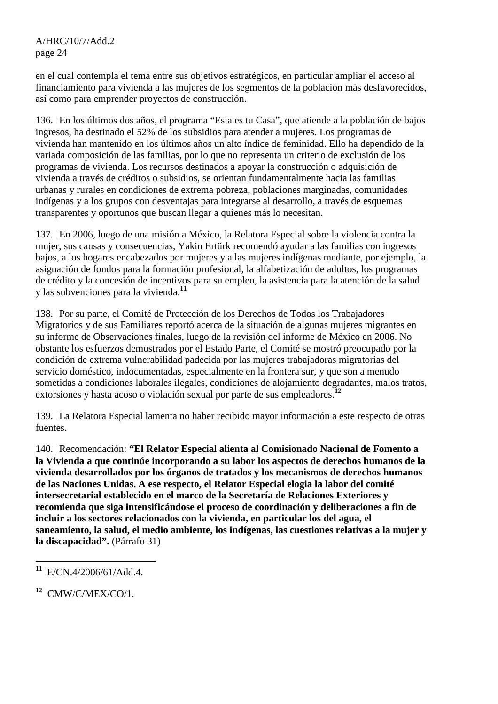en el cual contempla el tema entre sus objetivos estratégicos, en particular ampliar el acceso al financiamiento para vivienda a las mujeres de los segmentos de la población más desfavorecidos, así como para emprender proyectos de construcción.

136. En los últimos dos años, el programa "Esta es tu Casa", que atiende a la población de bajos ingresos, ha destinado el 52% de los subsidios para atender a mujeres. Los programas de vivienda han mantenido en los últimos años un alto índice de feminidad. Ello ha dependido de la variada composición de las familias, por lo que no representa un criterio de exclusión de los programas de vivienda. Los recursos destinados a apoyar la construcción o adquisición de vivienda a través de créditos o subsidios, se orientan fundamentalmente hacia las familias urbanas y rurales en condiciones de extrema pobreza, poblaciones marginadas, comunidades indígenas y a los grupos con desventajas para integrarse al desarrollo, a través de esquemas transparentes y oportunos que buscan llegar a quienes más lo necesitan.

137. En 2006, luego de una misión a México, la Relatora Especial sobre la violencia contra la mujer, sus causas y consecuencias, Yakin Ertürk recomendó ayudar a las familias con ingresos bajos, a los hogares encabezados por mujeres y a las mujeres indígenas mediante, por ejemplo, la asignación de fondos para la formación profesional, la alfabetización de adultos, los programas de crédito y la concesión de incentivos para su empleo, la asistencia para la atención de la salud y las subvenciones para la vivienda.**<sup>11</sup>**

138. Por su parte, el Comité de Protección de los Derechos de Todos los Trabajadores Migratorios y de sus Familiares reportó acerca de la situación de algunas mujeres migrantes en su informe de Observaciones finales, luego de la revisión del informe de México en 2006. No obstante los esfuerzos demostrados por el Estado Parte, el Comité se mostró preocupado por la condición de extrema vulnerabilidad padecida por las mujeres trabajadoras migratorias del servicio doméstico, indocumentadas, especialmente en la frontera sur, y que son a menudo sometidas a condiciones laborales ilegales, condiciones de alojamiento degradantes, malos tratos, extorsiones y hasta acoso o violación sexual por parte de sus empleadores.**<sup>12</sup>**

139. La Relatora Especial lamenta no haber recibido mayor información a este respecto de otras fuentes.

140. Recomendación: **"El Relator Especial alienta al Comisionado Nacional de Fomento a la Vivienda a que continúe incorporando a su labor los aspectos de derechos humanos de la vivienda desarrollados por los órganos de tratados y los mecanismos de derechos humanos de las Naciones Unidas. A ese respecto, el Relator Especial elogia la labor del comité intersecretarial establecido en el marco de la Secretaría de Relaciones Exteriores y recomienda que siga intensificándose el proceso de coordinación y deliberaciones a fin de incluir a los sectores relacionados con la vivienda, en particular los del agua, el saneamiento, la salud, el medio ambiente, los indígenas, las cuestiones relativas a la mujer y la discapacidad".** (Párrafo 31)

 $\overline{a}$ **<sup>11</sup>** E/CN.4/2006/61/Add.4.

**<sup>12</sup>** CMW/C/MEX/CO/1.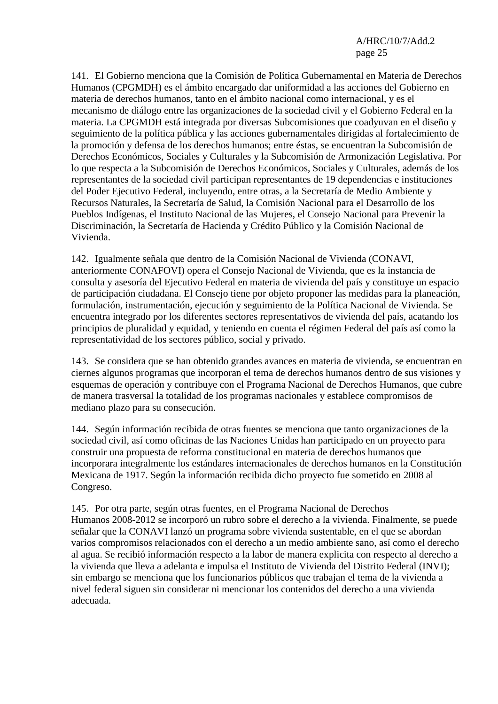141. El Gobierno menciona que la Comisión de Política Gubernamental en Materia de Derechos Humanos (CPGMDH) es el ámbito encargado dar uniformidad a las acciones del Gobierno en materia de derechos humanos, tanto en el ámbito nacional como internacional, y es el mecanismo de diálogo entre las organizaciones de la sociedad civil y el Gobierno Federal en la materia. La CPGMDH está integrada por diversas Subcomisiones que coadyuvan en el diseño y seguimiento de la política pública y las acciones gubernamentales dirigidas al fortalecimiento de la promoción y defensa de los derechos humanos; entre éstas, se encuentran la Subcomisión de Derechos Económicos, Sociales y Culturales y la Subcomisión de Armonización Legislativa. Por lo que respecta a la Subcomisión de Derechos Económicos, Sociales y Culturales, además de los representantes de la sociedad civil participan representantes de 19 dependencias e instituciones del Poder Ejecutivo Federal, incluyendo, entre otras, a la Secretaría de Medio Ambiente y Recursos Naturales, la Secretaría de Salud, la Comisión Nacional para el Desarrollo de los Pueblos Indígenas, el Instituto Nacional de las Mujeres, el Consejo Nacional para Prevenir la Discriminación, la Secretaría de Hacienda y Crédito Público y la Comisión Nacional de Vivienda.

142. Igualmente señala que dentro de la Comisión Nacional de Vivienda (CONAVI, anteriormente CONAFOVI) opera el Consejo Nacional de Vivienda, que es la instancia de consulta y asesoría del Ejecutivo Federal en materia de vivienda del país y constituye un espacio de participación ciudadana. El Consejo tiene por objeto proponer las medidas para la planeación, formulación, instrumentación, ejecución y seguimiento de la Política Nacional de Vivienda. Se encuentra integrado por los diferentes sectores representativos de vivienda del país, acatando los principios de pluralidad y equidad, y teniendo en cuenta el régimen Federal del país así como la representatividad de los sectores público, social y privado.

143. Se considera que se han obtenido grandes avances en materia de vivienda, se encuentran en ciernes algunos programas que incorporan el tema de derechos humanos dentro de sus visiones y esquemas de operación y contribuye con el Programa Nacional de Derechos Humanos, que cubre de manera trasversal la totalidad de los programas nacionales y establece compromisos de mediano plazo para su consecución.

144. Según información recibida de otras fuentes se menciona que tanto organizaciones de la sociedad civil, así como oficinas de las Naciones Unidas han participado en un proyecto para construir una propuesta de reforma constitucional en materia de derechos humanos que incorporara integralmente los estándares internacionales de derechos humanos en la Constitución Mexicana de 1917. Según la información recibida dicho proyecto fue sometido en 2008 al Congreso.

145. Por otra parte, según otras fuentes, en el Programa Nacional de Derechos Humanos 2008-2012 se incorporó un rubro sobre el derecho a la vivienda. Finalmente, se puede señalar que la CONAVI lanzó un programa sobre vivienda sustentable, en el que se abordan varios compromisos relacionados con el derecho a un medio ambiente sano, así como el derecho al agua. Se recibió información respecto a la labor de manera explicita con respecto al derecho a la vivienda que lleva a adelanta e impulsa el Instituto de Vivienda del Distrito Federal (INVI); sin embargo se menciona que los funcionarios públicos que trabajan el tema de la vivienda a nivel federal siguen sin considerar ni mencionar los contenidos del derecho a una vivienda adecuada.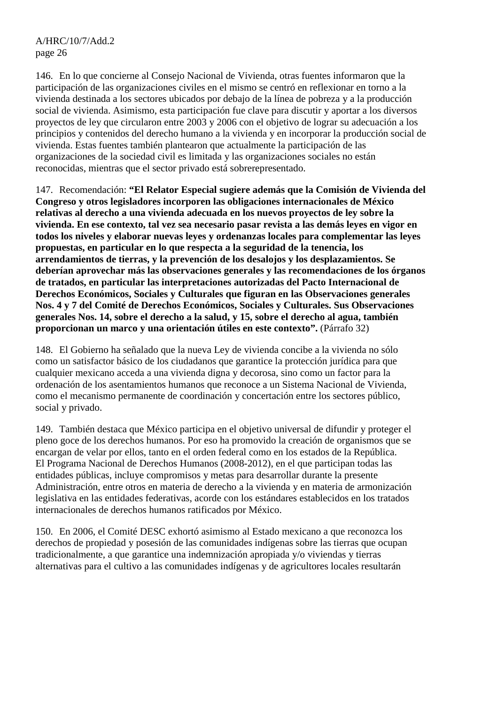146. En lo que concierne al Consejo Nacional de Vivienda, otras fuentes informaron que la participación de las organizaciones civiles en el mismo se centró en reflexionar en torno a la vivienda destinada a los sectores ubicados por debajo de la línea de pobreza y a la producción social de vivienda. Asimismo, esta participación fue clave para discutir y aportar a los diversos proyectos de ley que circularon entre 2003 y 2006 con el objetivo de lograr su adecuación a los principios y contenidos del derecho humano a la vivienda y en incorporar la producción social de vivienda. Estas fuentes también plantearon que actualmente la participación de las organizaciones de la sociedad civil es limitada y las organizaciones sociales no están reconocidas, mientras que el sector privado está sobrerepresentado.

147. Recomendación: **"El Relator Especial sugiere además que la Comisión de Vivienda del Congreso y otros legisladores incorporen las obligaciones internacionales de México relativas al derecho a una vivienda adecuada en los nuevos proyectos de ley sobre la vivienda. En ese contexto, tal vez sea necesario pasar revista a las demás leyes en vigor en todos los niveles y elaborar nuevas leyes y ordenanzas locales para complementar las leyes propuestas, en particular en lo que respecta a la seguridad de la tenencia, los arrendamientos de tierras, y la prevención de los desalojos y los desplazamientos. Se deberían aprovechar más las observaciones generales y las recomendaciones de los órganos de tratados, en particular las interpretaciones autorizadas del Pacto Internacional de Derechos Económicos, Sociales y Culturales que figuran en las Observaciones generales Nos. 4 y 7 del Comité de Derechos Económicos, Sociales y Culturales. Sus Observaciones generales Nos. 14, sobre el derecho a la salud, y 15, sobre el derecho al agua, también proporcionan un marco y una orientación útiles en este contexto".** (Párrafo 32)

148. El Gobierno ha señalado que la nueva Ley de vivienda concibe a la vivienda no sólo como un satisfactor básico de los ciudadanos que garantice la protección jurídica para que cualquier mexicano acceda a una vivienda digna y decorosa, sino como un factor para la ordenación de los asentamientos humanos que reconoce a un Sistema Nacional de Vivienda, como el mecanismo permanente de coordinación y concertación entre los sectores público, social y privado.

149. También destaca que México participa en el objetivo universal de difundir y proteger el pleno goce de los derechos humanos. Por eso ha promovido la creación de organismos que se encargan de velar por ellos, tanto en el orden federal como en los estados de la República. El Programa Nacional de Derechos Humanos (2008-2012), en el que participan todas las entidades públicas, incluye compromisos y metas para desarrollar durante la presente Administración, entre otros en materia de derecho a la vivienda y en materia de armonización legislativa en las entidades federativas, acorde con los estándares establecidos en los tratados internacionales de derechos humanos ratificados por México.

150. En 2006, el Comité DESC exhortó asimismo al Estado mexicano a que reconozca los derechos de propiedad y posesión de las comunidades indígenas sobre las tierras que ocupan tradicionalmente, a que garantice una indemnización apropiada y/o viviendas y tierras alternativas para el cultivo a las comunidades indígenas y de agricultores locales resultarán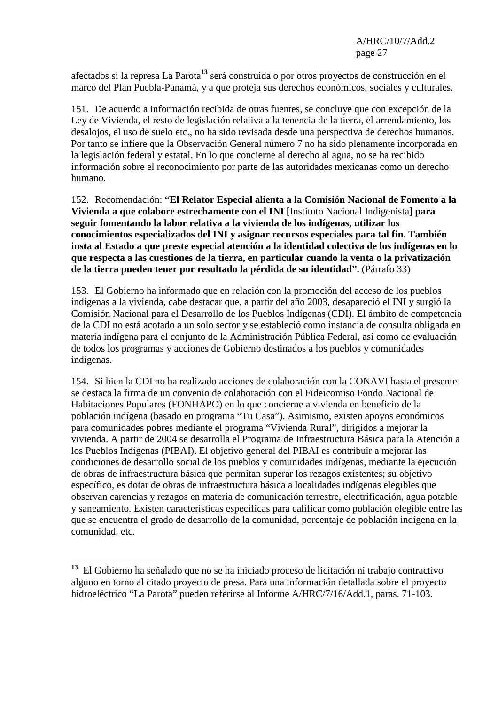afectados si la represa La Parota**<sup>13</sup>** será construida o por otros proyectos de construcción en el marco del Plan Puebla-Panamá, y a que proteja sus derechos económicos, sociales y culturales.

151. De acuerdo a información recibida de otras fuentes, se concluye que con excepción de la Ley de Vivienda, el resto de legislación relativa a la tenencia de la tierra, el arrendamiento, los desalojos, el uso de suelo etc., no ha sido revisada desde una perspectiva de derechos humanos. Por tanto se infiere que la Observación General número 7 no ha sido plenamente incorporada en la legislación federal y estatal. En lo que concierne al derecho al agua, no se ha recibido información sobre el reconocimiento por parte de las autoridades mexicanas como un derecho humano.

152. Recomendación: **"El Relator Especial alienta a la Comisión Nacional de Fomento a la Vivienda a que colabore estrechamente con el INI** [Instituto Nacional Indigenista] **para seguir fomentando la labor relativa a la vivienda de los indígenas, utilizar los conocimientos especializados del INI y asignar recursos especiales para tal fin. También insta al Estado a que preste especial atención a la identidad colectiva de los indígenas en lo que respecta a las cuestiones de la tierra, en particular cuando la venta o la privatización de la tierra pueden tener por resultado la pérdida de su identidad".** (Párrafo 33)

153. El Gobierno ha informado que en relación con la promoción del acceso de los pueblos indígenas a la vivienda, cabe destacar que, a partir del año 2003, desapareció el INI y surgió la Comisión Nacional para el Desarrollo de los Pueblos Indígenas (CDI). El ámbito de competencia de la CDI no está acotado a un solo sector y se estableció como instancia de consulta obligada en materia indígena para el conjunto de la Administración Pública Federal, así como de evaluación de todos los programas y acciones de Gobierno destinados a los pueblos y comunidades indígenas.

154. Si bien la CDI no ha realizado acciones de colaboración con la CONAVI hasta el presente se destaca la firma de un convenio de colaboración con el Fideicomiso Fondo Nacional de Habitaciones Populares (FONHAPO) en lo que concierne a vivienda en beneficio de la población indígena (basado en programa "Tu Casa"). Asimismo, existen apoyos económicos para comunidades pobres mediante el programa "Vivienda Rural", dirigidos a mejorar la vivienda. A partir de 2004 se desarrolla el Programa de Infraestructura Básica para la Atención a los Pueblos Indígenas (PIBAI). El objetivo general del PIBAI es contribuir a mejorar las condiciones de desarrollo social de los pueblos y comunidades indígenas, mediante la ejecución de obras de infraestructura básica que permitan superar los rezagos existentes; su objetivo específico, es dotar de obras de infraestructura básica a localidades indígenas elegibles que observan carencias y rezagos en materia de comunicación terrestre, electrificación, agua potable y saneamiento. Existen características específicas para calificar como población elegible entre las que se encuentra el grado de desarrollo de la comunidad, porcentaje de población indígena en la comunidad, etc.

 $\overline{a}$ 

**<sup>13</sup>** El Gobierno ha señalado que no se ha iniciado proceso de licitación ni trabajo contractivo alguno en torno al citado proyecto de presa. Para una información detallada sobre el proyecto hidroeléctrico "La Parota" pueden referirse al Informe A/HRC/7/16/Add.1, paras. 71-103.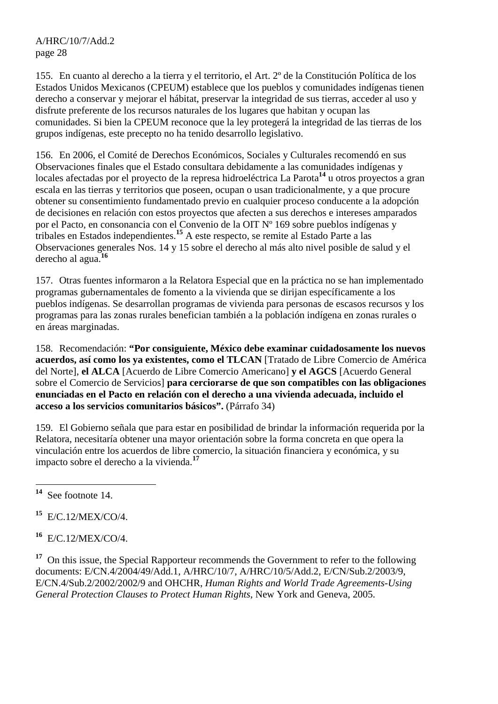155. En cuanto al derecho a la tierra y el territorio, el Art. 2º de la Constitución Política de los Estados Unidos Mexicanos (CPEUM) establece que los pueblos y comunidades indígenas tienen derecho a conservar y mejorar el hábitat, preservar la integridad de sus tierras, acceder al uso y disfrute preferente de los recursos naturales de los lugares que habitan y ocupan las comunidades. Si bien la CPEUM reconoce que la ley protegerá la integridad de las tierras de los grupos indígenas, este precepto no ha tenido desarrollo legislativo.

156. En 2006, el Comité de Derechos Económicos, Sociales y Culturales recomendó en sus Observaciones finales que el Estado consultara debidamente a las comunidades indígenas y locales afectadas por el proyecto de la represa hidroeléctrica La Parota**<sup>14</sup>** u otros proyectos a gran escala en las tierras y territorios que poseen, ocupan o usan tradicionalmente, y a que procure obtener su consentimiento fundamentado previo en cualquier proceso conducente a la adopción de decisiones en relación con estos proyectos que afecten a sus derechos e intereses amparados por el Pacto, en consonancia con el Convenio de la OIT Nº 169 sobre pueblos indígenas y tribales en Estados independientes.**<sup>15</sup>** A este respecto, se remite al Estado Parte a las Observaciones generales Nos. 14 y 15 sobre el derecho al más alto nivel posible de salud y el derecho al agua.**<sup>16</sup>**

157. Otras fuentes informaron a la Relatora Especial que en la práctica no se han implementado programas gubernamentales de fomento a la vivienda que se dirijan específicamente a los pueblos indígenas. Se desarrollan programas de vivienda para personas de escasos recursos y los programas para las zonas rurales benefician también a la población indígena en zonas rurales o en áreas marginadas.

158. Recomendación: **"Por consiguiente, México debe examinar cuidadosamente los nuevos acuerdos, así como los ya existentes, como el TLCAN** [Tratado de Libre Comercio de América del Norte], **el ALCA** [Acuerdo de Libre Comercio Americano] **y el AGCS** [Acuerdo General sobre el Comercio de Servicios] **para cerciorarse de que son compatibles con las obligaciones enunciadas en el Pacto en relación con el derecho a una vivienda adecuada, incluido el acceso a los servicios comunitarios básicos".** (Párrafo 34)

159. El Gobierno señala que para estar en posibilidad de brindar la información requerida por la Relatora, necesitaría obtener una mayor orientación sobre la forma concreta en que opera la vinculación entre los acuerdos de libre comercio, la situación financiera y económica, y su impacto sobre el derecho a la vivienda.**<sup>17</sup>**

**<sup>15</sup>** E/C.12/MEX/CO/4.

**<sup>16</sup>** E/C.12/MEX/CO/4.

<sup>17</sup> On this issue, the Special Rapporteur recommends the Government to refer to the following documents: E/CN.4/2004/49/Add.1, A/HRC/10/7, A/HRC/10/5/Add.2, E/CN/Sub.2/2003/9, E/CN.4/Sub.2/2002/2002/9 and OHCHR, *Human Rights and World Trade Agreements-Using General Protection Clauses to Protect Human Rights*, New York and Geneva, 2005.

<sup>14</sup> **<sup>14</sup>** See footnote 14.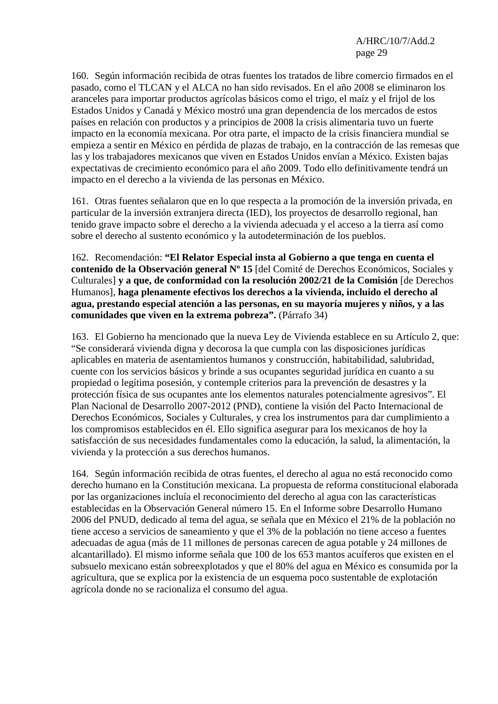160. Según información recibida de otras fuentes los tratados de libre comercio firmados en el pasado, como el TLCAN y el ALCA no han sido revisados. En el año 2008 se eliminaron los aranceles para importar productos agrícolas básicos como el trigo, el maíz y el frijol de los Estados Unidos y Canadá y México mostró una gran dependencia de los mercados de estos países en relación con productos y a principios de 2008 la crisis alimentaria tuvo un fuerte impacto en la economía mexicana. Por otra parte, el impacto de la crisis financiera mundial se empieza a sentir en México en pérdida de plazas de trabajo, en la contracción de las remesas que las y los trabajadores mexicanos que viven en Estados Unidos envían a México. Existen bajas expectativas de crecimiento económico para el año 2009. Todo ello definitivamente tendrá un impacto en el derecho a la vivienda de las personas en México.

161. Otras fuentes señalaron que en lo que respecta a la promoción de la inversión privada, en particular de la inversión extranjera directa (IED), los proyectos de desarrollo regional, han tenido grave impacto sobre el derecho a la vivienda adecuada y el acceso a la tierra así como sobre el derecho al sustento económico y la autodeterminación de los pueblos.

162. Recomendación: **"El Relator Especial insta al Gobierno a que tenga en cuenta el contenido de la Observación general Nº 15** [del Comité de Derechos Económicos, Sociales y Culturales] **y a que, de conformidad con la resolución 2002/21 de la Comisión** [de Derechos Humanos], **haga plenamente efectivos los derechos a la vivienda, incluido el derecho al agua, prestando especial atención a las personas, en su mayoría mujeres y niños, y a las comunidades que viven en la extrema pobreza".** (Párrafo 34)

163. El Gobierno ha mencionado que la nueva Ley de Vivienda establece en su Artículo 2, que: "Se considerará vivienda digna y decorosa la que cumpla con las disposiciones jurídicas aplicables en materia de asentamientos humanos y construcción, habitabilidad, salubridad, cuente con los servicios básicos y brinde a sus ocupantes seguridad jurídica en cuanto a su propiedad o legítima posesión, y contemple criterios para la prevención de desastres y la protección física de sus ocupantes ante los elementos naturales potencialmente agresivos". El Plan Nacional de Desarrollo 2007-2012 (PND), contiene la visión del Pacto Internacional de Derechos Económicos, Sociales y Culturales, y crea los instrumentos para dar cumplimiento a los compromisos establecidos en él. Ello significa asegurar para los mexicanos de hoy la satisfacción de sus necesidades fundamentales como la educación, la salud, la alimentación, la vivienda y la protección a sus derechos humanos.

164. Según información recibida de otras fuentes, el derecho al agua no está reconocido como derecho humano en la Constitución mexicana. La propuesta de reforma constitucional elaborada por las organizaciones incluía el reconocimiento del derecho al agua con las características establecidas en la Observación General número 15. En el Informe sobre Desarrollo Humano 2006 del PNUD, dedicado al tema del agua, se señala que en México el 21% de la población no tiene acceso a servicios de saneamiento y que el 3% de la población no tiene acceso a fuentes adecuadas de agua (más de 11 millones de personas carecen de agua potable y 24 millones de alcantarillado). El mismo informe señala que 100 de los 653 mantos acuíferos que existen en el subsuelo mexicano están sobreexplotados y que el 80% del agua en México es consumida por la agricultura, que se explica por la existencia de un esquema poco sustentable de explotación agrícola donde no se racionaliza el consumo del agua.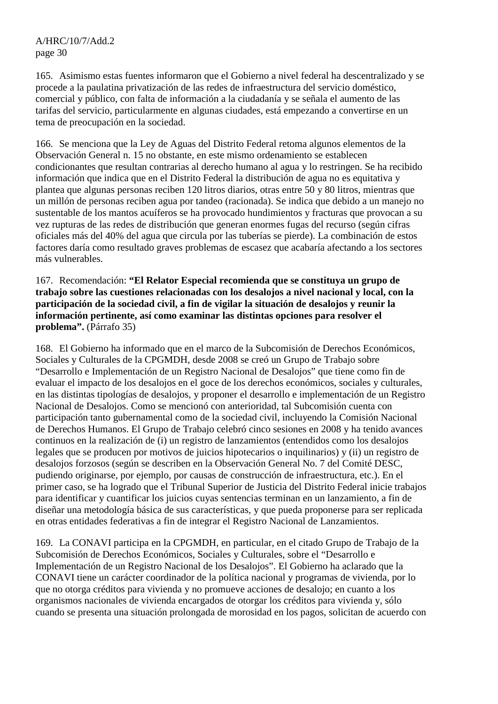165. Asimismo estas fuentes informaron que el Gobierno a nivel federal ha descentralizado y se procede a la paulatina privatización de las redes de infraestructura del servicio doméstico, comercial y público, con falta de información a la ciudadanía y se señala el aumento de las tarifas del servicio, particularmente en algunas ciudades, está empezando a convertirse en un tema de preocupación en la sociedad.

166. Se menciona que la Ley de Aguas del Distrito Federal retoma algunos elementos de la Observación General n. 15 no obstante, en este mismo ordenamiento se establecen condicionantes que resultan contrarias al derecho humano al agua y lo restringen. Se ha recibido información que indica que en el Distrito Federal la distribución de agua no es equitativa y plantea que algunas personas reciben 120 litros diarios, otras entre 50 y 80 litros, mientras que un millón de personas reciben agua por tandeo (racionada). Se indica que debido a un manejo no sustentable de los mantos acuíferos se ha provocado hundimientos y fracturas que provocan a su vez rupturas de las redes de distribución que generan enormes fugas del recurso (según cifras oficiales más del 40% del agua que circula por las tuberías se pierde). La combinación de estos factores daría como resultado graves problemas de escasez que acabaría afectando a los sectores más vulnerables.

167. Recomendación: **"El Relator Especial recomienda que se constituya un grupo de trabajo sobre las cuestiones relacionadas con los desalojos a nivel nacional y local, con la participación de la sociedad civil, a fin de vigilar la situación de desalojos y reunir la información pertinente, así como examinar las distintas opciones para resolver el problema".** (Párrafo 35)

168. El Gobierno ha informado que en el marco de la Subcomisión de Derechos Económicos, Sociales y Culturales de la CPGMDH, desde 2008 se creó un Grupo de Trabajo sobre "Desarrollo e Implementación de un Registro Nacional de Desalojos" que tiene como fin de evaluar el impacto de los desalojos en el goce de los derechos económicos, sociales y culturales, en las distintas tipologías de desalojos, y proponer el desarrollo e implementación de un Registro Nacional de Desalojos. Como se mencionó con anterioridad, tal Subcomisión cuenta con participación tanto gubernamental como de la sociedad civil, incluyendo la Comisión Nacional de Derechos Humanos. El Grupo de Trabajo celebró cinco sesiones en 2008 y ha tenido avances continuos en la realización de (i) un registro de lanzamientos (entendidos como los desalojos legales que se producen por motivos de juicios hipotecarios o inquilinarios) y (ii) un registro de desalojos forzosos (según se describen en la Observación General No. 7 del Comité DESC, pudiendo originarse, por ejemplo, por causas de construcción de infraestructura, etc.). En el primer caso, se ha logrado que el Tribunal Superior de Justicia del Distrito Federal inicie trabajos para identificar y cuantificar los juicios cuyas sentencias terminan en un lanzamiento, a fin de diseñar una metodología básica de sus características, y que pueda proponerse para ser replicada en otras entidades federativas a fin de integrar el Registro Nacional de Lanzamientos.

169. La CONAVI participa en la CPGMDH, en particular, en el citado Grupo de Trabajo de la Subcomisión de Derechos Económicos, Sociales y Culturales, sobre el "Desarrollo e Implementación de un Registro Nacional de los Desalojos". El Gobierno ha aclarado que la CONAVI tiene un carácter coordinador de la política nacional y programas de vivienda, por lo que no otorga créditos para vivienda y no promueve acciones de desalojo; en cuanto a los organismos nacionales de vivienda encargados de otorgar los créditos para vivienda y, sólo cuando se presenta una situación prolongada de morosidad en los pagos, solicitan de acuerdo con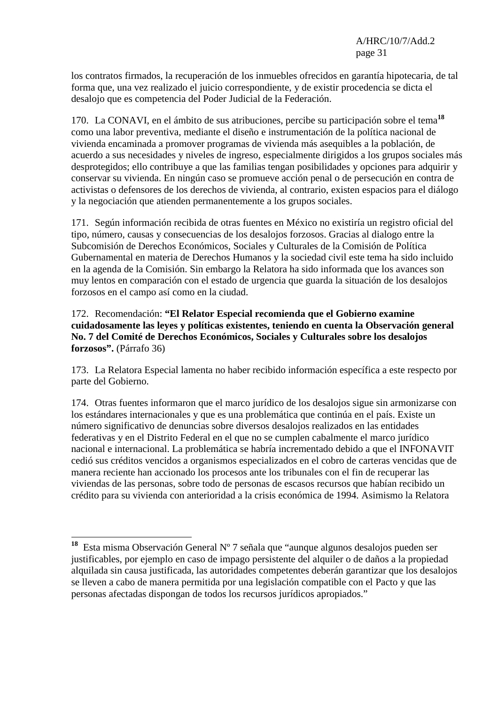los contratos firmados, la recuperación de los inmuebles ofrecidos en garantía hipotecaria, de tal forma que, una vez realizado el juicio correspondiente, y de existir procedencia se dicta el desalojo que es competencia del Poder Judicial de la Federación.

170. La CONAVI, en el ámbito de sus atribuciones, percibe su participación sobre el tema**<sup>18</sup>** como una labor preventiva, mediante el diseño e instrumentación de la política nacional de vivienda encaminada a promover programas de vivienda más asequibles a la población, de acuerdo a sus necesidades y niveles de ingreso, especialmente dirigidos a los grupos sociales más desprotegidos; ello contribuye a que las familias tengan posibilidades y opciones para adquirir y conservar su vivienda. En ningún caso se promueve acción penal o de persecución en contra de activistas o defensores de los derechos de vivienda, al contrario, existen espacios para el diálogo y la negociación que atienden permanentemente a los grupos sociales.

171. Según información recibida de otras fuentes en México no existiría un registro oficial del tipo, número, causas y consecuencias de los desalojos forzosos. Gracias al dialogo entre la Subcomisión de Derechos Económicos, Sociales y Culturales de la Comisión de Política Gubernamental en materia de Derechos Humanos y la sociedad civil este tema ha sido incluido en la agenda de la Comisión. Sin embargo la Relatora ha sido informada que los avances son muy lentos en comparación con el estado de urgencia que guarda la situación de los desalojos forzosos en el campo así como en la ciudad.

172. Recomendación: **"El Relator Especial recomienda que el Gobierno examine cuidadosamente las leyes y políticas existentes, teniendo en cuenta la Observación general No. 7 del Comité de Derechos Económicos, Sociales y Culturales sobre los desalojos forzosos".** (Párrafo 36)

173. La Relatora Especial lamenta no haber recibido información específica a este respecto por parte del Gobierno.

174. Otras fuentes informaron que el marco jurídico de los desalojos sigue sin armonizarse con los estándares internacionales y que es una problemática que continúa en el país. Existe un número significativo de denuncias sobre diversos desalojos realizados en las entidades federativas y en el Distrito Federal en el que no se cumplen cabalmente el marco jurídico nacional e internacional. La problemática se habría incrementado debido a que el INFONAVIT cedió sus créditos vencidos a organismos especializados en el cobro de carteras vencidas que de manera reciente han accionado los procesos ante los tribunales con el fin de recuperar las viviendas de las personas, sobre todo de personas de escasos recursos que habían recibido un crédito para su vivienda con anterioridad a la crisis económica de 1994. Asimismo la Relatora

 ${\bf 18}$ **<sup>18</sup>** Esta misma Observación General Nº 7 señala que "aunque algunos desalojos pueden ser justificables, por ejemplo en caso de impago persistente del alquiler o de daños a la propiedad alquilada sin causa justificada, las autoridades competentes deberán garantizar que los desalojos se lleven a cabo de manera permitida por una legislación compatible con el Pacto y que las personas afectadas dispongan de todos los recursos jurídicos apropiados."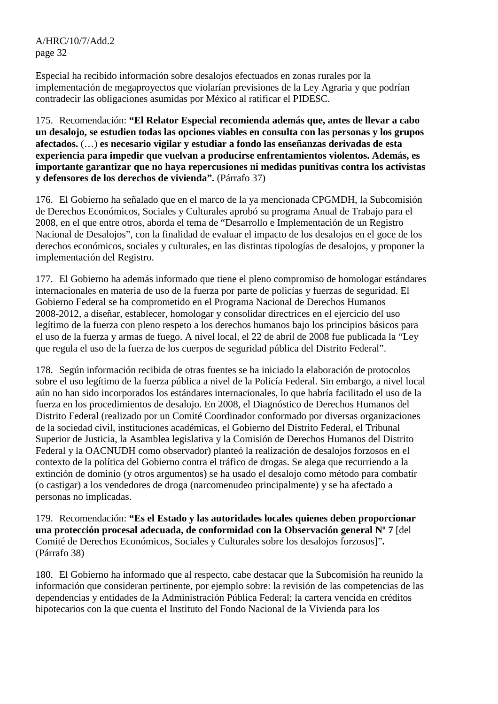Especial ha recibido información sobre desalojos efectuados en zonas rurales por la implementación de megaproyectos que violarían previsiones de la Ley Agraria y que podrían contradecir las obligaciones asumidas por México al ratificar el PIDESC.

175. Recomendación: **"El Relator Especial recomienda además que, antes de llevar a cabo un desalojo, se estudien todas las opciones viables en consulta con las personas y los grupos afectados.** (…) **es necesario vigilar y estudiar a fondo las enseñanzas derivadas de esta experiencia para impedir que vuelvan a producirse enfrentamientos violentos. Además, es importante garantizar que no haya repercusiones ni medidas punitivas contra los activistas y defensores de los derechos de vivienda".** (Párrafo 37)

176. El Gobierno ha señalado que en el marco de la ya mencionada CPGMDH, la Subcomisión de Derechos Económicos, Sociales y Culturales aprobó su programa Anual de Trabajo para el 2008, en el que entre otros, aborda el tema de "Desarrollo e Implementación de un Registro Nacional de Desalojos", con la finalidad de evaluar el impacto de los desalojos en el goce de los derechos económicos, sociales y culturales, en las distintas tipologías de desalojos, y proponer la implementación del Registro.

177. El Gobierno ha además informado que tiene el pleno compromiso de homologar estándares internacionales en materia de uso de la fuerza por parte de policías y fuerzas de seguridad. El Gobierno Federal se ha comprometido en el Programa Nacional de Derechos Humanos 2008-2012, a diseñar, establecer, homologar y consolidar directrices en el ejercicio del uso legítimo de la fuerza con pleno respeto a los derechos humanos bajo los principios básicos para el uso de la fuerza y armas de fuego. A nivel local, el 22 de abril de 2008 fue publicada la "Ley que regula el uso de la fuerza de los cuerpos de seguridad pública del Distrito Federal".

178. Según información recibida de otras fuentes se ha iniciado la elaboración de protocolos sobre el uso legítimo de la fuerza pública a nivel de la Policía Federal. Sin embargo, a nivel local aún no han sido incorporados los estándares internacionales, lo que habría facilitado el uso de la fuerza en los procedimientos de desalojo. En 2008, el Diagnóstico de Derechos Humanos del Distrito Federal (realizado por un Comité Coordinador conformado por diversas organizaciones de la sociedad civil, instituciones académicas, el Gobierno del Distrito Federal, el Tribunal Superior de Justicia, la Asamblea legislativa y la Comisión de Derechos Humanos del Distrito Federal y la OACNUDH como observador) planteó la realización de desalojos forzosos en el contexto de la política del Gobierno contra el tráfico de drogas. Se alega que recurriendo a la extinción de dominio (y otros argumentos) se ha usado el desalojo como método para combatir (o castigar) a los vendedores de droga (narcomenudeo principalmente) y se ha afectado a personas no implicadas.

179. Recomendación: **"Es el Estado y las autoridades locales quienes deben proporcionar una protección procesal adecuada, de conformidad con la Observación general Nº 7** [del Comité de Derechos Económicos, Sociales y Culturales sobre los desalojos forzosos]"**.** (Párrafo 38)

180. El Gobierno ha informado que al respecto, cabe destacar que la Subcomisión ha reunido la información que consideran pertinente, por ejemplo sobre: la revisión de las competencias de las dependencias y entidades de la Administración Pública Federal; la cartera vencida en créditos hipotecarios con la que cuenta el Instituto del Fondo Nacional de la Vivienda para los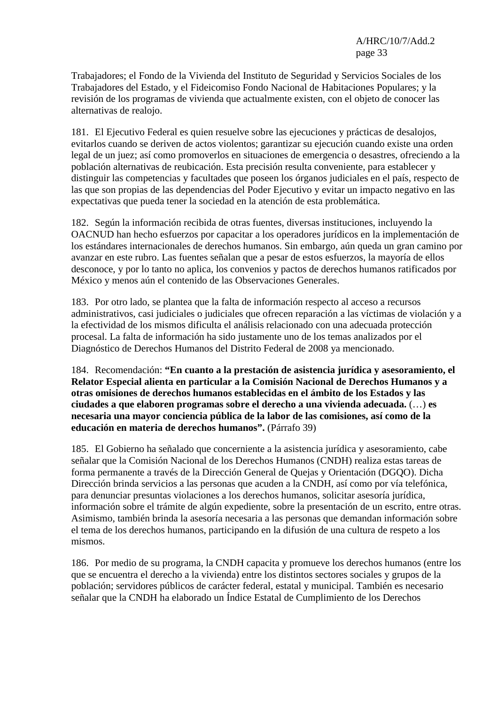Trabajadores; el Fondo de la Vivienda del Instituto de Seguridad y Servicios Sociales de los Trabajadores del Estado, y el Fideicomiso Fondo Nacional de Habitaciones Populares; y la revisión de los programas de vivienda que actualmente existen, con el objeto de conocer las alternativas de realojo.

181. El Ejecutivo Federal es quien resuelve sobre las ejecuciones y prácticas de desalojos, evitarlos cuando se deriven de actos violentos; garantizar su ejecución cuando existe una orden legal de un juez; así como promoverlos en situaciones de emergencia o desastres, ofreciendo a la población alternativas de reubicación. Esta precisión resulta conveniente, para establecer y distinguir las competencias y facultades que poseen los órganos judiciales en el país, respecto de las que son propias de las dependencias del Poder Ejecutivo y evitar un impacto negativo en las expectativas que pueda tener la sociedad en la atención de esta problemática.

182. Según la información recibida de otras fuentes, diversas instituciones, incluyendo la OACNUD han hecho esfuerzos por capacitar a los operadores jurídicos en la implementación de los estándares internacionales de derechos humanos. Sin embargo, aún queda un gran camino por avanzar en este rubro. Las fuentes señalan que a pesar de estos esfuerzos, la mayoría de ellos desconoce, y por lo tanto no aplica, los convenios y pactos de derechos humanos ratificados por México y menos aún el contenido de las Observaciones Generales.

183. Por otro lado, se plantea que la falta de información respecto al acceso a recursos administrativos, casi judiciales o judiciales que ofrecen reparación a las víctimas de violación y a la efectividad de los mismos dificulta el análisis relacionado con una adecuada protección procesal. La falta de información ha sido justamente uno de los temas analizados por el Diagnóstico de Derechos Humanos del Distrito Federal de 2008 ya mencionado.

184. Recomendación: **"En cuanto a la prestación de asistencia jurídica y asesoramiento, el Relator Especial alienta en particular a la Comisión Nacional de Derechos Humanos y a otras omisiones de derechos humanos establecidas en el ámbito de los Estados y las ciudades a que elaboren programas sobre el derecho a una vivienda adecuada.** (…) **es necesaria una mayor conciencia pública de la labor de las comisiones, así como de la educación en materia de derechos humanos".** (Párrafo 39)

185. El Gobierno ha señalado que concerniente a la asistencia jurídica y asesoramiento, cabe señalar que la Comisión Nacional de los Derechos Humanos (CNDH) realiza estas tareas de forma permanente a través de la Dirección General de Quejas y Orientación (DGQO). Dicha Dirección brinda servicios a las personas que acuden a la CNDH, así como por vía telefónica, para denunciar presuntas violaciones a los derechos humanos, solicitar asesoría jurídica, información sobre el trámite de algún expediente, sobre la presentación de un escrito, entre otras. Asimismo, también brinda la asesoría necesaria a las personas que demandan información sobre el tema de los derechos humanos, participando en la difusión de una cultura de respeto a los mismos.

186. Por medio de su programa, la CNDH capacita y promueve los derechos humanos (entre los que se encuentra el derecho a la vivienda) entre los distintos sectores sociales y grupos de la población; servidores públicos de carácter federal, estatal y municipal. También es necesario señalar que la CNDH ha elaborado un Índice Estatal de Cumplimiento de los Derechos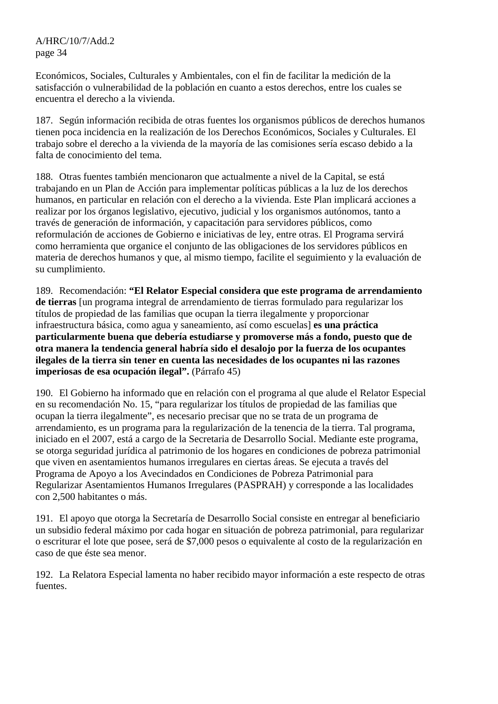Económicos, Sociales, Culturales y Ambientales, con el fin de facilitar la medición de la satisfacción o vulnerabilidad de la población en cuanto a estos derechos, entre los cuales se encuentra el derecho a la vivienda.

187. Según información recibida de otras fuentes los organismos públicos de derechos humanos tienen poca incidencia en la realización de los Derechos Económicos, Sociales y Culturales. El trabajo sobre el derecho a la vivienda de la mayoría de las comisiones sería escaso debido a la falta de conocimiento del tema.

188. Otras fuentes también mencionaron que actualmente a nivel de la Capital, se está trabajando en un Plan de Acción para implementar políticas públicas a la luz de los derechos humanos, en particular en relación con el derecho a la vivienda. Este Plan implicará acciones a realizar por los órganos legislativo, ejecutivo, judicial y los organismos autónomos, tanto a través de generación de información, y capacitación para servidores públicos, como reformulación de acciones de Gobierno e iniciativas de ley, entre otras. El Programa servirá como herramienta que organice el conjunto de las obligaciones de los servidores públicos en materia de derechos humanos y que, al mismo tiempo, facilite el seguimiento y la evaluación de su cumplimiento.

189. Recomendación: **"El Relator Especial considera que este programa de arrendamiento de tierras** [un programa integral de arrendamiento de tierras formulado para regularizar los títulos de propiedad de las familias que ocupan la tierra ilegalmente y proporcionar infraestructura básica, como agua y saneamiento, así como escuelas] **es una práctica particularmente buena que debería estudiarse y promoverse más a fondo, puesto que de otra manera la tendencia general habría sido el desalojo por la fuerza de los ocupantes ilegales de la tierra sin tener en cuenta las necesidades de los ocupantes ni las razones imperiosas de esa ocupación ilegal".** (Párrafo 45)

190. El Gobierno ha informado que en relación con el programa al que alude el Relator Especial en su recomendación No. 15, "para regularizar los títulos de propiedad de las familias que ocupan la tierra ilegalmente", es necesario precisar que no se trata de un programa de arrendamiento, es un programa para la regularización de la tenencia de la tierra. Tal programa, iniciado en el 2007, está a cargo de la Secretaria de Desarrollo Social. Mediante este programa, se otorga seguridad jurídica al patrimonio de los hogares en condiciones de pobreza patrimonial que viven en asentamientos humanos irregulares en ciertas áreas. Se ejecuta a través del Programa de Apoyo a los Avecindados en Condiciones de Pobreza Patrimonial para Regularizar Asentamientos Humanos Irregulares (PASPRAH) y corresponde a las localidades con 2,500 habitantes o más.

191. El apoyo que otorga la Secretaría de Desarrollo Social consiste en entregar al beneficiario un subsidio federal máximo por cada hogar en situación de pobreza patrimonial, para regularizar o escriturar el lote que posee, será de \$7,000 pesos o equivalente al costo de la regularización en caso de que éste sea menor.

192. La Relatora Especial lamenta no haber recibido mayor información a este respecto de otras fuentes.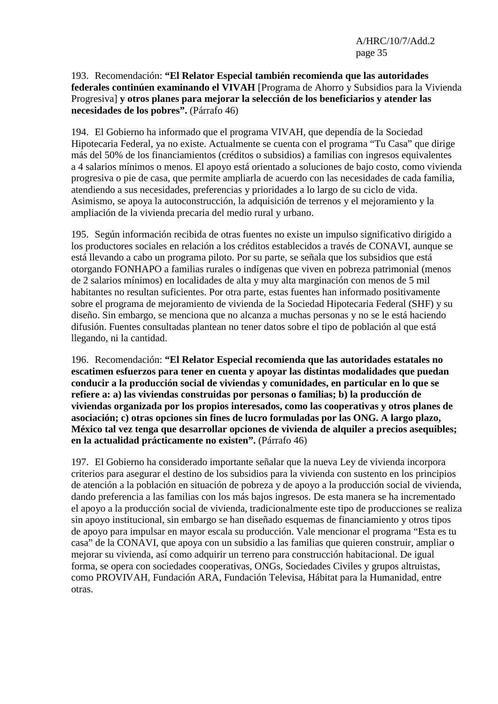#### 193. Recomendación: **"El Relator Especial también recomienda que las autoridades federales continúen examinando el VIVAH** [Programa de Ahorro y Subsidios para la Vivienda Progresiva] **y otros planes para mejorar la selección de los beneficiarios y atender las necesidades de los pobres".** (Párrafo 46)

194. El Gobierno ha informado que el programa VIVAH, que dependía de la Sociedad Hipotecaria Federal, ya no existe. Actualmente se cuenta con el programa "Tu Casa" que dirige más del 50% de los financiamientos (créditos o subsidios) a familias con ingresos equivalentes a 4 salarios mínimos o menos. El apoyo está orientado a soluciones de bajo costo, como vivienda progresiva o pie de casa, que permite ampliarla de acuerdo con las necesidades de cada familia, atendiendo a sus necesidades, preferencias y prioridades a lo largo de su ciclo de vida. Asimismo, se apoya la autoconstrucción, la adquisición de terrenos y el mejoramiento y la ampliación de la vivienda precaria del medio rural y urbano.

195. Según información recibida de otras fuentes no existe un impulso significativo dirigido a los productores sociales en relación a los créditos establecidos a través de CONAVI, aunque se está llevando a cabo un programa piloto. Por su parte, se señala que los subsidios que está otorgando FONHAPO a familias rurales o indígenas que viven en pobreza patrimonial (menos de 2 salarios mínimos) en localidades de alta y muy alta marginación con menos de 5 mil habitantes no resultan suficientes. Por otra parte, estas fuentes han informado positivamente sobre el programa de mejoramiento de vivienda de la Sociedad Hipotecaria Federal (SHF) y su diseño. Sin embargo, se menciona que no alcanza a muchas personas y no se le está haciendo difusión. Fuentes consultadas plantean no tener datos sobre el tipo de población al que está llegando, ni la cantidad.

196. Recomendación: **"El Relator Especial recomienda que las autoridades estatales no escatimen esfuerzos para tener en cuenta y apoyar las distintas modalidades que puedan conducir a la producción social de viviendas y comunidades, en particular en lo que se refiere a: a) las viviendas construidas por personas o familias; b) la producción de viviendas organizada por los propios interesados, como las cooperativas y otros planes de asociación; c) otras opciones sin fines de lucro formuladas por las ONG. A largo plazo, México tal vez tenga que desarrollar opciones de vivienda de alquiler a precios asequibles; en la actualidad prácticamente no existen".** (Párrafo 46)

197. El Gobierno ha considerado importante señalar que la nueva Ley de vivienda incorpora criterios para asegurar el destino de los subsidios para la vivienda con sustento en los principios de atención a la población en situación de pobreza y de apoyo a la producción social de vivienda, dando preferencia a las familias con los más bajos ingresos. De esta manera se ha incrementado el apoyo a la producción social de vivienda, tradicionalmente este tipo de producciones se realiza sin apoyo institucional, sin embargo se han diseñado esquemas de financiamiento y otros tipos de apoyo para impulsar en mayor escala su producción. Vale mencionar el programa "Esta es tu casa" de la CONAVI, que apoya con un subsidio a las familias que quieren construir, ampliar o mejorar su vivienda, así como adquirir un terreno para construcción habitacional. De igual forma, se opera con sociedades cooperativas, ONGs, Sociedades Civiles y grupos altruistas, como PROVIVAH, Fundación ARA, Fundación Televisa, Hábitat para la Humanidad, entre otras.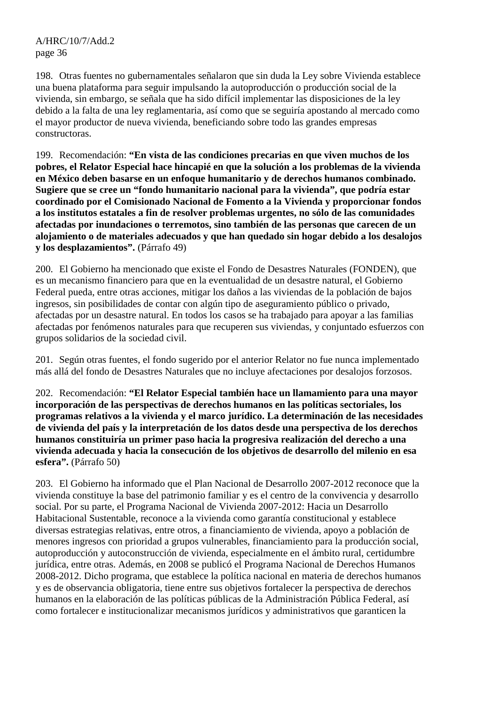198. Otras fuentes no gubernamentales señalaron que sin duda la Ley sobre Vivienda establece una buena plataforma para seguir impulsando la autoproducción o producción social de la vivienda, sin embargo, se señala que ha sido difícil implementar las disposiciones de la ley debido a la falta de una ley reglamentaria, así como que se seguiría apostando al mercado como el mayor productor de nueva vivienda, beneficiando sobre todo las grandes empresas constructoras.

199. Recomendación: **"En vista de las condiciones precarias en que viven muchos de los pobres, el Relator Especial hace hincapié en que la solución a los problemas de la vivienda en México deben basarse en un enfoque humanitario y de derechos humanos combinado. Sugiere que se cree un "fondo humanitario nacional para la vivienda", que podría estar coordinado por el Comisionado Nacional de Fomento a la Vivienda y proporcionar fondos a los institutos estatales a fin de resolver problemas urgentes, no sólo de las comunidades afectadas por inundaciones o terremotos, sino también de las personas que carecen de un alojamiento o de materiales adecuados y que han quedado sin hogar debido a los desalojos y los desplazamientos".** (Párrafo 49)

200. El Gobierno ha mencionado que existe el Fondo de Desastres Naturales (FONDEN), que es un mecanismo financiero para que en la eventualidad de un desastre natural, el Gobierno Federal pueda, entre otras acciones, mitigar los daños a las viviendas de la población de bajos ingresos, sin posibilidades de contar con algún tipo de aseguramiento público o privado, afectadas por un desastre natural. En todos los casos se ha trabajado para apoyar a las familias afectadas por fenómenos naturales para que recuperen sus viviendas, y conjuntado esfuerzos con grupos solidarios de la sociedad civil.

201. Según otras fuentes, el fondo sugerido por el anterior Relator no fue nunca implementado más allá del fondo de Desastres Naturales que no incluye afectaciones por desalojos forzosos.

202. Recomendación: **"El Relator Especial también hace un llamamiento para una mayor incorporación de las perspectivas de derechos humanos en las políticas sectoriales, los programas relativos a la vivienda y el marco jurídico. La determinación de las necesidades de vivienda del país y la interpretación de los datos desde una perspectiva de los derechos humanos constituiría un primer paso hacia la progresiva realización del derecho a una vivienda adecuada y hacia la consecución de los objetivos de desarrollo del milenio en esa esfera".** (Párrafo 50)

203. El Gobierno ha informado que el Plan Nacional de Desarrollo 2007-2012 reconoce que la vivienda constituye la base del patrimonio familiar y es el centro de la convivencia y desarrollo social. Por su parte, el Programa Nacional de Vivienda 2007-2012: Hacia un Desarrollo Habitacional Sustentable, reconoce a la vivienda como garantía constitucional y establece diversas estrategias relativas, entre otros, a financiamiento de vivienda, apoyo a población de menores ingresos con prioridad a grupos vulnerables, financiamiento para la producción social, autoproducción y autoconstrucción de vivienda, especialmente en el ámbito rural, certidumbre jurídica, entre otras. Además, en 2008 se publicó el Programa Nacional de Derechos Humanos 2008-2012. Dicho programa, que establece la política nacional en materia de derechos humanos y es de observancia obligatoria, tiene entre sus objetivos fortalecer la perspectiva de derechos humanos en la elaboración de las políticas públicas de la Administración Pública Federal, así como fortalecer e institucionalizar mecanismos jurídicos y administrativos que garanticen la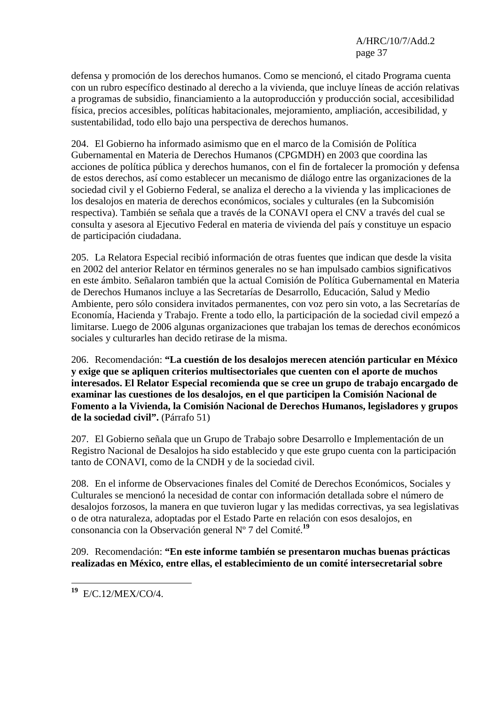defensa y promoción de los derechos humanos. Como se mencionó, el citado Programa cuenta con un rubro específico destinado al derecho a la vivienda, que incluye líneas de acción relativas a programas de subsidio, financiamiento a la autoproducción y producción social, accesibilidad física, precios accesibles, políticas habitacionales, mejoramiento, ampliación, accesibilidad, y sustentabilidad, todo ello bajo una perspectiva de derechos humanos.

204. El Gobierno ha informado asimismo que en el marco de la Comisión de Política Gubernamental en Materia de Derechos Humanos (CPGMDH) en 2003 que coordina las acciones de política pública y derechos humanos, con el fin de fortalecer la promoción y defensa de estos derechos, así como establecer un mecanismo de diálogo entre las organizaciones de la sociedad civil y el Gobierno Federal, se analiza el derecho a la vivienda y las implicaciones de los desalojos en materia de derechos económicos, sociales y culturales (en la Subcomisión respectiva). También se señala que a través de la CONAVI opera el CNV a través del cual se consulta y asesora al Ejecutivo Federal en materia de vivienda del país y constituye un espacio de participación ciudadana.

205. La Relatora Especial recibió información de otras fuentes que indican que desde la visita en 2002 del anterior Relator en términos generales no se han impulsado cambios significativos en este ámbito. Señalaron también que la actual Comisión de Política Gubernamental en Materia de Derechos Humanos incluye a las Secretarías de Desarrollo, Educación, Salud y Medio Ambiente, pero sólo considera invitados permanentes, con voz pero sin voto, a las Secretarías de Economía, Hacienda y Trabajo. Frente a todo ello, la participación de la sociedad civil empezó a limitarse. Luego de 2006 algunas organizaciones que trabajan los temas de derechos económicos sociales y culturarles han decido retirase de la misma.

206. Recomendación: **"La cuestión de los desalojos merecen atención particular en México y exige que se apliquen criterios multisectoriales que cuenten con el aporte de muchos interesados. El Relator Especial recomienda que se cree un grupo de trabajo encargado de examinar las cuestiones de los desalojos, en el que participen la Comisión Nacional de Fomento a la Vivienda, la Comisión Nacional de Derechos Humanos, legisladores y grupos de la sociedad civil".** (Párrafo 51)

207. El Gobierno señala que un Grupo de Trabajo sobre Desarrollo e Implementación de un Registro Nacional de Desalojos ha sido establecido y que este grupo cuenta con la participación tanto de CONAVI, como de la CNDH y de la sociedad civil.

208. En el informe de Observaciones finales del Comité de Derechos Económicos, Sociales y Culturales se mencionó la necesidad de contar con información detallada sobre el número de desalojos forzosos, la manera en que tuvieron lugar y las medidas correctivas, ya sea legislativas o de otra naturaleza, adoptadas por el Estado Parte en relación con esos desalojos, en consonancia con la Observación general Nº 7 del Comité.**<sup>19</sup>**

209. Recomendación: **"En este informe también se presentaron muchas buenas prácticas realizadas en México, entre ellas, el establecimiento de un comité intersecretarial sobre** 

 $\overline{a}$ **<sup>19</sup>** E/C.12/MEX/CO/4.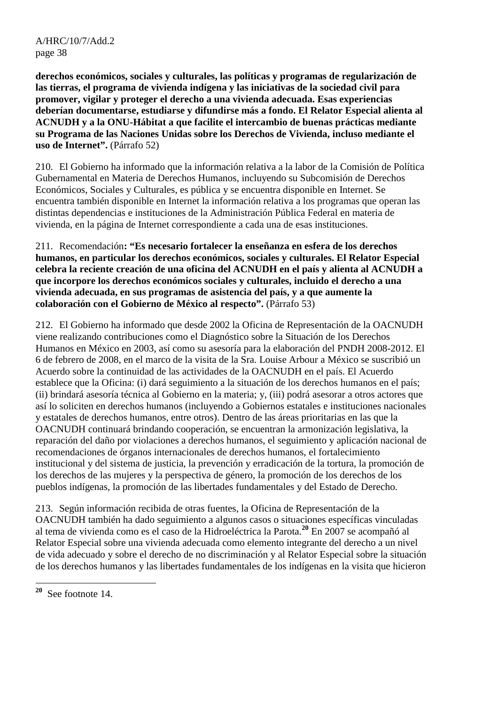**derechos económicos, sociales y culturales, las políticas y programas de regularización de las tierras, el programa de vivienda indígena y las iniciativas de la sociedad civil para promover, vigilar y proteger el derecho a una vivienda adecuada. Esas experiencias deberían documentarse, estudiarse y difundirse más a fondo. El Relator Especial alienta al ACNUDH y a la ONU-Hábitat a que facilite el intercambio de buenas prácticas mediante su Programa de las Naciones Unidas sobre los Derechos de Vivienda, incluso mediante el uso de Internet".** (Párrafo 52)

210. El Gobierno ha informado que la información relativa a la labor de la Comisión de Política Gubernamental en Materia de Derechos Humanos, incluyendo su Subcomisión de Derechos Económicos, Sociales y Culturales, es pública y se encuentra disponible en Internet. Se encuentra también disponible en Internet la información relativa a los programas que operan las distintas dependencias e instituciones de la Administración Pública Federal en materia de vivienda, en la página de Internet correspondiente a cada una de esas instituciones.

211. Recomendación**: "Es necesario fortalecer la enseñanza en esfera de los derechos humanos, en particular los derechos económicos, sociales y culturales. El Relator Especial celebra la reciente creación de una oficina del ACNUDH en el país y alienta al ACNUDH a que incorpore los derechos económicos sociales y culturales, incluido el derecho a una vivienda adecuada, en sus programas de asistencia del país, y a que aumente la colaboración con el Gobierno de México al respecto".** (Párrafo 53)

212. El Gobierno ha informado que desde 2002 la Oficina de Representación de la OACNUDH viene realizando contribuciones como el Diagnóstico sobre la Situación de los Derechos Humanos en México en 2003, así como su asesoría para la elaboración del PNDH 2008-2012. El 6 de febrero de 2008, en el marco de la visita de la Sra. Louise Arbour a México se suscribió un Acuerdo sobre la continuidad de las actividades de la OACNUDH en el país. El Acuerdo establece que la Oficina: (i) dará seguimiento a la situación de los derechos humanos en el país; (ii) brindará asesoría técnica al Gobierno en la materia; y, (iii) podrá asesorar a otros actores que así lo soliciten en derechos humanos (incluyendo a Gobiernos estatales e instituciones nacionales y estatales de derechos humanos, entre otros). Dentro de las áreas prioritarias en las que la OACNUDH continuará brindando cooperación, se encuentran la armonización legislativa, la reparación del daño por violaciones a derechos humanos, el seguimiento y aplicación nacional de recomendaciones de órganos internacionales de derechos humanos, el fortalecimiento institucional y del sistema de justicia, la prevención y erradicación de la tortura, la promoción de los derechos de las mujeres y la perspectiva de género, la promoción de los derechos de los pueblos indígenas, la promoción de las libertades fundamentales y del Estado de Derecho.

213. Según información recibida de otras fuentes, la Oficina de Representación de la OACNUDH también ha dado seguimiento a algunos casos o situaciones específicas vinculadas al tema de vivienda como es el caso de la Hidroeléctrica la Parota.**<sup>20</sup>** En 2007 se acompañó al Relator Especial sobre una vivienda adecuada como elemento integrante del derecho a un nivel de vida adecuado y sobre el derecho de no discriminación y al Relator Especial sobre la situación de los derechos humanos y las libertades fundamentales de los indígenas en la visita que hicieron

 ${\bf 20}$ **<sup>20</sup>** See footnote 14.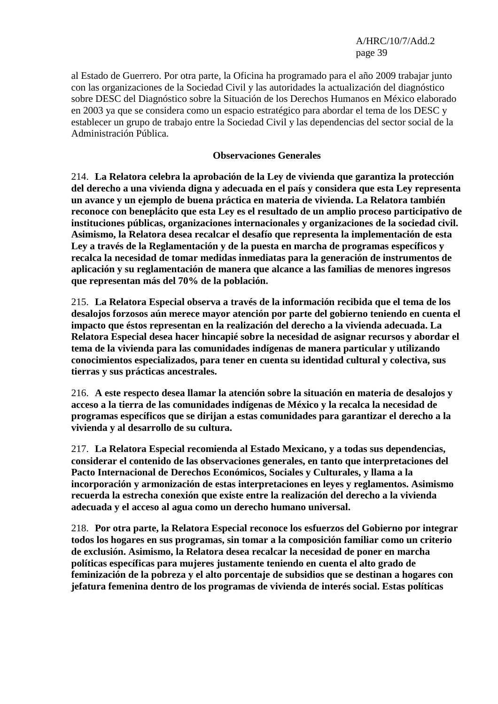al Estado de Guerrero. Por otra parte, la Oficina ha programado para el año 2009 trabajar junto con las organizaciones de la Sociedad Civil y las autoridades la actualización del diagnóstico sobre DESC del Diagnóstico sobre la Situación de los Derechos Humanos en México elaborado en 2003 ya que se considera como un espacio estratégico para abordar el tema de los DESC y establecer un grupo de trabajo entre la Sociedad Civil y las dependencias del sector social de la Administración Pública.

#### **Observaciones Generales**

214. **La Relatora celebra la aprobación de la Ley de vivienda que garantiza la protección del derecho a una vivienda digna y adecuada en el país y considera que esta Ley representa un avance y un ejemplo de buena práctica en materia de vivienda. La Relatora también reconoce con beneplácito que esta Ley es el resultado de un amplio proceso participativo de instituciones públicas, organizaciones internacionales y organizaciones de la sociedad civil. Asimismo, la Relatora desea recalcar el desafío que representa la implementación de esta Ley a través de la Reglamentación y de la puesta en marcha de programas específicos y recalca la necesidad de tomar medidas inmediatas para la generación de instrumentos de aplicación y su reglamentación de manera que alcance a las familias de menores ingresos que representan más del 70% de la población.**

215. **La Relatora Especial observa a través de la información recibida que el tema de los desalojos forzosos aún merece mayor atención por parte del gobierno teniendo en cuenta el impacto que éstos representan en la realización del derecho a la vivienda adecuada. La Relatora Especial desea hacer hincapié sobre la necesidad de asignar recursos y abordar el tema de la vivienda para las comunidades indígenas de manera particular y utilizando conocimientos especializados, para tener en cuenta su identidad cultural y colectiva, sus tierras y sus prácticas ancestrales.**

216. **A este respecto desea llamar la atención sobre la situación en materia de desalojos y acceso a la tierra de las comunidades indígenas de México y la recalca la necesidad de programas específicos que se dirijan a estas comunidades para garantizar el derecho a la vivienda y al desarrollo de su cultura.**

217. **La Relatora Especial recomienda al Estado Mexicano, y a todas sus dependencias, considerar el contenido de las observaciones generales, en tanto que interpretaciones del Pacto Internacional de Derechos Económicos, Sociales y Culturales, y llama a la incorporación y armonización de estas interpretaciones en leyes y reglamentos. Asimismo recuerda la estrecha conexión que existe entre la realización del derecho a la vivienda adecuada y el acceso al agua como un derecho humano universal.**

218. **Por otra parte, la Relatora Especial reconoce los esfuerzos del Gobierno por integrar todos los hogares en sus programas, sin tomar a la composición familiar como un criterio de exclusión. Asimismo, la Relatora desea recalcar la necesidad de poner en marcha políticas específicas para mujeres justamente teniendo en cuenta el alto grado de feminización de la pobreza y el alto porcentaje de subsidios que se destinan a hogares con jefatura femenina dentro de los programas de vivienda de interés social. Estas políticas**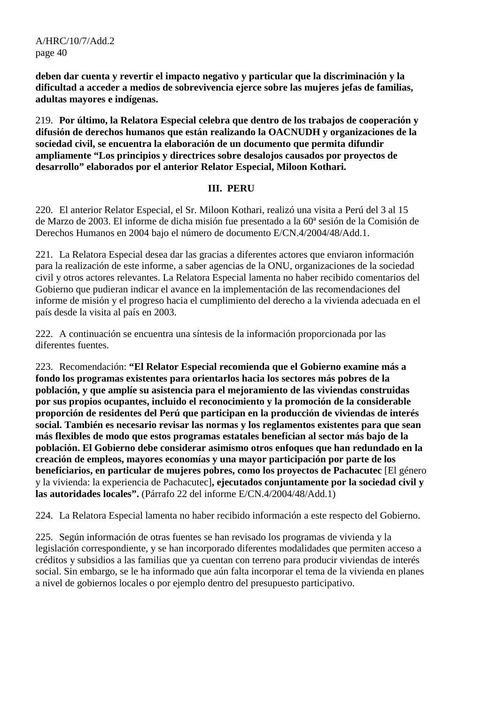**deben dar cuenta y revertir el impacto negativo y particular que la discriminación y la dificultad a acceder a medios de sobrevivencia ejerce sobre las mujeres jefas de familias, adultas mayores e indígenas.**

219. **Por último, la Relatora Especial celebra que dentro de los trabajos de cooperación y difusión de derechos humanos que están realizando la OACNUDH y organizaciones de la sociedad civil, se encuentra la elaboración de un documento que permita difundir ampliamente "Los principios y directrices sobre desalojos causados por proyectos de desarrollo" elaborados por el anterior Relator Especial, Miloon Kothari.** 

#### **III. PERU**

220. El anterior Relator Especial, el Sr. Miloon Kothari, realizó una visita a Perú del 3 al 15 de Marzo de 2003. El informe de dicha misión fue presentado a la 60ª sesión de la Comisión de Derechos Humanos en 2004 bajo el número de documento E/CN.4/2004/48/Add.1.

221. La Relatora Especial desea dar las gracias a diferentes actores que enviaron información para la realización de este informe, a saber agencias de la ONU, organizaciones de la sociedad civil y otros actores relevantes. La Relatora Especial lamenta no haber recibido comentarios del Gobierno que pudieran indicar el avance en la implementación de las recomendaciones del informe de misión y el progreso hacia el cumplimiento del derecho a la vivienda adecuada en el país desde la visita al país en 2003.

222. A continuación se encuentra una síntesis de la información proporcionada por las diferentes fuentes.

223. Recomendación: **"El Relator Especial recomienda que el Gobierno examine más a fondo los programas existentes para orientarlos hacia los sectores más pobres de la población, y que amplíe su asistencia para el mejoramiento de las viviendas construidas por sus propios ocupantes, incluido el reconocimiento y la promoción de la considerable proporción de residentes del Perú que participan en la producción de viviendas de interés social. También es necesario revisar las normas y los reglamentos existentes para que sean más flexibles de modo que estos programas estatales benefician al sector más bajo de la población. El Gobierno debe considerar asimismo otros enfoques que han redundado en la creación de empleos, mayores economías y una mayor participación por parte de los beneficiarios, en particular de mujeres pobres, como los proyectos de Pachacutec** [El género y la vivienda: la experiencia de Pachacutec]**, ejecutados conjuntamente por la sociedad civil y las autoridades locales".** (Párrafo 22 del informe E/CN.4/2004/48/Add.1)

224. La Relatora Especial lamenta no haber recibido información a este respecto del Gobierno.

225. Según información de otras fuentes se han revisado los programas de vivienda y la legislación correspondiente, y se han incorporado diferentes modalidades que permiten acceso a créditos y subsidios a las familias que ya cuentan con terreno para producir viviendas de interés social. Sin embargo, se le ha informado que aún falta incorporar el tema de la vivienda en planes a nivel de gobiernos locales o por ejemplo dentro del presupuesto participativo.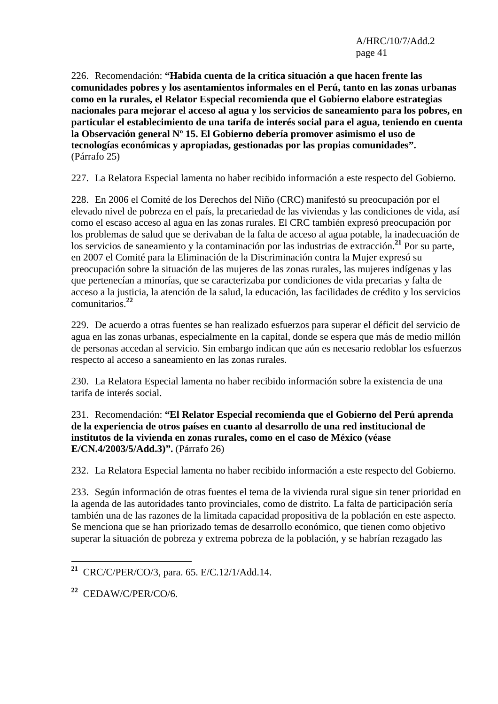226. Recomendación: **"Habida cuenta de la crítica situación a que hacen frente las comunidades pobres y los asentamientos informales en el Perú, tanto en las zonas urbanas como en la rurales, el Relator Especial recomienda que el Gobierno elabore estrategias nacionales para mejorar el acceso al agua y los servicios de saneamiento para los pobres, en particular el establecimiento de una tarifa de interés social para el agua, teniendo en cuenta la Observación general Nº 15. El Gobierno debería promover asimismo el uso de tecnologías económicas y apropiadas, gestionadas por las propias comunidades".**  (Párrafo 25)

227. La Relatora Especial lamenta no haber recibido información a este respecto del Gobierno.

228. En 2006 el Comité de los Derechos del Niño (CRC) manifestó su preocupación por el elevado nivel de pobreza en el país, la precariedad de las viviendas y las condiciones de vida, así como el escaso acceso al agua en las zonas rurales. El CRC también expresó preocupación por los problemas de salud que se derivaban de la falta de acceso al agua potable, la inadecuación de los servicios de saneamiento y la contaminación por las industrias de extracción.**<sup>21</sup>** Por su parte, en 2007 el Comité para la Eliminación de la Discriminación contra la Mujer expresó su preocupación sobre la situación de las mujeres de las zonas rurales, las mujeres indígenas y las que pertenecían a minorías, que se caracterizaba por condiciones de vida precarias y falta de acceso a la justicia, la atención de la salud, la educación, las facilidades de crédito y los servicios comunitarios.**<sup>22</sup>**

229. De acuerdo a otras fuentes se han realizado esfuerzos para superar el déficit del servicio de agua en las zonas urbanas, especialmente en la capital, donde se espera que más de medio millón de personas accedan al servicio. Sin embargo indican que aún es necesario redoblar los esfuerzos respecto al acceso a saneamiento en las zonas rurales.

230. La Relatora Especial lamenta no haber recibido información sobre la existencia de una tarifa de interés social.

# 231. Recomendación: **"El Relator Especial recomienda que el Gobierno del Perú aprenda de la experiencia de otros países en cuanto al desarrollo de una red institucional de institutos de la vivienda en zonas rurales, como en el caso de México (véase E/CN.4/2003/5/Add.3)".** (Párrafo 26)

232. La Relatora Especial lamenta no haber recibido información a este respecto del Gobierno.

233. Según información de otras fuentes el tema de la vivienda rural sigue sin tener prioridad en la agenda de las autoridades tanto provinciales, como de distrito. La falta de participación sería también una de las razones de la limitada capacidad propositiva de la población en este aspecto. Se menciona que se han priorizado temas de desarrollo económico, que tienen como objetivo superar la situación de pobreza y extrema pobreza de la población, y se habrían rezagado las

 $\overline{a}$ 

**<sup>21</sup>** CRC/C/PER/CO/3, para. 65. E/C.12/1/Add.14.

**<sup>22</sup>** CEDAW/C/PER/CO/6.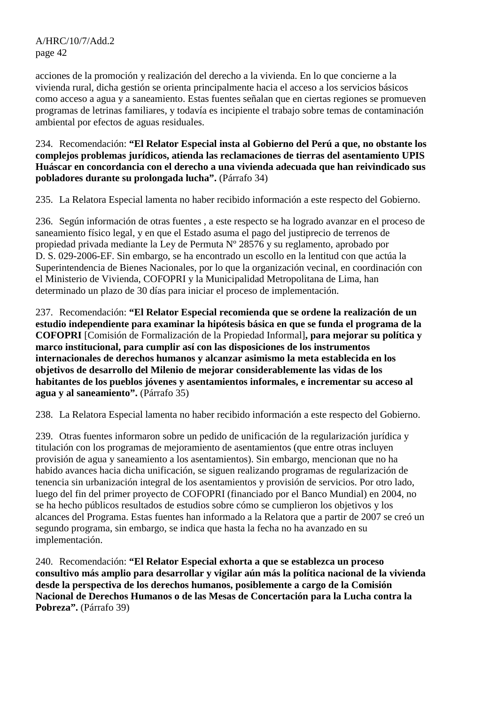acciones de la promoción y realización del derecho a la vivienda. En lo que concierne a la vivienda rural, dicha gestión se orienta principalmente hacia el acceso a los servicios básicos como acceso a agua y a saneamiento. Estas fuentes señalan que en ciertas regiones se promueven programas de letrinas familiares, y todavía es incipiente el trabajo sobre temas de contaminación ambiental por efectos de aguas residuales.

234. Recomendación: **"El Relator Especial insta al Gobierno del Perú a que, no obstante los complejos problemas jurídicos, atienda las reclamaciones de tierras del asentamiento UPIS Huáscar en concordancia con el derecho a una vivienda adecuada que han reivindicado sus pobladores durante su prolongada lucha".** (Párrafo 34)

235. La Relatora Especial lamenta no haber recibido información a este respecto del Gobierno.

236. Según información de otras fuentes , a este respecto se ha logrado avanzar en el proceso de saneamiento físico legal, y en que el Estado asuma el pago del justiprecio de terrenos de propiedad privada mediante la Ley de Permuta Nº 28576 y su reglamento, aprobado por D. S. 029-2006-EF. Sin embargo, se ha encontrado un escollo en la lentitud con que actúa la Superintendencia de Bienes Nacionales, por lo que la organización vecinal, en coordinación con el Ministerio de Vivienda, COFOPRI y la Municipalidad Metropolitana de Lima, han determinado un plazo de 30 días para iniciar el proceso de implementación.

237. Recomendación: **"El Relator Especial recomienda que se ordene la realización de un estudio independiente para examinar la hipótesis básica en que se funda el programa de la COFOPRI** [Comisión de Formalización de la Propiedad Informal]**, para mejorar su política y marco institucional, para cumplir así con las disposiciones de los instrumentos internacionales de derechos humanos y alcanzar asimismo la meta establecida en los objetivos de desarrollo del Milenio de mejorar considerablemente las vidas de los habitantes de los pueblos jóvenes y asentamientos informales, e incrementar su acceso al agua y al saneamiento".** (Párrafo 35)

238. La Relatora Especial lamenta no haber recibido información a este respecto del Gobierno.

239. Otras fuentes informaron sobre un pedido de unificación de la regularización jurídica y titulación con los programas de mejoramiento de asentamientos (que entre otras incluyen provisión de agua y saneamiento a los asentamientos). Sin embargo, mencionan que no ha habido avances hacia dicha unificación, se siguen realizando programas de regularización de tenencia sin urbanización integral de los asentamientos y provisión de servicios. Por otro lado, luego del fin del primer proyecto de COFOPRI (financiado por el Banco Mundial) en 2004, no se ha hecho públicos resultados de estudios sobre cómo se cumplieron los objetivos y los alcances del Programa. Estas fuentes han informado a la Relatora que a partir de 2007 se creó un segundo programa, sin embargo, se indica que hasta la fecha no ha avanzado en su implementación.

240. Recomendación: **"El Relator Especial exhorta a que se establezca un proceso consultivo más amplio para desarrollar y vigilar aún más la política nacional de la vivienda desde la perspectiva de los derechos humanos, posiblemente a cargo de la Comisión Nacional de Derechos Humanos o de las Mesas de Concertación para la Lucha contra la Pobreza".** (Párrafo 39)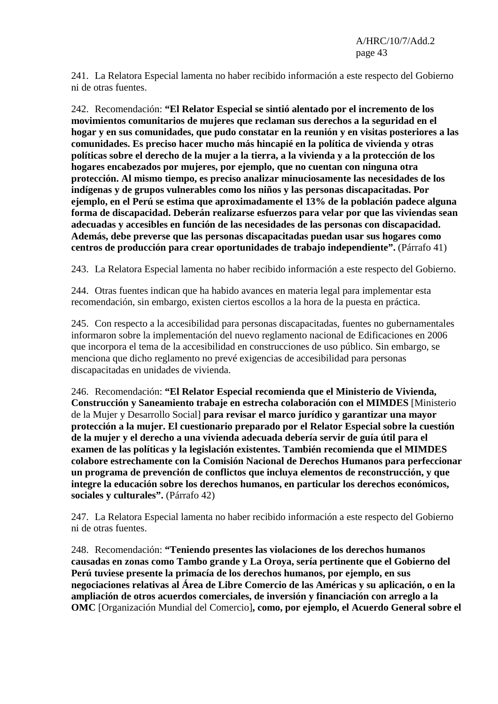241. La Relatora Especial lamenta no haber recibido información a este respecto del Gobierno ni de otras fuentes.

242. Recomendación: **"El Relator Especial se sintió alentado por el incremento de los movimientos comunitarios de mujeres que reclaman sus derechos a la seguridad en el hogar y en sus comunidades, que pudo constatar en la reunión y en visitas posteriores a las comunidades. Es preciso hacer mucho más hincapié en la política de vivienda y otras políticas sobre el derecho de la mujer a la tierra, a la vivienda y a la protección de los hogares encabezados por mujeres, por ejemplo, que no cuentan con ninguna otra protección. Al mismo tiempo, es preciso analizar minuciosamente las necesidades de los indígenas y de grupos vulnerables como los niños y las personas discapacitadas. Por ejemplo, en el Perú se estima que aproximadamente el 13% de la población padece alguna forma de discapacidad. Deberán realizarse esfuerzos para velar por que las viviendas sean adecuadas y accesibles en función de las necesidades de las personas con discapacidad. Además, debe preverse que las personas discapacitadas puedan usar sus hogares como centros de producción para crear oportunidades de trabajo independiente".** (Párrafo 41)

243. La Relatora Especial lamenta no haber recibido información a este respecto del Gobierno.

244. Otras fuentes indican que ha habido avances en materia legal para implementar esta recomendación, sin embargo, existen ciertos escollos a la hora de la puesta en práctica.

245. Con respecto a la accesibilidad para personas discapacitadas, fuentes no gubernamentales informaron sobre la implementación del nuevo reglamento nacional de Edificaciones en 2006 que incorpora el tema de la accesibilidad en construcciones de uso público. Sin embargo, se menciona que dicho reglamento no prevé exigencias de accesibilidad para personas discapacitadas en unidades de vivienda.

246. Recomendación: **"El Relator Especial recomienda que el Ministerio de Vivienda, Construcción y Saneamiento trabaje en estrecha colaboración con el MIMDES** [Ministerio de la Mujer y Desarrollo Social] **para revisar el marco jurídico y garantizar una mayor protección a la mujer. El cuestionario preparado por el Relator Especial sobre la cuestión de la mujer y el derecho a una vivienda adecuada debería servir de guía útil para el examen de las políticas y la legislación existentes. También recomienda que el MIMDES colabore estrechamente con la Comisión Nacional de Derechos Humanos para perfeccionar un programa de prevención de conflictos que incluya elementos de reconstrucción, y que integre la educación sobre los derechos humanos, en particular los derechos económicos, sociales y culturales".** (Párrafo 42)

247. La Relatora Especial lamenta no haber recibido información a este respecto del Gobierno ni de otras fuentes.

248. Recomendación: **"Teniendo presentes las violaciones de los derechos humanos causadas en zonas como Tambo grande y La Oroya, sería pertinente que el Gobierno del Perú tuviese presente la primacía de los derechos humanos, por ejemplo, en sus negociaciones relativas al Área de Libre Comercio de las Américas y su aplicación, o en la ampliación de otros acuerdos comerciales, de inversión y financiación con arreglo a la OMC** [Organización Mundial del Comercio]**, como, por ejemplo, el Acuerdo General sobre el**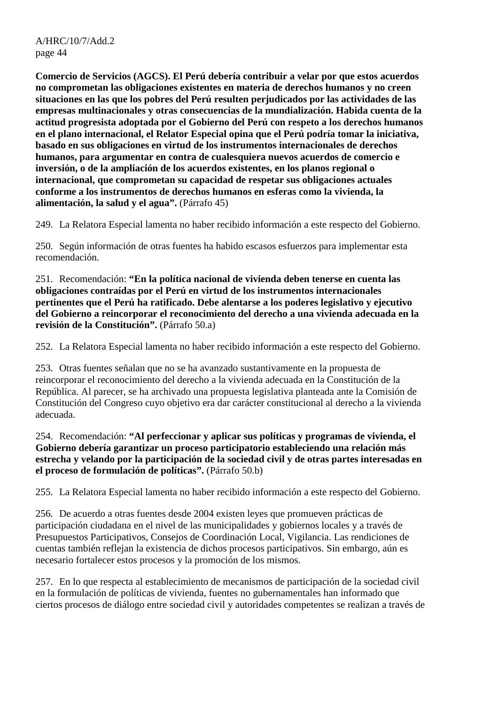**Comercio de Servicios (AGCS). El Perú debería contribuir a velar por que estos acuerdos no comprometan las obligaciones existentes en materia de derechos humanos y no creen situaciones en las que los pobres del Perú resulten perjudicados por las actividades de las empresas multinacionales y otras consecuencias de la mundialización. Habida cuenta de la actitud progresista adoptada por el Gobierno del Perú con respeto a los derechos humanos en el plano internacional, el Relator Especial opina que el Perú podría tomar la iniciativa, basado en sus obligaciones en virtud de los instrumentos internacionales de derechos humanos, para argumentar en contra de cualesquiera nuevos acuerdos de comercio e inversión, o de la ampliación de los acuerdos existentes, en los planos regional o internacional, que comprometan su capacidad de respetar sus obligaciones actuales conforme a los instrumentos de derechos humanos en esferas como la vivienda, la alimentación, la salud y el agua".** (Párrafo 45)

249. La Relatora Especial lamenta no haber recibido información a este respecto del Gobierno.

250. Según información de otras fuentes ha habido escasos esfuerzos para implementar esta recomendación.

251. Recomendación: **"En la política nacional de vivienda deben tenerse en cuenta las obligaciones contraídas por el Perú en virtud de los instrumentos internacionales pertinentes que el Perú ha ratificado. Debe alentarse a los poderes legislativo y ejecutivo del Gobierno a reincorporar el reconocimiento del derecho a una vivienda adecuada en la revisión de la Constitución".** (Párrafo 50.a)

252. La Relatora Especial lamenta no haber recibido información a este respecto del Gobierno.

253. Otras fuentes señalan que no se ha avanzado sustantivamente en la propuesta de reincorporar el reconocimiento del derecho a la vivienda adecuada en la Constitución de la República. Al parecer, se ha archivado una propuesta legislativa planteada ante la Comisión de Constitución del Congreso cuyo objetivo era dar carácter constitucional al derecho a la vivienda adecuada.

254. Recomendación: **"Al perfeccionar y aplicar sus políticas y programas de vivienda, el Gobierno debería garantizar un proceso participatorio estableciendo una relación más estrecha y velando por la participación de la sociedad civil y de otras partes interesadas en el proceso de formulación de políticas".** (Párrafo 50.b)

255. La Relatora Especial lamenta no haber recibido información a este respecto del Gobierno.

256. De acuerdo a otras fuentes desde 2004 existen leyes que promueven prácticas de participación ciudadana en el nivel de las municipalidades y gobiernos locales y a través de Presupuestos Participativos, Consejos de Coordinación Local, Vigilancia. Las rendiciones de cuentas también reflejan la existencia de dichos procesos participativos. Sin embargo, aún es necesario fortalecer estos procesos y la promoción de los mismos.

257. En lo que respecta al establecimiento de mecanismos de participación de la sociedad civil en la formulación de políticas de vivienda, fuentes no gubernamentales han informado que ciertos procesos de diálogo entre sociedad civil y autoridades competentes se realizan a través de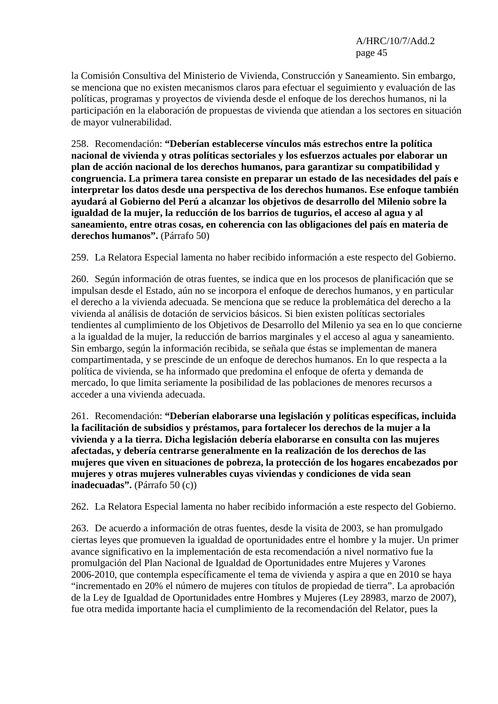la Comisión Consultiva del Ministerio de Vivienda, Construcción y Saneamiento. Sin embargo, se menciona que no existen mecanismos claros para efectuar el seguimiento y evaluación de las políticas, programas y proyectos de vivienda desde el enfoque de los derechos humanos, ni la participación en la elaboración de propuestas de vivienda que atiendan a los sectores en situación de mayor vulnerabilidad.

258. Recomendación: **"Deberían establecerse vínculos más estrechos entre la política nacional de vivienda y otras políticas sectoriales y los esfuerzos actuales por elaborar un plan de acción nacional de los derechos humanos, para garantizar su compatibilidad y congruencia. La primera tarea consiste en preparar un estado de las necesidades del país e interpretar los datos desde una perspectiva de los derechos humanos. Ese enfoque también ayudará al Gobierno del Perú a alcanzar los objetivos de desarrollo del Milenio sobre la igualdad de la mujer, la reducción de los barrios de tugurios, el acceso al agua y al saneamiento, entre otras cosas, en coherencia con las obligaciones del país en materia de derechos humanos".** (Párrafo 50)

259. La Relatora Especial lamenta no haber recibido información a este respecto del Gobierno.

260. Según información de otras fuentes, se indica que en los procesos de planificación que se impulsan desde el Estado, aún no se incorpora el enfoque de derechos humanos, y en particular el derecho a la vivienda adecuada. Se menciona que se reduce la problemática del derecho a la vivienda al análisis de dotación de servicios básicos. Si bien existen políticas sectoriales tendientes al cumplimiento de los Objetivos de Desarrollo del Milenio ya sea en lo que concierne a la igualdad de la mujer, la reducción de barrios marginales y el acceso al agua y saneamiento. Sin embargo, según la información recibida, se señala que éstas se implementan de manera compartimentada, y se prescinde de un enfoque de derechos humanos. En lo que respecta a la política de vivienda, se ha informado que predomina el enfoque de oferta y demanda de mercado, lo que limita seriamente la posibilidad de las poblaciones de menores recursos a acceder a una vivienda adecuada.

261. Recomendación: **"Deberían elaborarse una legislación y políticas específicas, incluida la facilitación de subsidios y préstamos, para fortalecer los derechos de la mujer a la vivienda y a la tierra. Dicha legislación debería elaborarse en consulta con las mujeres afectadas, y debería centrarse generalmente en la realización de los derechos de las mujeres que viven en situaciones de pobreza, la protección de los hogares encabezados por mujeres y otras mujeres vulnerables cuyas viviendas y condiciones de vida sean inadecuadas".** (Párrafo 50 (c))

262. La Relatora Especial lamenta no haber recibido información a este respecto del Gobierno.

263. De acuerdo a información de otras fuentes, desde la visita de 2003, se han promulgado ciertas leyes que promueven la igualdad de oportunidades entre el hombre y la mujer. Un primer avance significativo en la implementación de esta recomendación a nivel normativo fue la promulgación del Plan Nacional de Igualdad de Oportunidades entre Mujeres y Varones 2006-2010, que contempla específicamente el tema de vivienda y aspira a que en 2010 se haya "incrementado en 20% el número de mujeres con títulos de propiedad de tierra". La aprobación de la Ley de Igualdad de Oportunidades entre Hombres y Mujeres (Ley 28983, marzo de 2007), fue otra medida importante hacia el cumplimiento de la recomendación del Relator, pues la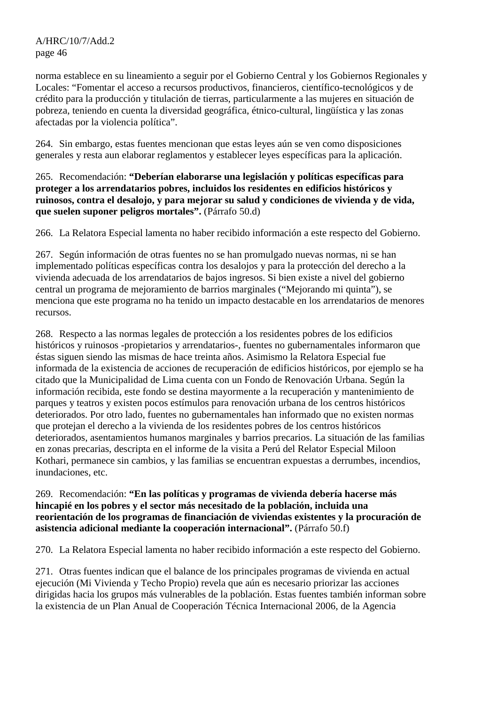norma establece en su lineamiento a seguir por el Gobierno Central y los Gobiernos Regionales y Locales: "Fomentar el acceso a recursos productivos, financieros, científico-tecnológicos y de crédito para la producción y titulación de tierras, particularmente a las mujeres en situación de pobreza, teniendo en cuenta la diversidad geográfica, étnico-cultural, lingüística y las zonas afectadas por la violencia política".

264. Sin embargo, estas fuentes mencionan que estas leyes aún se ven como disposiciones generales y resta aun elaborar reglamentos y establecer leyes específicas para la aplicación.

265. Recomendación: **"Deberían elaborarse una legislación y políticas específicas para proteger a los arrendatarios pobres, incluidos los residentes en edificios históricos y ruinosos, contra el desalojo, y para mejorar su salud y condiciones de vivienda y de vida, que suelen suponer peligros mortales".** (Párrafo 50.d)

266. La Relatora Especial lamenta no haber recibido información a este respecto del Gobierno.

267. Según información de otras fuentes no se han promulgado nuevas normas, ni se han implementado políticas específicas contra los desalojos y para la protección del derecho a la vivienda adecuada de los arrendatarios de bajos ingresos. Si bien existe a nivel del gobierno central un programa de mejoramiento de barrios marginales ("Mejorando mi quinta"), se menciona que este programa no ha tenido un impacto destacable en los arrendatarios de menores recursos.

268. Respecto a las normas legales de protección a los residentes pobres de los edificios históricos y ruinosos -propietarios y arrendatarios-, fuentes no gubernamentales informaron que éstas siguen siendo las mismas de hace treinta años. Asimismo la Relatora Especial fue informada de la existencia de acciones de recuperación de edificios históricos, por ejemplo se ha citado que la Municipalidad de Lima cuenta con un Fondo de Renovación Urbana. Según la información recibida, este fondo se destina mayormente a la recuperación y mantenimiento de parques y teatros y existen pocos estímulos para renovación urbana de los centros históricos deteriorados. Por otro lado, fuentes no gubernamentales han informado que no existen normas que protejan el derecho a la vivienda de los residentes pobres de los centros históricos deteriorados, asentamientos humanos marginales y barrios precarios. La situación de las familias en zonas precarias, descripta en el informe de la visita a Perú del Relator Especial Miloon Kothari, permanece sin cambios, y las familias se encuentran expuestas a derrumbes, incendios, inundaciones, etc.

269. Recomendación: **"En las políticas y programas de vivienda debería hacerse más hincapié en los pobres y el sector más necesitado de la población, incluida una reorientación de los programas de financiación de viviendas existentes y la procuración de asistencia adicional mediante la cooperación internacional".** (Párrafo 50.f)

270. La Relatora Especial lamenta no haber recibido información a este respecto del Gobierno.

271. Otras fuentes indican que el balance de los principales programas de vivienda en actual ejecución (Mi Vivienda y Techo Propio) revela que aún es necesario priorizar las acciones dirigidas hacia los grupos más vulnerables de la población. Estas fuentes también informan sobre la existencia de un Plan Anual de Cooperación Técnica Internacional 2006, de la Agencia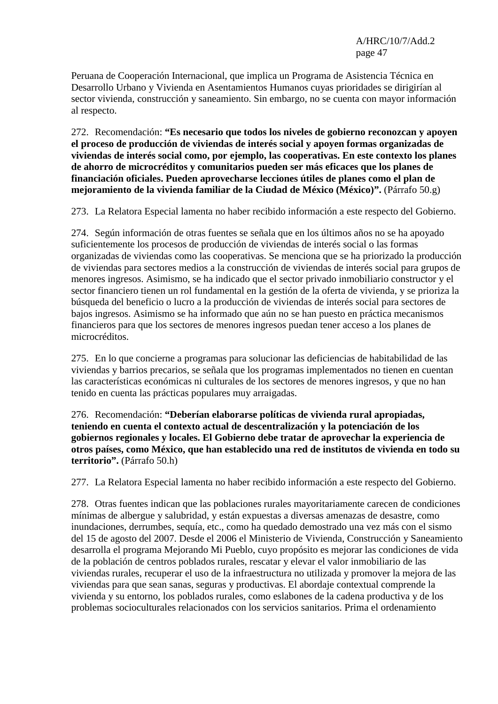Peruana de Cooperación Internacional, que implica un Programa de Asistencia Técnica en Desarrollo Urbano y Vivienda en Asentamientos Humanos cuyas prioridades se dirigirían al sector vivienda, construcción y saneamiento. Sin embargo, no se cuenta con mayor información al respecto.

272. Recomendación: **"Es necesario que todos los niveles de gobierno reconozcan y apoyen el proceso de producción de viviendas de interés social y apoyen formas organizadas de viviendas de interés social como, por ejemplo, las cooperativas. En este contexto los planes de ahorro de microcréditos y comunitarios pueden ser más eficaces que los planes de financiación oficiales. Pueden aprovecharse lecciones útiles de planes como el plan de mejoramiento de la vivienda familiar de la Ciudad de México (México)".** (Párrafo 50.g)

273. La Relatora Especial lamenta no haber recibido información a este respecto del Gobierno.

274. Según información de otras fuentes se señala que en los últimos años no se ha apoyado suficientemente los procesos de producción de viviendas de interés social o las formas organizadas de viviendas como las cooperativas. Se menciona que se ha priorizado la producción de viviendas para sectores medios a la construcción de viviendas de interés social para grupos de menores ingresos. Asimismo, se ha indicado que el sector privado inmobiliario constructor y el sector financiero tienen un rol fundamental en la gestión de la oferta de vivienda, y se prioriza la búsqueda del beneficio o lucro a la producción de viviendas de interés social para sectores de bajos ingresos. Asimismo se ha informado que aún no se han puesto en práctica mecanismos financieros para que los sectores de menores ingresos puedan tener acceso a los planes de microcréditos.

275. En lo que concierne a programas para solucionar las deficiencias de habitabilidad de las viviendas y barrios precarios, se señala que los programas implementados no tienen en cuentan las características económicas ni culturales de los sectores de menores ingresos, y que no han tenido en cuenta las prácticas populares muy arraigadas.

276. Recomendación: **"Deberían elaborarse políticas de vivienda rural apropiadas, teniendo en cuenta el contexto actual de descentralización y la potenciación de los gobiernos regionales y locales. El Gobierno debe tratar de aprovechar la experiencia de otros países, como México, que han establecido una red de institutos de vivienda en todo su territorio".** (Párrafo 50.h)

277. La Relatora Especial lamenta no haber recibido información a este respecto del Gobierno.

278. Otras fuentes indican que las poblaciones rurales mayoritariamente carecen de condiciones mínimas de albergue y salubridad, y están expuestas a diversas amenazas de desastre, como inundaciones, derrumbes, sequía, etc., como ha quedado demostrado una vez más con el sismo del 15 de agosto del 2007. Desde el 2006 el Ministerio de Vivienda, Construcción y Saneamiento desarrolla el programa Mejorando Mi Pueblo, cuyo propósito es mejorar las condiciones de vida de la población de centros poblados rurales, rescatar y elevar el valor inmobiliario de las viviendas rurales, recuperar el uso de la infraestructura no utilizada y promover la mejora de las viviendas para que sean sanas, seguras y productivas. El abordaje contextual comprende la vivienda y su entorno, los poblados rurales, como eslabones de la cadena productiva y de los problemas socioculturales relacionados con los servicios sanitarios. Prima el ordenamiento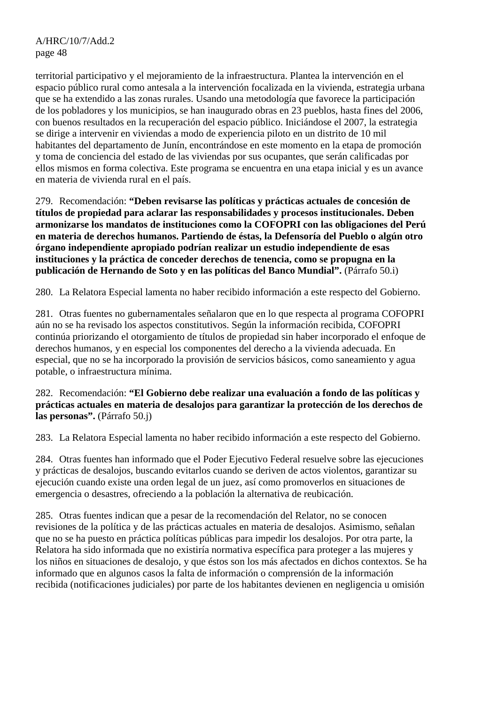territorial participativo y el mejoramiento de la infraestructura. Plantea la intervención en el espacio público rural como antesala a la intervención focalizada en la vivienda, estrategia urbana que se ha extendido a las zonas rurales. Usando una metodología que favorece la participación de los pobladores y los municipios, se han inaugurado obras en 23 pueblos, hasta fines del 2006, con buenos resultados en la recuperación del espacio público. Iniciándose el 2007, la estrategia se dirige a intervenir en viviendas a modo de experiencia piloto en un distrito de 10 mil habitantes del departamento de Junín, encontrándose en este momento en la etapa de promoción y toma de conciencia del estado de las viviendas por sus ocupantes, que serán calificadas por ellos mismos en forma colectiva. Este programa se encuentra en una etapa inicial y es un avance en materia de vivienda rural en el país.

279. Recomendación: **"Deben revisarse las políticas y prácticas actuales de concesión de títulos de propiedad para aclarar las responsabilidades y procesos institucionales. Deben armonizarse los mandatos de instituciones como la COFOPRI con las obligaciones del Perú en materia de derechos humanos. Partiendo de éstas, la Defensoría del Pueblo o algún otro órgano independiente apropiado podrían realizar un estudio independiente de esas instituciones y la práctica de conceder derechos de tenencia, como se propugna en la publicación de Hernando de Soto y en las políticas del Banco Mundial".** (Párrafo 50.i)

280. La Relatora Especial lamenta no haber recibido información a este respecto del Gobierno.

281. Otras fuentes no gubernamentales señalaron que en lo que respecta al programa COFOPRI aún no se ha revisado los aspectos constitutivos. Según la información recibida, COFOPRI continúa priorizando el otorgamiento de títulos de propiedad sin haber incorporado el enfoque de derechos humanos, y en especial los componentes del derecho a la vivienda adecuada. En especial, que no se ha incorporado la provisión de servicios básicos, como saneamiento y agua potable, o infraestructura mínima.

282. Recomendación: **"El Gobierno debe realizar una evaluación a fondo de las políticas y prácticas actuales en materia de desalojos para garantizar la protección de los derechos de las personas".** (Párrafo 50.j)

283. La Relatora Especial lamenta no haber recibido información a este respecto del Gobierno.

284. Otras fuentes han informado que el Poder Ejecutivo Federal resuelve sobre las ejecuciones y prácticas de desalojos, buscando evitarlos cuando se deriven de actos violentos, garantizar su ejecución cuando existe una orden legal de un juez, así como promoverlos en situaciones de emergencia o desastres, ofreciendo a la población la alternativa de reubicación.

285. Otras fuentes indican que a pesar de la recomendación del Relator, no se conocen revisiones de la política y de las prácticas actuales en materia de desalojos. Asimismo, señalan que no se ha puesto en práctica políticas públicas para impedir los desalojos. Por otra parte, la Relatora ha sido informada que no existiría normativa específica para proteger a las mujeres y los niños en situaciones de desalojo, y que éstos son los más afectados en dichos contextos. Se ha informado que en algunos casos la falta de información o comprensión de la información recibida (notificaciones judiciales) por parte de los habitantes devienen en negligencia u omisión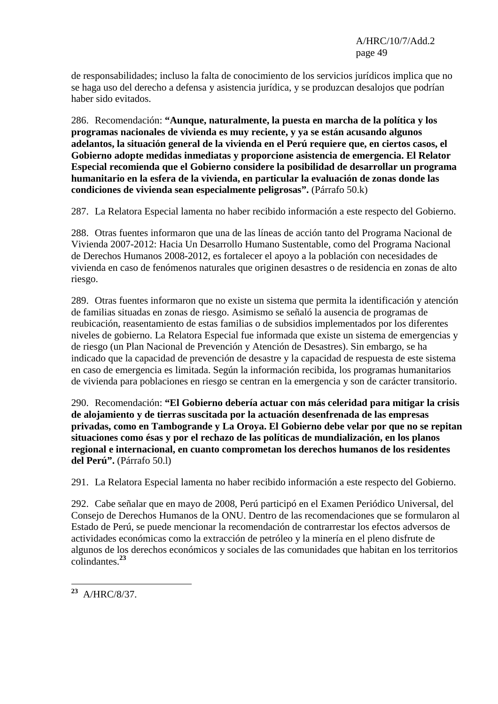de responsabilidades; incluso la falta de conocimiento de los servicios jurídicos implica que no se haga uso del derecho a defensa y asistencia jurídica, y se produzcan desalojos que podrían haber sido evitados.

286. Recomendación: **"Aunque, naturalmente, la puesta en marcha de la política y los programas nacionales de vivienda es muy reciente, y ya se están acusando algunos adelantos, la situación general de la vivienda en el Perú requiere que, en ciertos casos, el Gobierno adopte medidas inmediatas y proporcione asistencia de emergencia. El Relator Especial recomienda que el Gobierno considere la posibilidad de desarrollar un programa humanitario en la esfera de la vivienda, en particular la evaluación de zonas donde las condiciones de vivienda sean especialmente peligrosas".** (Párrafo 50.k)

287. La Relatora Especial lamenta no haber recibido información a este respecto del Gobierno.

288. Otras fuentes informaron que una de las líneas de acción tanto del Programa Nacional de Vivienda 2007-2012: Hacia Un Desarrollo Humano Sustentable, como del Programa Nacional de Derechos Humanos 2008-2012, es fortalecer el apoyo a la población con necesidades de vivienda en caso de fenómenos naturales que originen desastres o de residencia en zonas de alto riesgo.

289. Otras fuentes informaron que no existe un sistema que permita la identificación y atención de familias situadas en zonas de riesgo. Asimismo se señaló la ausencia de programas de reubicación, reasentamiento de estas familias o de subsidios implementados por los diferentes niveles de gobierno. La Relatora Especial fue informada que existe un sistema de emergencias y de riesgo (un Plan Nacional de Prevención y Atención de Desastres). Sin embargo, se ha indicado que la capacidad de prevención de desastre y la capacidad de respuesta de este sistema en caso de emergencia es limitada. Según la información recibida, los programas humanitarios de vivienda para poblaciones en riesgo se centran en la emergencia y son de carácter transitorio.

290. Recomendación: **"El Gobierno debería actuar con más celeridad para mitigar la crisis de alojamiento y de tierras suscitada por la actuación desenfrenada de las empresas privadas, como en Tambogrande y La Oroya. El Gobierno debe velar por que no se repitan situaciones como ésas y por el rechazo de las políticas de mundialización, en los planos regional e internacional, en cuanto comprometan los derechos humanos de los residentes del Perú".** (Párrafo 50.l)

291. La Relatora Especial lamenta no haber recibido información a este respecto del Gobierno.

292. Cabe señalar que en mayo de 2008, Perú participó en el Examen Periódico Universal, del Consejo de Derechos Humanos de la ONU. Dentro de las recomendaciones que se formularon al Estado de Perú, se puede mencionar la recomendación de contrarrestar los efectos adversos de actividades económicas como la extracción de petróleo y la minería en el pleno disfrute de algunos de los derechos económicos y sociales de las comunidades que habitan en los territorios colindantes.**<sup>23</sup>**

 $\overline{a}$ **<sup>23</sup>** A/HRC/8/37.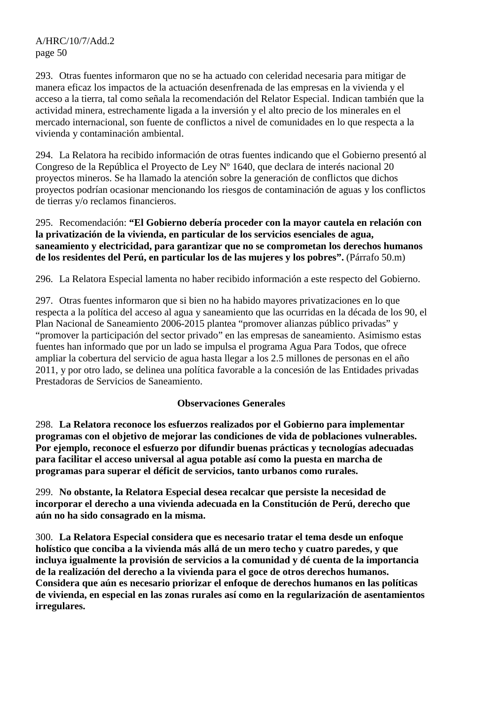293. Otras fuentes informaron que no se ha actuado con celeridad necesaria para mitigar de manera eficaz los impactos de la actuación desenfrenada de las empresas en la vivienda y el acceso a la tierra, tal como señala la recomendación del Relator Especial. Indican también que la actividad minera, estrechamente ligada a la inversión y el alto precio de los minerales en el mercado internacional, son fuente de conflictos a nivel de comunidades en lo que respecta a la vivienda y contaminación ambiental.

294. La Relatora ha recibido información de otras fuentes indicando que el Gobierno presentó al Congreso de la República el Proyecto de Ley Nº 1640, que declara de interés nacional 20 proyectos mineros. Se ha llamado la atención sobre la generación de conflictos que dichos proyectos podrían ocasionar mencionando los riesgos de contaminación de aguas y los conflictos de tierras y/o reclamos financieros.

#### 295. Recomendación: **"El Gobierno debería proceder con la mayor cautela en relación con la privatización de la vivienda, en particular de los servicios esenciales de agua, saneamiento y electricidad, para garantizar que no se comprometan los derechos humanos de los residentes del Perú, en particular los de las mujeres y los pobres".** (Párrafo 50.m)

296. La Relatora Especial lamenta no haber recibido información a este respecto del Gobierno.

297. Otras fuentes informaron que si bien no ha habido mayores privatizaciones en lo que respecta a la política del acceso al agua y saneamiento que las ocurridas en la década de los 90, el Plan Nacional de Saneamiento 2006-2015 plantea "promover alianzas público privadas" y "promover la participación del sector privado" en las empresas de saneamiento. Asimismo estas fuentes han informado que por un lado se impulsa el programa Agua Para Todos, que ofrece ampliar la cobertura del servicio de agua hasta llegar a los 2.5 millones de personas en el año 2011, y por otro lado, se delinea una política favorable a la concesión de las Entidades privadas Prestadoras de Servicios de Saneamiento.

#### **Observaciones Generales**

298. **La Relatora reconoce los esfuerzos realizados por el Gobierno para implementar programas con el objetivo de mejorar las condiciones de vida de poblaciones vulnerables. Por ejemplo, reconoce el esfuerzo por difundir buenas prácticas y tecnologías adecuadas para facilitar el acceso universal al agua potable así como la puesta en marcha de programas para superar el déficit de servicios, tanto urbanos como rurales.** 

299. **No obstante, la Relatora Especial desea recalcar que persiste la necesidad de incorporar el derecho a una vivienda adecuada en la Constitución de Perú, derecho que aún no ha sido consagrado en la misma.** 

300. **La Relatora Especial considera que es necesario tratar el tema desde un enfoque holístico que conciba a la vivienda más allá de un mero techo y cuatro paredes, y que incluya igualmente la provisión de servicios a la comunidad y dé cuenta de la importancia de la realización del derecho a la vivienda para el goce de otros derechos humanos. Considera que aún es necesario priorizar el enfoque de derechos humanos en las políticas de vivienda, en especial en las zonas rurales así como en la regularización de asentamientos irregulares.**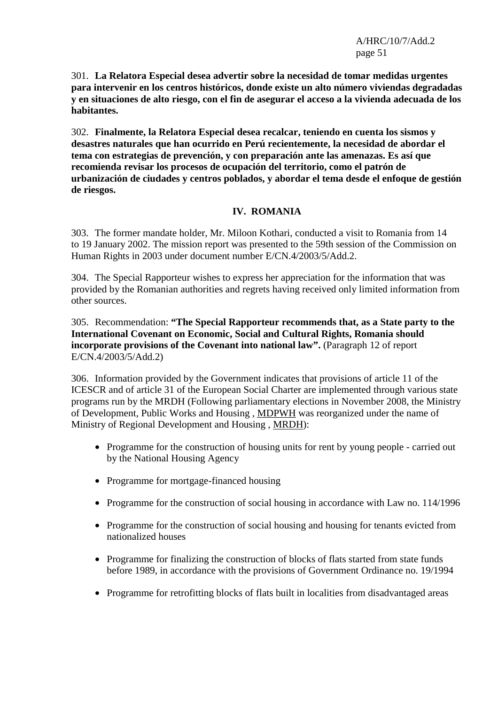301. **La Relatora Especial desea advertir sobre la necesidad de tomar medidas urgentes para intervenir en los centros históricos, donde existe un alto número viviendas degradadas y en situaciones de alto riesgo, con el fin de asegurar el acceso a la vivienda adecuada de los habitantes.** 

302. **Finalmente, la Relatora Especial desea recalcar, teniendo en cuenta los sismos y desastres naturales que han ocurrido en Perú recientemente, la necesidad de abordar el tema con estrategias de prevención, y con preparación ante las amenazas. Es así que recomienda revisar los procesos de ocupación del territorio, como el patrón de urbanización de ciudades y centros poblados, y abordar el tema desde el enfoque de gestión de riesgos.**

# **IV. ROMANIA**

303. The former mandate holder, Mr. Miloon Kothari, conducted a visit to Romania from 14 to 19 January 2002. The mission report was presented to the 59th session of the Commission on Human Rights in 2003 under document number E/CN.4/2003/5/Add.2.

304. The Special Rapporteur wishes to express her appreciation for the information that was provided by the Romanian authorities and regrets having received only limited information from other sources.

305. Recommendation: **"The Special Rapporteur recommends that, as a State party to the International Covenant on Economic, Social and Cultural Rights, Romania should incorporate provisions of the Covenant into national law".** (Paragraph 12 of report E/CN.4/2003/5/Add.2)

306. Information provided by the Government indicates that provisions of article 11 of the ICESCR and of article 31 of the European Social Charter are implemented through various state programs run by the MRDH (Following parliamentary elections in November 2008, the Ministry of Development, Public Works and Housing , MDPWH was reorganized under the name of Ministry of Regional Development and Housing , MRDH):

- Programme for the construction of housing units for rent by young people carried out by the National Housing Agency
- Programme for mortgage-financed housing
- Programme for the construction of social housing in accordance with Law no. 114/1996
- Programme for the construction of social housing and housing for tenants evicted from nationalized houses
- Programme for finalizing the construction of blocks of flats started from state funds before 1989, in accordance with the provisions of Government Ordinance no. 19/1994
- Programme for retrofitting blocks of flats built in localities from disadvantaged areas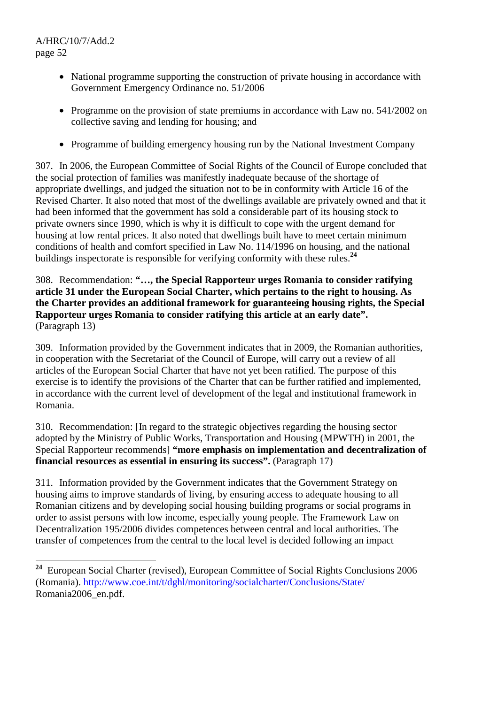- National programme supporting the construction of private housing in accordance with Government Emergency Ordinance no. 51/2006
- Programme on the provision of state premiums in accordance with Law no. 541/2002 on collective saving and lending for housing; and
- Programme of building emergency housing run by the National Investment Company

307. In 2006, the European Committee of Social Rights of the Council of Europe concluded that the social protection of families was manifestly inadequate because of the shortage of appropriate dwellings, and judged the situation not to be in conformity with Article 16 of the Revised Charter. It also noted that most of the dwellings available are privately owned and that it had been informed that the government has sold a considerable part of its housing stock to private owners since 1990, which is why it is difficult to cope with the urgent demand for housing at low rental prices. It also noted that dwellings built have to meet certain minimum conditions of health and comfort specified in Law No. 114/1996 on housing, and the national buildings inspectorate is responsible for verifying conformity with these rules.**<sup>24</sup>**

## 308. Recommendation: **"…, the Special Rapporteur urges Romania to consider ratifying article 31 under the European Social Charter, which pertains to the right to housing. As the Charter provides an additional framework for guaranteeing housing rights, the Special Rapporteur urges Romania to consider ratifying this article at an early date".**  (Paragraph 13)

309. Information provided by the Government indicates that in 2009, the Romanian authorities, in cooperation with the Secretariat of the Council of Europe, will carry out a review of all articles of the European Social Charter that have not yet been ratified. The purpose of this exercise is to identify the provisions of the Charter that can be further ratified and implemented, in accordance with the current level of development of the legal and institutional framework in Romania.

310. Recommendation: [In regard to the strategic objectives regarding the housing sector adopted by the Ministry of Public Works, Transportation and Housing (MPWTH) in 2001, the Special Rapporteur recommends] **"more emphasis on implementation and decentralization of financial resources as essential in ensuring its success".** (Paragraph 17)

311. Information provided by the Government indicates that the Government Strategy on housing aims to improve standards of living, by ensuring access to adequate housing to all Romanian citizens and by developing social housing building programs or social programs in order to assist persons with low income, especially young people. The Framework Law on Decentralization 195/2006 divides competences between central and local authorities. The transfer of competences from the central to the local level is decided following an impact

 ${\bf 24}$ **<sup>24</sup>** European Social Charter (revised), European Committee of Social Rights Conclusions 2006 (Romania). http://www.coe.int/t/dghl/monitoring/socialcharter/Conclusions/State/ Romania2006\_en.pdf.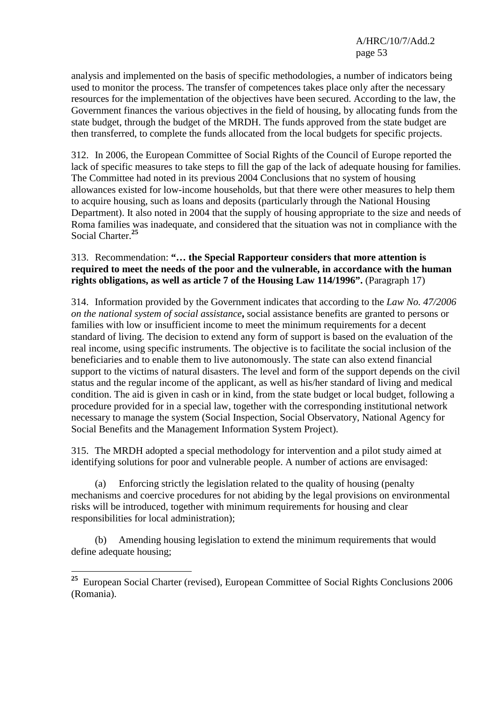analysis and implemented on the basis of specific methodologies, a number of indicators being used to monitor the process. The transfer of competences takes place only after the necessary resources for the implementation of the objectives have been secured. According to the law, the Government finances the various objectives in the field of housing, by allocating funds from the state budget, through the budget of the MRDH. The funds approved from the state budget are then transferred, to complete the funds allocated from the local budgets for specific projects.

312. In 2006, the European Committee of Social Rights of the Council of Europe reported the lack of specific measures to take steps to fill the gap of the lack of adequate housing for families. The Committee had noted in its previous 2004 Conclusions that no system of housing allowances existed for low-income households, but that there were other measures to help them to acquire housing, such as loans and deposits (particularly through the National Housing Department). It also noted in 2004 that the supply of housing appropriate to the size and needs of Roma families was inadequate, and considered that the situation was not in compliance with the Social Charter.**<sup>25</sup>**

# 313. Recommendation: **"… the Special Rapporteur considers that more attention is required to meet the needs of the poor and the vulnerable, in accordance with the human rights obligations, as well as article 7 of the Housing Law 114/1996".** (Paragraph 17)

314. Information provided by the Government indicates that according to the *Law No. 47/2006 on the national system of social assistance***,** social assistance benefits are granted to persons or families with low or insufficient income to meet the minimum requirements for a decent standard of living. The decision to extend any form of support is based on the evaluation of the real income, using specific instruments. The objective is to facilitate the social inclusion of the beneficiaries and to enable them to live autonomously. The state can also extend financial support to the victims of natural disasters. The level and form of the support depends on the civil status and the regular income of the applicant, as well as his/her standard of living and medical condition. The aid is given in cash or in kind, from the state budget or local budget, following a procedure provided for in a special law, together with the corresponding institutional network necessary to manage the system (Social Inspection, Social Observatory, National Agency for Social Benefits and the Management Information System Project).

315. The MRDH adopted a special methodology for intervention and a pilot study aimed at identifying solutions for poor and vulnerable people. A number of actions are envisaged:

 (a) Enforcing strictly the legislation related to the quality of housing (penalty mechanisms and coercive procedures for not abiding by the legal provisions on environmental risks will be introduced, together with minimum requirements for housing and clear responsibilities for local administration);

 (b) Amending housing legislation to extend the minimum requirements that would define adequate housing;

 $\overline{a}$ 

**<sup>25</sup>** European Social Charter (revised), European Committee of Social Rights Conclusions 2006 (Romania).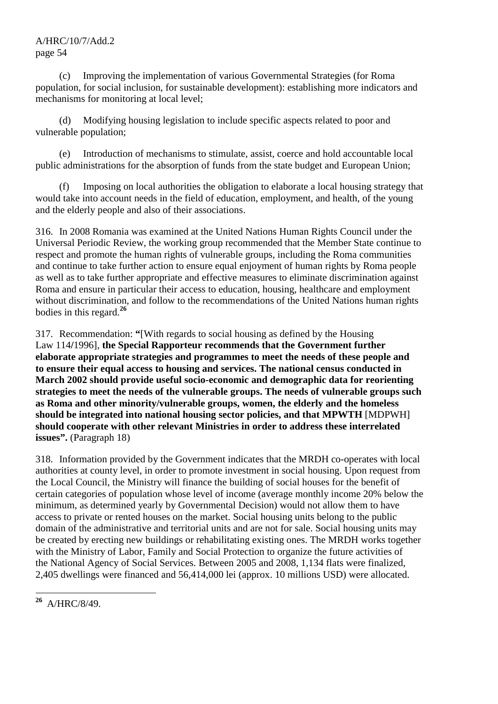(c) Improving the implementation of various Governmental Strategies (for Roma population, for social inclusion, for sustainable development): establishing more indicators and mechanisms for monitoring at local level;

 (d) Modifying housing legislation to include specific aspects related to poor and vulnerable population;

 (e) Introduction of mechanisms to stimulate, assist, coerce and hold accountable local public administrations for the absorption of funds from the state budget and European Union;

 (f) Imposing on local authorities the obligation to elaborate a local housing strategy that would take into account needs in the field of education, employment, and health, of the young and the elderly people and also of their associations.

316. In 2008 Romania was examined at the United Nations Human Rights Council under the Universal Periodic Review, the working group recommended that the Member State continue to respect and promote the human rights of vulnerable groups, including the Roma communities and continue to take further action to ensure equal enjoyment of human rights by Roma people as well as to take further appropriate and effective measures to eliminate discrimination against Roma and ensure in particular their access to education, housing, healthcare and employment without discrimination, and follow to the recommendations of the United Nations human rights bodies in this regard.**<sup>26</sup>**

317. Recommendation: **"**[With regards to social housing as defined by the Housing Law 114**/**1996], **the Special Rapporteur recommends that the Government further elaborate appropriate strategies and programmes to meet the needs of these people and to ensure their equal access to housing and services. The national census conducted in March 2002 should provide useful socio-economic and demographic data for reorienting strategies to meet the needs of the vulnerable groups. The needs of vulnerable groups such as Roma and other minority/vulnerable groups, women, the elderly and the homeless should be integrated into national housing sector policies, and that MPWTH** [MDPWH] **should cooperate with other relevant Ministries in order to address these interrelated issues**". (Paragraph 18)

318. Information provided by the Government indicates that the MRDH co-operates with local authorities at county level, in order to promote investment in social housing. Upon request from the Local Council, the Ministry will finance the building of social houses for the benefit of certain categories of population whose level of income (average monthly income 20% below the minimum, as determined yearly by Governmental Decision) would not allow them to have access to private or rented houses on the market. Social housing units belong to the public domain of the administrative and territorial units and are not for sale. Social housing units may be created by erecting new buildings or rehabilitating existing ones. The MRDH works together with the Ministry of Labor, Family and Social Protection to organize the future activities of the National Agency of Social Services. Between 2005 and 2008, 1,134 flats were finalized, 2,405 dwellings were financed and 56,414,000 lei (approx. 10 millions USD) were allocated.

 $26$ **<sup>26</sup>** A/HRC/8/49.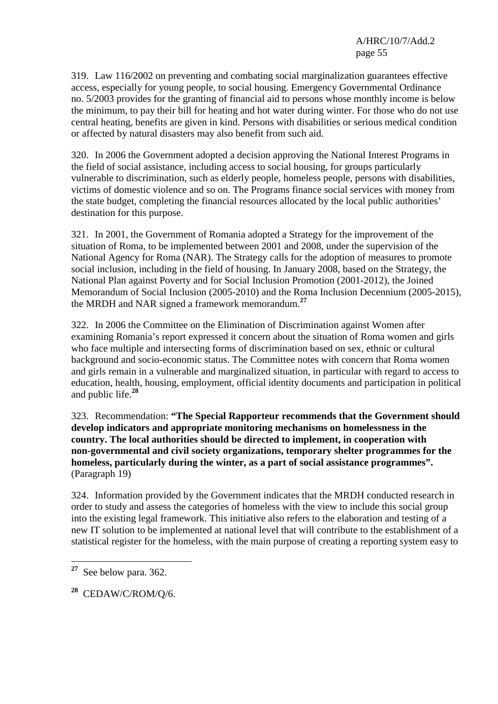319. Law 116/2002 on preventing and combating social marginalization guarantees effective access, especially for young people, to social housing. Emergency Governmental Ordinance no. 5/2003 provides for the granting of financial aid to persons whose monthly income is below the minimum, to pay their bill for heating and hot water during winter. For those who do not use central heating, benefits are given in kind. Persons with disabilities or serious medical condition or affected by natural disasters may also benefit from such aid.

320. In 2006 the Government adopted a decision approving the National Interest Programs in the field of social assistance, including access to social housing, for groups particularly vulnerable to discrimination, such as elderly people, homeless people, persons with disabilities, victims of domestic violence and so on. The Programs finance social services with money from the state budget, completing the financial resources allocated by the local public authorities' destination for this purpose.

321. In 2001, the Government of Romania adopted a Strategy for the improvement of the situation of Roma, to be implemented between 2001 and 2008, under the supervision of the National Agency for Roma (NAR). The Strategy calls for the adoption of measures to promote social inclusion, including in the field of housing. In January 2008, based on the Strategy, the National Plan against Poverty and for Social Inclusion Promotion (2001-2012), the Joined Memorandum of Social Inclusion (2005-2010) and the Roma Inclusion Decennium (2005-2015), the MRDH and NAR signed a framework memorandum.**<sup>27</sup>**

322. In 2006 the Committee on the Elimination of Discrimination against Women after examining Romania's report expressed it concern about the situation of Roma women and girls who face multiple and intersecting forms of discrimination based on sex, ethnic or cultural background and socio-economic status. The Committee notes with concern that Roma women and girls remain in a vulnerable and marginalized situation, in particular with regard to access to education, health, housing, employment, official identity documents and participation in political and public life.**<sup>28</sup>**

323. Recommendation: **"The Special Rapporteur recommends that the Government should develop indicators and appropriate monitoring mechanisms on homelessness in the country. The local authorities should be directed to implement, in cooperation with non-governmental and civil society organizations, temporary shelter programmes for the homeless, particularly during the winter, as a part of social assistance programmes".**  (Paragraph 19)

324. Information provided by the Government indicates that the MRDH conducted research in order to study and assess the categories of homeless with the view to include this social group into the existing legal framework. This initiative also refers to the elaboration and testing of a new IT solution to be implemented at national level that will contribute to the establishment of a statistical register for the homeless, with the main purpose of creating a reporting system easy to

 $\overline{a}$ **<sup>27</sup>** See below para. 362.

**<sup>28</sup>** CEDAW/C/ROM/Q/6.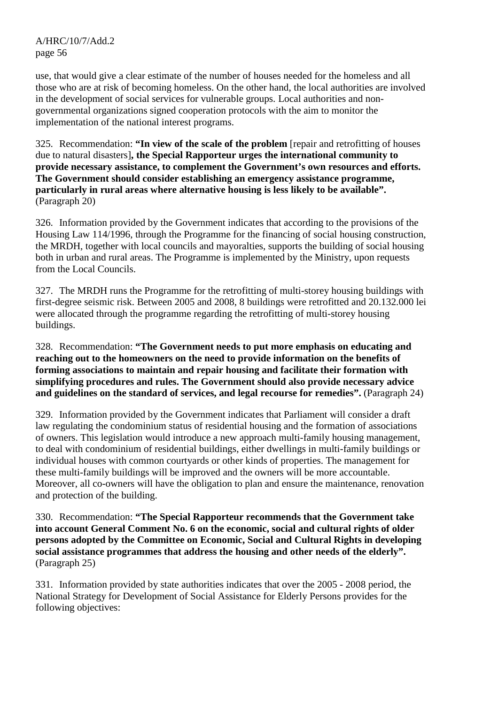use, that would give a clear estimate of the number of houses needed for the homeless and all those who are at risk of becoming homeless. On the other hand, the local authorities are involved in the development of social services for vulnerable groups. Local authorities and nongovernmental organizations signed cooperation protocols with the aim to monitor the implementation of the national interest programs.

325. Recommendation: **"In view of the scale of the problem** [repair and retrofitting of houses due to natural disasters]**, the Special Rapporteur urges the international community to provide necessary assistance, to complement the Government's own resources and efforts. The Government should consider establishing an emergency assistance programme, particularly in rural areas where alternative housing is less likely to be available".**  (Paragraph 20)

326. Information provided by the Government indicates that according to the provisions of the Housing Law 114/1996, through the Programme for the financing of social housing construction, the MRDH*,* together with local councils and mayoralties, supports the building of social housing both in urban and rural areas. The Programme is implemented by the Ministry, upon requests from the Local Councils.

327. The MRDH runs the Programme for the retrofitting of multi-storey housing buildings with first-degree seismic risk. Between 2005 and 2008, 8 buildings were retrofitted and 20.132.000 lei were allocated through the programme regarding the retrofitting of multi-storey housing buildings.

## 328. Recommendation: **"The Government needs to put more emphasis on educating and reaching out to the homeowners on the need to provide information on the benefits of forming associations to maintain and repair housing and facilitate their formation with simplifying procedures and rules. The Government should also provide necessary advice and guidelines on the standard of services, and legal recourse for remedies".** (Paragraph 24)

329. Information provided by the Government indicates that Parliament will consider a draft law regulating the condominium status of residential housing and the formation of associations of owners. This legislation would introduce a new approach multi-family housing management, to deal with condominium of residential buildings, either dwellings in multi-family buildings or individual houses with common courtyards or other kinds of properties. The management for these multi-family buildings will be improved and the owners will be more accountable. Moreover, all co-owners will have the obligation to plan and ensure the maintenance, renovation and protection of the building.

330. Recommendation: **"The Special Rapporteur recommends that the Government take into account General Comment No. 6 on the economic, social and cultural rights of older persons adopted by the Committee on Economic, Social and Cultural Rights in developing social assistance programmes that address the housing and other needs of the elderly".**  (Paragraph 25)

331. Information provided by state authorities indicates that over the 2005 - 2008 period, the National Strategy for Development of Social Assistance for Elderly Persons provides for the following objectives: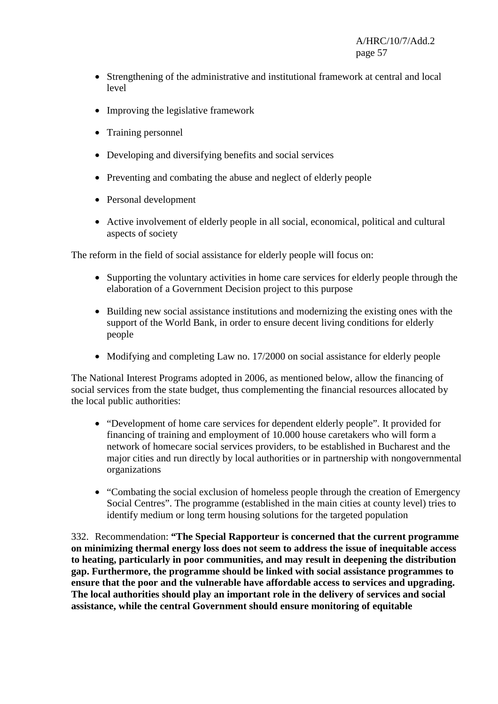- Strengthening of the administrative and institutional framework at central and local level
- Improving the legislative framework
- Training personnel
- Developing and diversifying benefits and social services
- Preventing and combating the abuse and neglect of elderly people
- Personal development
- Active involvement of elderly people in all social, economical, political and cultural aspects of society

The reform in the field of social assistance for elderly people will focus on:

- Supporting the voluntary activities in home care services for elderly people through the elaboration of a Government Decision project to this purpose
- Building new social assistance institutions and modernizing the existing ones with the support of the World Bank, in order to ensure decent living conditions for elderly people
- Modifying and completing Law no. 17/2000 on social assistance for elderly people

The National Interest Programs adopted in 2006, as mentioned below, allow the financing of social services from the state budget, thus complementing the financial resources allocated by the local public authorities:

- "Development of home care services for dependent elderly people". It provided for financing of training and employment of 10.000 house caretakers who will form a network of homecare social services providers, to be established in Bucharest and the major cities and run directly by local authorities or in partnership with nongovernmental organizations
- "Combating the social exclusion of homeless people through the creation of Emergency Social Centres". The programme (established in the main cities at county level) tries to identify medium or long term housing solutions for the targeted population

332. Recommendation: **"The Special Rapporteur is concerned that the current programme on minimizing thermal energy loss does not seem to address the issue of inequitable access to heating, particularly in poor communities, and may result in deepening the distribution gap. Furthermore, the programme should be linked with social assistance programmes to ensure that the poor and the vulnerable have affordable access to services and upgrading. The local authorities should play an important role in the delivery of services and social assistance, while the central Government should ensure monitoring of equitable**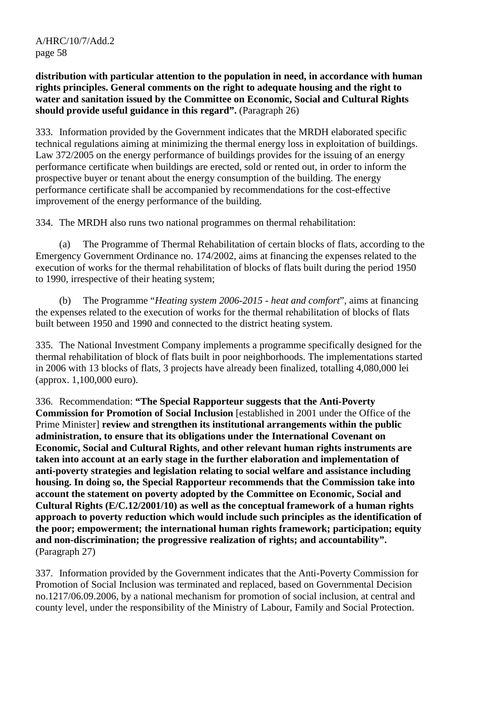**distribution with particular attention to the population in need, in accordance with human rights principles. General comments on the right to adequate housing and the right to water and sanitation issued by the Committee on Economic, Social and Cultural Rights should provide useful guidance in this regard".** (Paragraph 26)

333. Information provided by the Government indicates that the MRDH elaborated specific technical regulations aiming at minimizing the thermal energy loss in exploitation of buildings. Law 372/2005 on the energy performance of buildings provides for the issuing of an energy performance certificate when buildings are erected, sold or rented out, in order to inform the prospective buyer or tenant about the energy consumption of the building. The energy performance certificate shall be accompanied by recommendations for the cost-effective improvement of the energy performance of the building.

334. The MRDH also runs two national programmes on thermal rehabilitation:

 (a) The Programme of Thermal Rehabilitation of certain blocks of flats, according to the Emergency Government Ordinance no. 174/2002, aims at financing the expenses related to the execution of works for the thermal rehabilitation of blocks of flats built during the period 1950 to 1990, irrespective of their heating system;

 (b) The Programme "*Heating system 2006-2015 - heat and comfort*", aims at financing the expenses related to the execution of works for the thermal rehabilitation of blocks of flats built between 1950 and 1990 and connected to the district heating system*.*

335. The National Investment Company implements a programme specifically designed for the thermal rehabilitation of block of flats built in poor neighborhoods. The implementations started in 2006 with 13 blocks of flats, 3 projects have already been finalized, totalling 4,080,000 lei (approx. 1,100,000 euro).

336. Recommendation: **"The Special Rapporteur suggests that the Anti-Poverty Commission for Promotion of Social Inclusion** [established in 2001 under the Office of the Prime Minister] **review and strengthen its institutional arrangements within the public administration, to ensure that its obligations under the International Covenant on Economic, Social and Cultural Rights, and other relevant human rights instruments are taken into account at an early stage in the further elaboration and implementation of anti-poverty strategies and legislation relating to social welfare and assistance including housing. In doing so, the Special Rapporteur recommends that the Commission take into account the statement on poverty adopted by the Committee on Economic, Social and Cultural Rights (E/C.12/2001/10) as well as the conceptual framework of a human rights approach to poverty reduction which would include such principles as the identification of the poor; empowerment; the international human rights framework; participation; equity and non-discrimination; the progressive realization of rights; and accountability".**  (Paragraph 27)

337. Information provided by the Government indicates that the Anti-Poverty Commission for Promotion of Social Inclusion was terminated and replaced, based on Governmental Decision no.1217/06.09.2006, by a national mechanism for promotion of social inclusion, at central and county level, under the responsibility of the Ministry of Labour, Family and Social Protection.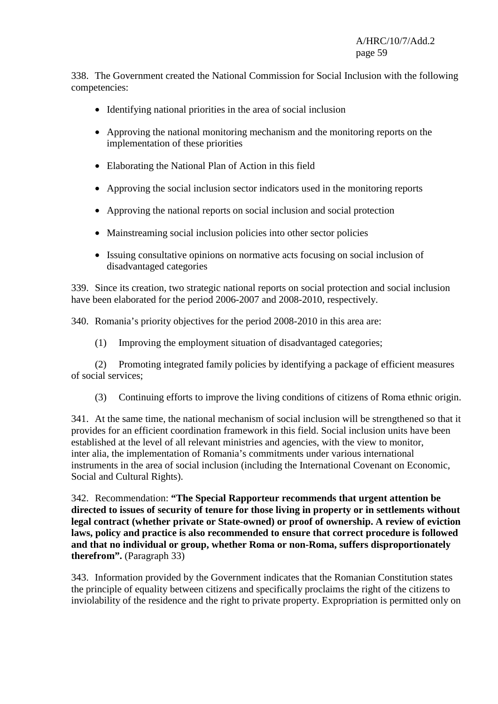338. The Government created the National Commission for Social Inclusion with the following competencies:

- Identifying national priorities in the area of social inclusion
- Approving the national monitoring mechanism and the monitoring reports on the implementation of these priorities
- Elaborating the National Plan of Action in this field
- Approving the social inclusion sector indicators used in the monitoring reports
- Approving the national reports on social inclusion and social protection
- Mainstreaming social inclusion policies into other sector policies
- Issuing consultative opinions on normative acts focusing on social inclusion of disadvantaged categories

339. Since its creation, two strategic national reports on social protection and social inclusion have been elaborated for the period 2006-2007 and 2008-2010, respectively.

340. Romania's priority objectives for the period 2008-2010 in this area are:

(1) Improving the employment situation of disadvantaged categories;

 (2) Promoting integrated family policies by identifying a package of efficient measures of social services;

(3) Continuing efforts to improve the living conditions of citizens of Roma ethnic origin.

341. At the same time, the national mechanism of social inclusion will be strengthened so that it provides for an efficient coordination framework in this field. Social inclusion units have been established at the level of all relevant ministries and agencies, with the view to monitor, inter alia, the implementation of Romania's commitments under various international instruments in the area of social inclusion (including the International Covenant on Economic, Social and Cultural Rights).

342. Recommendation: **"The Special Rapporteur recommends that urgent attention be directed to issues of security of tenure for those living in property or in settlements without legal contract (whether private or State-owned) or proof of ownership. A review of eviction laws, policy and practice is also recommended to ensure that correct procedure is followed and that no individual or group, whether Roma or non-Roma, suffers disproportionately therefrom".** (Paragraph 33)

343. Information provided by the Government indicates that the Romanian Constitution states the principle of equality between citizens and specifically proclaims the right of the citizens to inviolability of the residence and the right to private property. Expropriation is permitted only on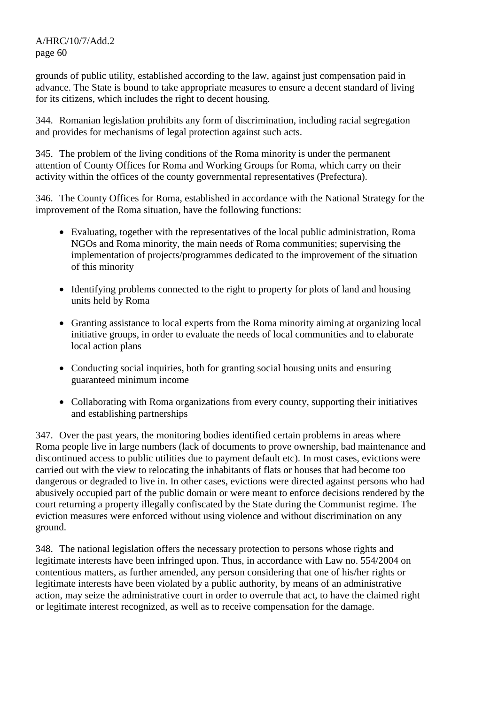grounds of public utility, established according to the law, against just compensation paid in advance. The State is bound to take appropriate measures to ensure a decent standard of living for its citizens, which includes the right to decent housing.

344. Romanian legislation prohibits any form of discrimination, including racial segregation and provides for mechanisms of legal protection against such acts.

345. The problem of the living conditions of the Roma minority is under the permanent attention of County Offices for Roma and Working Groups for Roma, which carry on their activity within the offices of the county governmental representatives (Prefectura).

346. The County Offices for Roma, established in accordance with the National Strategy for the improvement of the Roma situation, have the following functions:

- Evaluating, together with the representatives of the local public administration, Roma NGOs and Roma minority, the main needs of Roma communities; supervising the implementation of projects/programmes dedicated to the improvement of the situation of this minority
- Identifying problems connected to the right to property for plots of land and housing units held by Roma
- Granting assistance to local experts from the Roma minority aiming at organizing local initiative groups, in order to evaluate the needs of local communities and to elaborate local action plans
- Conducting social inquiries, both for granting social housing units and ensuring guaranteed minimum income
- Collaborating with Roma organizations from every county, supporting their initiatives and establishing partnerships

347. Over the past years, the monitoring bodies identified certain problems in areas where Roma people live in large numbers (lack of documents to prove ownership, bad maintenance and discontinued access to public utilities due to payment default etc). In most cases, evictions were carried out with the view to relocating the inhabitants of flats or houses that had become too dangerous or degraded to live in. In other cases, evictions were directed against persons who had abusively occupied part of the public domain or were meant to enforce decisions rendered by the court returning a property illegally confiscated by the State during the Communist regime. The eviction measures were enforced without using violence and without discrimination on any ground.

348. The national legislation offers the necessary protection to persons whose rights and legitimate interests have been infringed upon. Thus, in accordance with Law no. 554/2004 on contentious matters, as further amended, any person considering that one of his/her rights or legitimate interests have been violated by a public authority, by means of an administrative action, may seize the administrative court in order to overrule that act, to have the claimed right or legitimate interest recognized, as well as to receive compensation for the damage.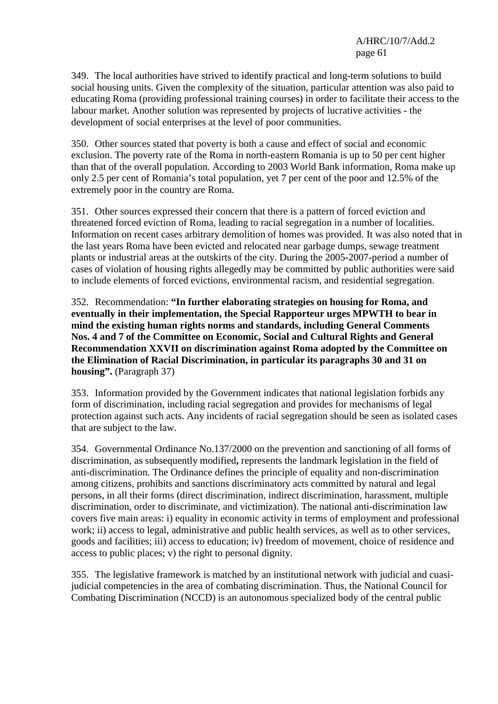349. The local authorities have strived to identify practical and long-term solutions to build social housing units. Given the complexity of the situation, particular attention was also paid to educating Roma (providing professional training courses) in order to facilitate their access to the labour market. Another solution was represented by projects of lucrative activities - the development of social enterprises at the level of poor communities.

350. Other sources stated that poverty is both a cause and effect of social and economic exclusion. The poverty rate of the Roma in north-eastern Romania is up to 50 per cent higher than that of the overall population. According to 2003 World Bank information, Roma make up only 2.5 per cent of Romania's total population, yet 7 per cent of the poor and 12.5% of the extremely poor in the country are Roma.

351. Other sources expressed their concern that there is a pattern of forced eviction and threatened forced eviction of Roma, leading to racial segregation in a number of localities. Information on recent cases arbitrary demolition of homes was provided. It was also noted that in the last years Roma have been evicted and relocated near garbage dumps, sewage treatment plants or industrial areas at the outskirts of the city. During the 2005-2007-period a number of cases of violation of housing rights allegedly may be committed by public authorities were said to include elements of forced evictions, environmental racism, and residential segregation.

352. Recommendation: **"In further elaborating strategies on housing for Roma, and eventually in their implementation, the Special Rapporteur urges MPWTH to bear in mind the existing human rights norms and standards, including General Comments Nos. 4 and 7 of the Committee on Economic, Social and Cultural Rights and General Recommendation XXVII on discrimination against Roma adopted by the Committee on the Elimination of Racial Discrimination, in particular its paragraphs 30 and 31 on housing".** (Paragraph 37)

353. Information provided by the Government indicates that national legislation forbids any form of discrimination, including racial segregation and provides for mechanisms of legal protection against such acts. Any incidents of racial segregation should be seen as isolated cases that are subject to the law.

354. Governmental Ordinance No.137/2000 on the prevention and sanctioning of all forms of discrimination, as subsequently modified**,** represents the landmark legislation in the field of anti-discrimination. The Ordinance defines the principle of equality and non-discrimination among citizens, prohibits and sanctions discriminatory acts committed by natural and legal persons, in all their forms (direct discrimination, indirect discrimination, harassment, multiple discrimination, order to discriminate, and victimization). The national anti-discrimination law covers five main areas: i) equality in economic activity in terms of employment and professional work; ii) access to legal, administrative and public health services, as well as to other services, goods and facilities; iii) access to education; iv) freedom of movement, choice of residence and access to public places; v) the right to personal dignity.

355. The legislative framework is matched by an institutional network with judicial and cuasijudicial competencies in the area of combating discrimination. Thus, the National Council for Combating Discrimination (NCCD) is an autonomous specialized body of the central public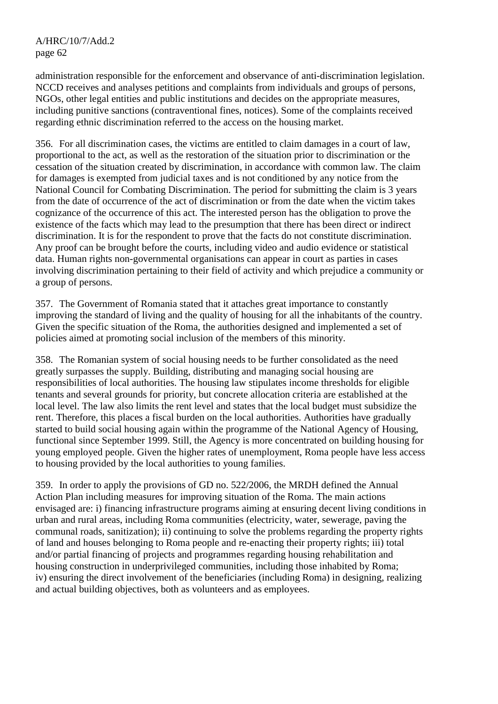administration responsible for the enforcement and observance of anti-discrimination legislation. NCCD receives and analyses petitions and complaints from individuals and groups of persons, NGOs, other legal entities and public institutions and decides on the appropriate measures, including punitive sanctions (contraventional fines, notices). Some of the complaints received regarding ethnic discrimination referred to the access on the housing market.

356. For all discrimination cases, the victims are entitled to claim damages in a court of law, proportional to the act, as well as the restoration of the situation prior to discrimination or the cessation of the situation created by discrimination, in accordance with common law. The claim for damages is exempted from judicial taxes and is not conditioned by any notice from the National Council for Combating Discrimination. The period for submitting the claim is 3 years from the date of occurrence of the act of discrimination or from the date when the victim takes cognizance of the occurrence of this act. The interested person has the obligation to prove the existence of the facts which may lead to the presumption that there has been direct or indirect discrimination. It is for the respondent to prove that the facts do not constitute discrimination. Any proof can be brought before the courts, including video and audio evidence or statistical data. Human rights non-governmental organisations can appear in court as parties in cases involving discrimination pertaining to their field of activity and which prejudice a community or a group of persons.

357. The Government of Romania stated that it attaches great importance to constantly improving the standard of living and the quality of housing for all the inhabitants of the country. Given the specific situation of the Roma, the authorities designed and implemented a set of policies aimed at promoting social inclusion of the members of this minority.

358. The Romanian system of social housing needs to be further consolidated as the need greatly surpasses the supply. Building, distributing and managing social housing are responsibilities of local authorities. The housing law stipulates income thresholds for eligible tenants and several grounds for priority, but concrete allocation criteria are established at the local level. The law also limits the rent level and states that the local budget must subsidize the rent. Therefore, this places a fiscal burden on the local authorities. Authorities have gradually started to build social housing again within the programme of the National Agency of Housing, functional since September 1999. Still, the Agency is more concentrated on building housing for young employed people. Given the higher rates of unemployment, Roma people have less access to housing provided by the local authorities to young families.

359. In order to apply the provisions of GD no. 522/2006, the MRDH defined the Annual Action Plan including measures for improving situation of the Roma. The main actions envisaged are: i) financing infrastructure programs aiming at ensuring decent living conditions in urban and rural areas, including Roma communities (electricity, water, sewerage, paving the communal roads, sanitization); ii) continuing to solve the problems regarding the property rights of land and houses belonging to Roma people and re-enacting their property rights; iii) total and/or partial financing of projects and programmes regarding housing rehabilitation and housing construction in underprivileged communities, including those inhabited by Roma; iv) ensuring the direct involvement of the beneficiaries (including Roma) in designing, realizing and actual building objectives, both as volunteers and as employees.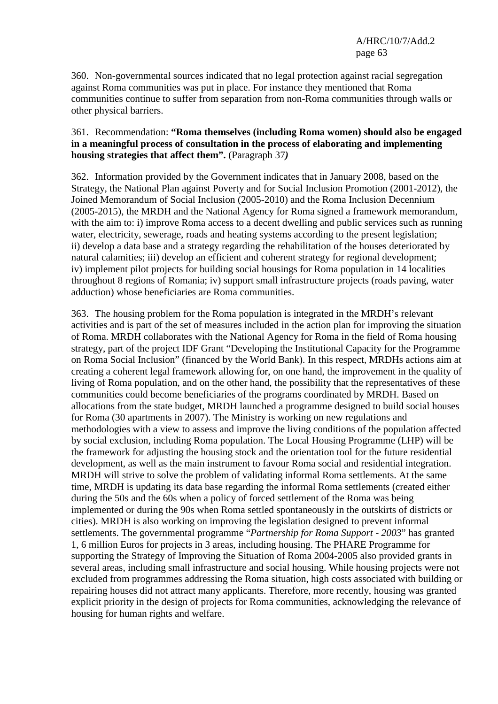360. Non-governmental sources indicated that no legal protection against racial segregation against Roma communities was put in place. For instance they mentioned that Roma communities continue to suffer from separation from non-Roma communities through walls or other physical barriers.

#### 361. Recommendation: **"Roma themselves (including Roma women) should also be engaged in a meaningful process of consultation in the process of elaborating and implementing housing strategies that affect them".** (Paragraph 37*)*

362. Information provided by the Government indicates that in January 2008, based on the Strategy, the National Plan against Poverty and for Social Inclusion Promotion (2001-2012), the Joined Memorandum of Social Inclusion (2005-2010) and the Roma Inclusion Decennium (2005-2015), the MRDH and the National Agency for Roma signed a framework memorandum, with the aim to: i) improve Roma access to a decent dwelling and public services such as running water, electricity, sewerage, roads and heating systems according to the present legislation; ii) develop a data base and a strategy regarding the rehabilitation of the houses deteriorated by natural calamities; iii) develop an efficient and coherent strategy for regional development; iv) implement pilot projects for building social housings for Roma population in 14 localities throughout 8 regions of Romania; iv) support small infrastructure projects (roads paving, water adduction) whose beneficiaries are Roma communities.

363. The housing problem for the Roma population is integrated in the MRDH's relevant activities and is part of the set of measures included in the action plan for improving the situation of Roma. MRDH collaborates with the National Agency for Roma in the field of Roma housing strategy, part of the project IDF Grant "Developing the Institutional Capacity for the Programme on Roma Social Inclusion" (financed by the World Bank). In this respect, MRDHs actions aim at creating a coherent legal framework allowing for, on one hand, the improvement in the quality of living of Roma population, and on the other hand, the possibility that the representatives of these communities could become beneficiaries of the programs coordinated by MRDH. Based on allocations from the state budget, MRDH launched a programme designed to build social houses for Roma (30 apartments in 2007). The Ministry is working on new regulations and methodologies with a view to assess and improve the living conditions of the population affected by social exclusion, including Roma population. The Local Housing Programme (LHP) will be the framework for adjusting the housing stock and the orientation tool for the future residential development, as well as the main instrument to favour Roma social and residential integration. MRDH will strive to solve the problem of validating informal Roma settlements. At the same time, MRDH is updating its data base regarding the informal Roma settlements (created either during the 50s and the 60s when a policy of forced settlement of the Roma was being implemented or during the 90s when Roma settled spontaneously in the outskirts of districts or cities). MRDH is also working on improving the legislation designed to prevent informal settlements. The governmental programme "*Partnership for Roma Support - 2003*" has granted 1, 6 million Euros for projects in 3 areas, including housing. The PHARE Programme for supporting the Strategy of Improving the Situation of Roma 2004-2005 also provided grants in several areas, including small infrastructure and social housing. While housing projects were not excluded from programmes addressing the Roma situation, high costs associated with building or repairing houses did not attract many applicants. Therefore, more recently, housing was granted explicit priority in the design of projects for Roma communities, acknowledging the relevance of housing for human rights and welfare.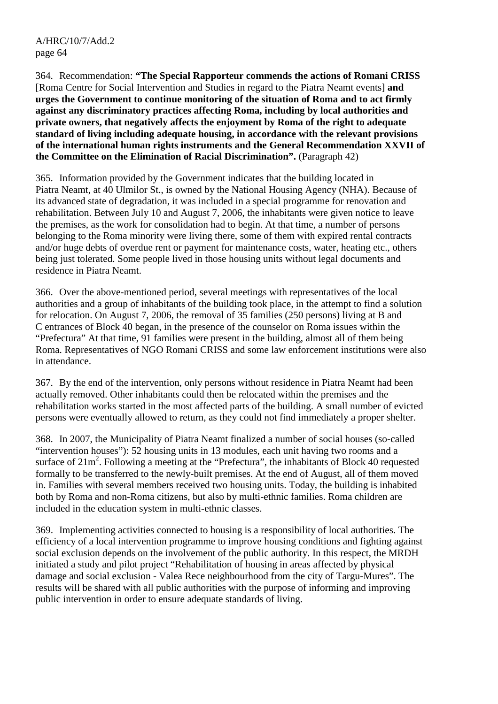364. Recommendation: **"The Special Rapporteur commends the actions of Romani CRISS**  [Roma Centre for Social Intervention and Studies in regard to the Piatra Neamt events] **and urges the Government to continue monitoring of the situation of Roma and to act firmly against any discriminatory practices affecting Roma, including by local authorities and private owners, that negatively affects the enjoyment by Roma of the right to adequate standard of living including adequate housing, in accordance with the relevant provisions of the international human rights instruments and the General Recommendation XXVII of the Committee on the Elimination of Racial Discrimination".** (Paragraph 42)

365. Information provided by the Government indicates that the building located in Piatra Neamt, at 40 Ulmilor St., is owned by the National Housing Agency (NHA). Because of its advanced state of degradation, it was included in a special programme for renovation and rehabilitation. Between July 10 and August 7, 2006, the inhabitants were given notice to leave the premises, as the work for consolidation had to begin. At that time, a number of persons belonging to the Roma minority were living there, some of them with expired rental contracts and/or huge debts of overdue rent or payment for maintenance costs, water, heating etc., others being just tolerated. Some people lived in those housing units without legal documents and residence in Piatra Neamt.

366. Over the above-mentioned period, several meetings with representatives of the local authorities and a group of inhabitants of the building took place, in the attempt to find a solution for relocation. On August 7, 2006, the removal of 35 families (250 persons) living at B and C entrances of Block 40 began, in the presence of the counselor on Roma issues within the "Prefectura" At that time, 91 families were present in the building, almost all of them being Roma. Representatives of NGO Romani CRISS and some law enforcement institutions were also in attendance.

367. By the end of the intervention, only persons without residence in Piatra Neamt had been actually removed. Other inhabitants could then be relocated within the premises and the rehabilitation works started in the most affected parts of the building. A small number of evicted persons were eventually allowed to return, as they could not find immediately a proper shelter.

368. In 2007, the Municipality of Piatra Neamt finalized a number of social houses (so-called "intervention houses"): 52 housing units in 13 modules, each unit having two rooms and a surface of  $21m^2$ . Following a meeting at the "Prefectura", the inhabitants of Block 40 requested formally to be transferred to the newly-built premises. At the end of August, all of them moved in. Families with several members received two housing units. Today, the building is inhabited both by Roma and non-Roma citizens, but also by multi-ethnic families. Roma children are included in the education system in multi-ethnic classes.

369. Implementing activities connected to housing is a responsibility of local authorities. The efficiency of a local intervention programme to improve housing conditions and fighting against social exclusion depends on the involvement of the public authority. In this respect, the MRDH initiated a study and pilot project "Rehabilitation of housing in areas affected by physical damage and social exclusion - Valea Rece neighbourhood from the city of Targu-Mures". The results will be shared with all public authorities with the purpose of informing and improving public intervention in order to ensure adequate standards of living.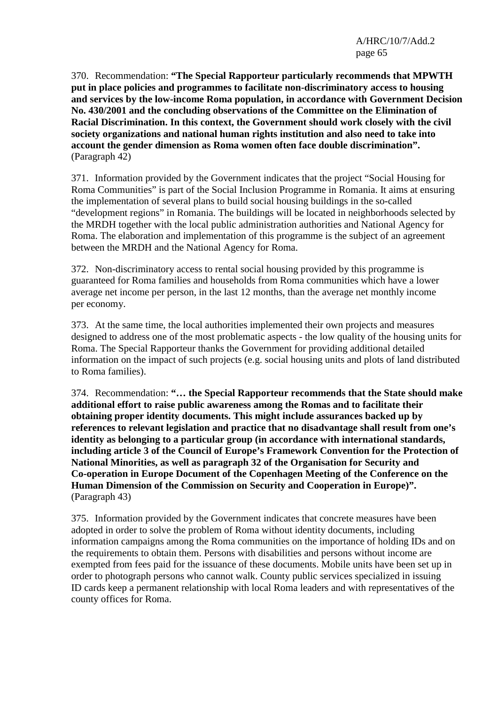370. Recommendation: **"The Special Rapporteur particularly recommends that MPWTH put in place policies and programmes to facilitate non-discriminatory access to housing and services by the low-income Roma population, in accordance with Government Decision No. 430/2001 and the concluding observations of the Committee on the Elimination of Racial Discrimination. In this context, the Government should work closely with the civil society organizations and national human rights institution and also need to take into account the gender dimension as Roma women often face double discrimination".** (Paragraph 42)

371. Information provided by the Government indicates that the project "Social Housing for Roma Communities" is part of the Social Inclusion Programme in Romania. It aims at ensuring the implementation of several plans to build social housing buildings in the so-called "development regions" in Romania. The buildings will be located in neighborhoods selected by the MRDH together with the local public administration authorities and National Agency for Roma. The elaboration and implementation of this programme is the subject of an agreement between the MRDH and the National Agency for Roma.

372. Non-discriminatory access to rental social housing provided by this programme is guaranteed for Roma families and households from Roma communities which have a lower average net income per person, in the last 12 months, than the average net monthly income per economy.

373. At the same time, the local authorities implemented their own projects and measures designed to address one of the most problematic aspects - the low quality of the housing units for Roma. The Special Rapporteur thanks the Government for providing additional detailed information on the impact of such projects (e.g. social housing units and plots of land distributed to Roma families).

374. Recommendation: **"… the Special Rapporteur recommends that the State should make additional effort to raise public awareness among the Romas and to facilitate their obtaining proper identity documents. This might include assurances backed up by references to relevant legislation and practice that no disadvantage shall result from one's identity as belonging to a particular group (in accordance with international standards, including article 3 of the Council of Europe's Framework Convention for the Protection of National Minorities, as well as paragraph 32 of the Organisation for Security and Co-operation in Europe Document of the Copenhagen Meeting of the Conference on the Human Dimension of the Commission on Security and Cooperation in Europe)".** (Paragraph 43)

375. Information provided by the Government indicates that concrete measures have been adopted in order to solve the problem of Roma without identity documents, including information campaigns among the Roma communities on the importance of holding IDs and on the requirements to obtain them. Persons with disabilities and persons without income are exempted from fees paid for the issuance of these documents. Mobile units have been set up in order to photograph persons who cannot walk. County public services specialized in issuing ID cards keep a permanent relationship with local Roma leaders and with representatives of the county offices for Roma.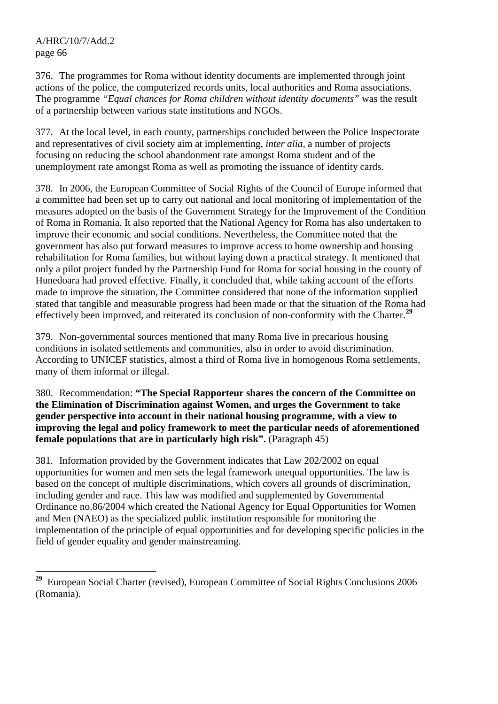$\overline{a}$ 

376. The programmes for Roma without identity documents are implemented through joint actions of the police, the computerized records units, local authorities and Roma associations. The programme *"Equal chances for Roma children without identity documents"* was the result of a partnership between various state institutions and NGOs.

377. At the local level, in each county, partnerships concluded between the Police Inspectorate and representatives of civil society aim at implementing, *inter alia*, a number of projects focusing on reducing the school abandonment rate amongst Roma student and of the unemployment rate amongst Roma as well as promoting the issuance of identity cards.

378. In 2006, the European Committee of Social Rights of the Council of Europe informed that a committee had been set up to carry out national and local monitoring of implementation of the measures adopted on the basis of the Government Strategy for the Improvement of the Condition of Roma in Romania. It also reported that the National Agency for Roma has also undertaken to improve their economic and social conditions. Nevertheless, the Committee noted that the government has also put forward measures to improve access to home ownership and housing rehabilitation for Roma families, but without laying down a practical strategy. It mentioned that only a pilot project funded by the Partnership Fund for Roma for social housing in the county of Hunedoara had proved effective. Finally, it concluded that, while taking account of the efforts made to improve the situation, the Committee considered that none of the information supplied stated that tangible and measurable progress had been made or that the situation of the Roma had effectively been improved, and reiterated its conclusion of non-conformity with the Charter.**<sup>29</sup>**

379. Non-governmental sources mentioned that many Roma live in precarious housing conditions in isolated settlements and communities, also in order to avoid discrimination. According to UNICEF statistics, almost a third of Roma live in homogenous Roma settlements, many of them informal or illegal.

380. Recommendation: **"The Special Rapporteur shares the concern of the Committee on the Elimination of Discrimination against Women, and urges the Government to take gender perspective into account in their national housing programme, with a view to improving the legal and policy framework to meet the particular needs of aforementioned female populations that are in particularly high risk".** (Paragraph 45)

381. Information provided by the Government indicates that Law 202/2002 on equal opportunities for women and men sets the legal framework unequal opportunities. The law is based on the concept of multiple discriminations, which covers all grounds of discrimination, including gender and race. This law was modified and supplemented by Governmental Ordinance no.86/2004 which created the National Agency for Equal Opportunities for Women and Men (NAEO) as the specialized public institution responsible for monitoring the implementation of the principle of equal opportunities and for developing specific policies in the field of gender equality and gender mainstreaming.

**<sup>29</sup>** European Social Charter (revised), European Committee of Social Rights Conclusions 2006 (Romania).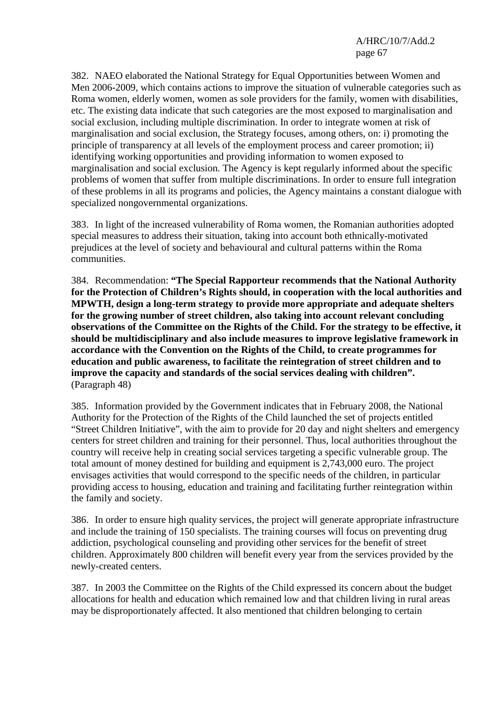382. NAEO elaborated the National Strategy for Equal Opportunities between Women and Men 2006-2009, which contains actions to improve the situation of vulnerable categories such as Roma women, elderly women, women as sole providers for the family, women with disabilities, etc. The existing data indicate that such categories are the most exposed to marginalisation and social exclusion, including multiple discrimination. In order to integrate women at risk of marginalisation and social exclusion, the Strategy focuses, among others, on: i) promoting the principle of transparency at all levels of the employment process and career promotion; ii) identifying working opportunities and providing information to women exposed to marginalisation and social exclusion. The Agency is kept regularly informed about the specific problems of women that suffer from multiple discriminations. In order to ensure full integration of these problems in all its programs and policies, the Agency maintains a constant dialogue with specialized nongovernmental organizations.

383. In light of the increased vulnerability of Roma women, the Romanian authorities adopted special measures to address their situation, taking into account both ethnically-motivated prejudices at the level of society and behavioural and cultural patterns within the Roma communities.

384. Recommendation: **"The Special Rapporteur recommends that the National Authority for the Protection of Children's Rights should, in cooperation with the local authorities and MPWTH, design a long-term strategy to provide more appropriate and adequate shelters for the growing number of street children, also taking into account relevant concluding observations of the Committee on the Rights of the Child. For the strategy to be effective, it should be multidisciplinary and also include measures to improve legislative framework in accordance with the Convention on the Rights of the Child, to create programmes for education and public awareness, to facilitate the reintegration of street children and to improve the capacity and standards of the social services dealing with children".** (Paragraph 48)

385. Information provided by the Government indicates that in February 2008, the National Authority for the Protection of the Rights of the Child launched the set of projects entitled "Street Children Initiative", with the aim to provide for 20 day and night shelters and emergency centers for street children and training for their personnel. Thus, local authorities throughout the country will receive help in creating social services targeting a specific vulnerable group. The total amount of money destined for building and equipment is 2,743,000 euro. The project envisages activities that would correspond to the specific needs of the children, in particular providing access to housing, education and training and facilitating further reintegration within the family and society.

386. In order to ensure high quality services, the project will generate appropriate infrastructure and include the training of 150 specialists. The training courses will focus on preventing drug addiction, psychological counseling and providing other services for the benefit of street children. Approximately 800 children will benefit every year from the services provided by the newly-created centers.

387. In 2003 the Committee on the Rights of the Child expressed its concern about the budget allocations for health and education which remained low and that children living in rural areas may be disproportionately affected. It also mentioned that children belonging to certain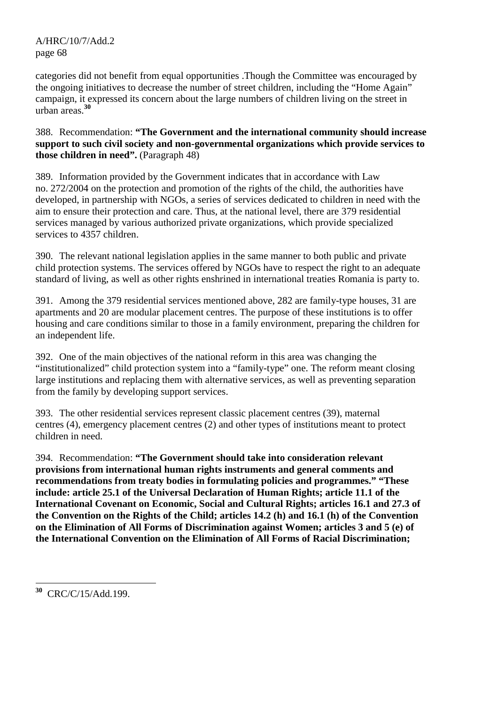categories did not benefit from equal opportunities .Though the Committee was encouraged by the ongoing initiatives to decrease the number of street children, including the "Home Again" campaign, it expressed its concern about the large numbers of children living on the street in urban areas.**<sup>30</sup>**

388. Recommendation: **"The Government and the international community should increase support to such civil society and non-governmental organizations which provide services to those children in need".** (Paragraph 48)

389. Information provided by the Government indicates that in accordance with Law no. 272/2004 on the protection and promotion of the rights of the child, the authorities have developed, in partnership with NGOs, a series of services dedicated to children in need with the aim to ensure their protection and care. Thus, at the national level, there are 379 residential services managed by various authorized private organizations, which provide specialized services to 4357 children.

390. The relevant national legislation applies in the same manner to both public and private child protection systems. The services offered by NGOs have to respect the right to an adequate standard of living, as well as other rights enshrined in international treaties Romania is party to.

391. Among the 379 residential services mentioned above, 282 are family-type houses, 31 are apartments and 20 are modular placement centres. The purpose of these institutions is to offer housing and care conditions similar to those in a family environment, preparing the children for an independent life.

392. One of the main objectives of the national reform in this area was changing the "institutionalized" child protection system into a "family-type" one. The reform meant closing large institutions and replacing them with alternative services, as well as preventing separation from the family by developing support services.

393. The other residential services represent classic placement centres (39), maternal centres (4), emergency placement centres (2) and other types of institutions meant to protect children in need.

394. Recommendation: **"The Government should take into consideration relevant provisions from international human rights instruments and general comments and recommendations from treaty bodies in formulating policies and programmes." "These include: article 25.1 of the Universal Declaration of Human Rights; article 11.1 of the International Covenant on Economic, Social and Cultural Rights; articles 16.1 and 27.3 of the Convention on the Rights of the Child; articles 14.2 (h) and 16.1 (h) of the Convention on the Elimination of All Forms of Discrimination against Women; articles 3 and 5 (e) of the International Convention on the Elimination of All Forms of Racial Discrimination;** 

 $\overline{a}$ **<sup>30</sup>** CRC/C/15/Add.199.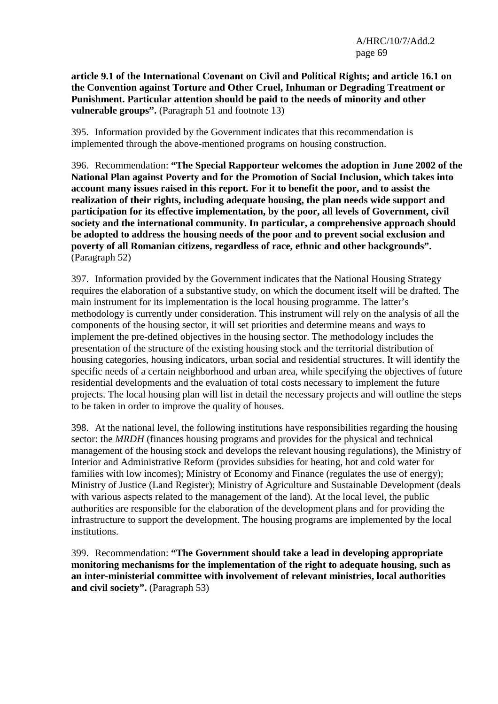**article 9.1 of the International Covenant on Civil and Political Rights; and article 16.1 on the Convention against Torture and Other Cruel, Inhuman or Degrading Treatment or Punishment. Particular attention should be paid to the needs of minority and other vulnerable groups".** (Paragraph 51 and footnote 13)

395. Information provided by the Government indicates that this recommendation is implemented through the above-mentioned programs on housing construction.

396. Recommendation: **"The Special Rapporteur welcomes the adoption in June 2002 of the National Plan against Poverty and for the Promotion of Social Inclusion, which takes into account many issues raised in this report. For it to benefit the poor, and to assist the realization of their rights, including adequate housing, the plan needs wide support and participation for its effective implementation, by the poor, all levels of Government, civil society and the international community. In particular, a comprehensive approach should be adopted to address the housing needs of the poor and to prevent social exclusion and poverty of all Romanian citizens, regardless of race, ethnic and other backgrounds".**  (Paragraph 52)

397. Information provided by the Government indicates that the National Housing Strategy requires the elaboration of a substantive study, on which the document itself will be drafted. The main instrument for its implementation is the local housing programme. The latter's methodology is currently under consideration. This instrument will rely on the analysis of all the components of the housing sector, it will set priorities and determine means and ways to implement the pre-defined objectives in the housing sector. The methodology includes the presentation of the structure of the existing housing stock and the territorial distribution of housing categories, housing indicators, urban social and residential structures. It will identify the specific needs of a certain neighborhood and urban area, while specifying the objectives of future residential developments and the evaluation of total costs necessary to implement the future projects. The local housing plan will list in detail the necessary projects and will outline the steps to be taken in order to improve the quality of houses.

398. At the national level, the following institutions have responsibilities regarding the housing sector: the *MRDH* (finances housing programs and provides for the physical and technical management of the housing stock and develops the relevant housing regulations), the Ministry of Interior and Administrative Reform (provides subsidies for heating, hot and cold water for families with low incomes); Ministry of Economy and Finance (regulates the use of energy); Ministry of Justice (Land Register); Ministry of Agriculture and Sustainable Development (deals with various aspects related to the management of the land). At the local level, the public authorities are responsible for the elaboration of the development plans and for providing the infrastructure to support the development. The housing programs are implemented by the local institutions.

399. Recommendation: **"The Government should take a lead in developing appropriate monitoring mechanisms for the implementation of the right to adequate housing, such as an inter-ministerial committee with involvement of relevant ministries, local authorities and civil society".** (Paragraph 53)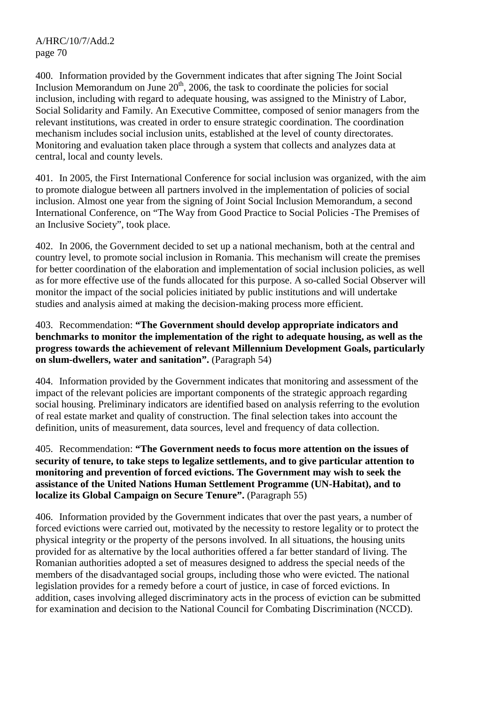400. Information provided by the Government indicates that after signing The Joint Social Inclusion Memorandum on June  $20<sup>th</sup>$ , 2006, the task to coordinate the policies for social inclusion, including with regard to adequate housing, was assigned to the Ministry of Labor, Social Solidarity and Family. An Executive Committee, composed of senior managers from the relevant institutions, was created in order to ensure strategic coordination. The coordination mechanism includes social inclusion units, established at the level of county directorates. Monitoring and evaluation taken place through a system that collects and analyzes data at central, local and county levels.

401. In 2005, the First International Conference for social inclusion was organized, with the aim to promote dialogue between all partners involved in the implementation of policies of social inclusion. Almost one year from the signing of Joint Social Inclusion Memorandum, a second International Conference, on "The Way from Good Practice to Social Policies -The Premises of an Inclusive Society", took place.

402. In 2006, the Government decided to set up a national mechanism, both at the central and country level, to promote social inclusion in Romania. This mechanism will create the premises for better coordination of the elaboration and implementation of social inclusion policies, as well as for more effective use of the funds allocated for this purpose. A so-called Social Observer will monitor the impact of the social policies initiated by public institutions and will undertake studies and analysis aimed at making the decision-making process more efficient.

## 403. Recommendation: **"The Government should develop appropriate indicators and benchmarks to monitor the implementation of the right to adequate housing, as well as the progress towards the achievement of relevant Millennium Development Goals, particularly on slum-dwellers, water and sanitation".** (Paragraph 54)

404. Information provided by the Government indicates that monitoring and assessment of the impact of the relevant policies are important components of the strategic approach regarding social housing. Preliminary indicators are identified based on analysis referring to the evolution of real estate market and quality of construction. The final selection takes into account the definition, units of measurement, data sources, level and frequency of data collection.

## 405. Recommendation: **"The Government needs to focus more attention on the issues of security of tenure, to take steps to legalize settlements, and to give particular attention to monitoring and prevention of forced evictions. The Government may wish to seek the assistance of the United Nations Human Settlement Programme (UN-Habitat), and to localize its Global Campaign on Secure Tenure".** (Paragraph 55)

406. Information provided by the Government indicates that over the past years, a number of forced evictions were carried out, motivated by the necessity to restore legality or to protect the physical integrity or the property of the persons involved. In all situations, the housing units provided for as alternative by the local authorities offered a far better standard of living. The Romanian authorities adopted a set of measures designed to address the special needs of the members of the disadvantaged social groups, including those who were evicted. The national legislation provides for a remedy before a court of justice, in case of forced evictions. In addition, cases involving alleged discriminatory acts in the process of eviction can be submitted for examination and decision to the National Council for Combating Discrimination (NCCD).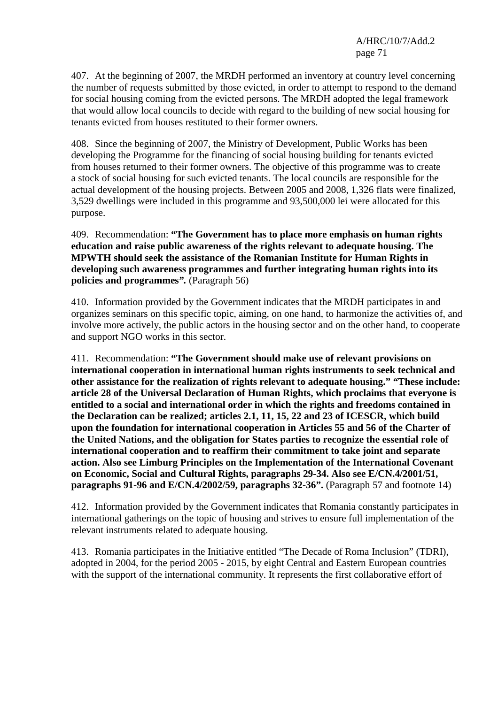407. At the beginning of 2007, the MRDH performed an inventory at country level concerning the number of requests submitted by those evicted, in order to attempt to respond to the demand for social housing coming from the evicted persons. The MRDH adopted the legal framework that would allow local councils to decide with regard to the building of new social housing for tenants evicted from houses restituted to their former owners.

408. Since the beginning of 2007, the Ministry of Development, Public Works has been developing the Programme for the financing of social housing building for tenants evicted from houses returned to their former owners. The objective of this programme was to create a stock of social housing for such evicted tenants. The local councils are responsible for the actual development of the housing projects. Between 2005 and 2008, 1,326 flats were finalized, 3,529 dwellings were included in this programme and 93,500,000 lei were allocated for this purpose.

409. Recommendation: **"The Government has to place more emphasis on human rights education and raise public awareness of the rights relevant to adequate housing. The MPWTH should seek the assistance of the Romanian Institute for Human Rights in developing such awareness programmes and further integrating human rights into its policies and programmes***".* (Paragraph 56)

410. Information provided by the Government indicates that the MRDH participates in and organizes seminars on this specific topic, aiming, on one hand, to harmonize the activities of, and involve more actively, the public actors in the housing sector and on the other hand, to cooperate and support NGO works in this sector.

411. Recommendation: **"The Government should make use of relevant provisions on international cooperation in international human rights instruments to seek technical and other assistance for the realization of rights relevant to adequate housing." "These include: article 28 of the Universal Declaration of Human Rights, which proclaims that everyone is entitled to a social and international order in which the rights and freedoms contained in the Declaration can be realized; articles 2.1, 11, 15, 22 and 23 of ICESCR, which build upon the foundation for international cooperation in Articles 55 and 56 of the Charter of the United Nations, and the obligation for States parties to recognize the essential role of international cooperation and to reaffirm their commitment to take joint and separate action. Also see Limburg Principles on the Implementation of the International Covenant on Economic, Social and Cultural Rights, paragraphs 29-34. Also see E/CN.4/2001/51, paragraphs 91-96 and E/CN.4/2002/59, paragraphs 32-36".** (Paragraph 57 and footnote 14)

412. Information provided by the Government indicates that Romania constantly participates in international gatherings on the topic of housing and strives to ensure full implementation of the relevant instruments related to adequate housing.

413. Romania participates in the Initiative entitled "The Decade of Roma Inclusion" (TDRI), adopted in 2004, for the period 2005 - 2015, by eight Central and Eastern European countries with the support of the international community. It represents the first collaborative effort of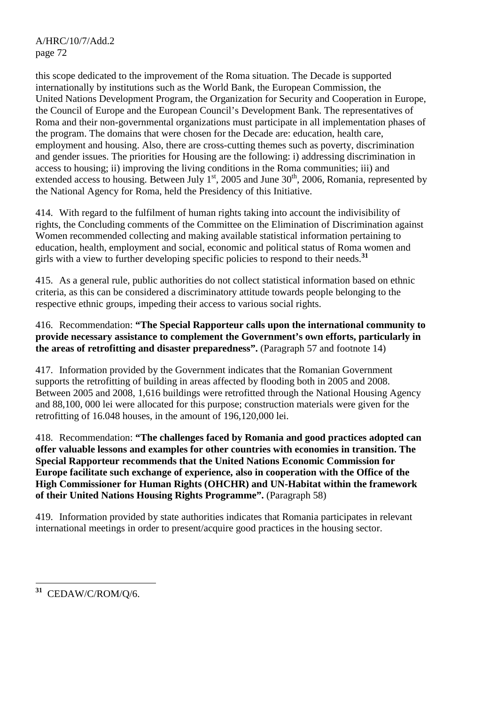this scope dedicated to the improvement of the Roma situation. The Decade is supported internationally by institutions such as the World Bank, the European Commission, the United Nations Development Program, the Organization for Security and Cooperation in Europe, the Council of Europe and the European Council's Development Bank. The representatives of Roma and their non-governmental organizations must participate in all implementation phases of the program. The domains that were chosen for the Decade are: education, health care, employment and housing. Also, there are cross-cutting themes such as poverty, discrimination and gender issues. The priorities for Housing are the following: i) addressing discrimination in access to housing; ii) improving the living conditions in the Roma communities; iii) and extended access to housing. Between July  $1<sup>st</sup>$ , 2005 and June 30<sup>th</sup>, 2006, Romania, represented by the National Agency for Roma, held the Presidency of this Initiative.

414. With regard to the fulfilment of human rights taking into account the indivisibility of rights, the Concluding comments of the Committee on the Elimination of Discrimination against Women recommended collecting and making available statistical information pertaining to education, health, employment and social, economic and political status of Roma women and girls with a view to further developing specific policies to respond to their needs.**<sup>31</sup>**

415. As a general rule, public authorities do not collect statistical information based on ethnic criteria, as this can be considered a discriminatory attitude towards people belonging to the respective ethnic groups, impeding their access to various social rights.

# 416. Recommendation: **"The Special Rapporteur calls upon the international community to provide necessary assistance to complement the Government's own efforts, particularly in the areas of retrofitting and disaster preparedness".** (Paragraph 57 and footnote 14)

417. Information provided by the Government indicates that the Romanian Government supports the retrofitting of building in areas affected by flooding both in 2005 and 2008. Between 2005 and 2008, 1,616 buildings were retrofitted through the National Housing Agency and 88,100, 000 lei were allocated for this purpose; construction materials were given for the retrofitting of 16.048 houses, in the amount of 196,120,000 lei.

418. Recommendation: **"The challenges faced by Romania and good practices adopted can offer valuable lessons and examples for other countries with economies in transition. The Special Rapporteur recommends that the United Nations Economic Commission for Europe facilitate such exchange of experience, also in cooperation with the Office of the High Commissioner for Human Rights (OHCHR) and UN-Habitat within the framework of their United Nations Housing Rights Programme".** (Paragraph 58)

419. Information provided by state authorities indicates that Romania participates in relevant international meetings in order to present/acquire good practices in the housing sector.

 $\overline{a}$ **<sup>31</sup>** CEDAW/C/ROM/Q/6.